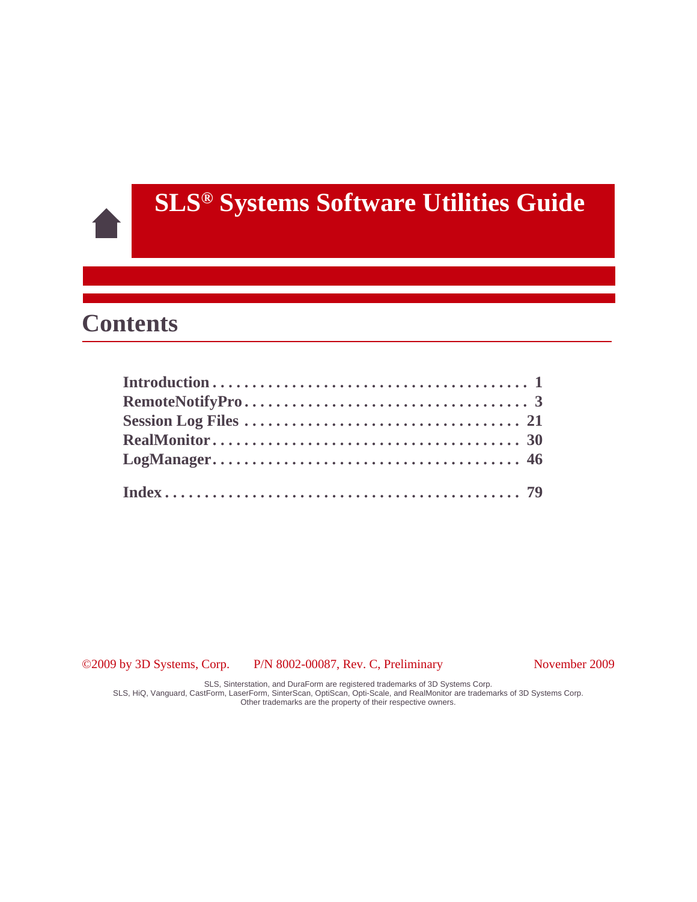# **SLS® Systems Software Utilities Guide**

## **Contents**

©2009 by 3D Systems, Corp. P/N 8002-00087, Rev. C, Preliminary November 2009

SLS, Sinterstation, and DuraForm are registered trademarks of 3D Systems Corp. SLS, HiQ, Vanguard, CastForm, LaserForm, SinterScan, OptiScan, Opti-Scale, and RealMonitor are trademarks of 3D Systems Corp.

Other trademarks are the property of their respective owners.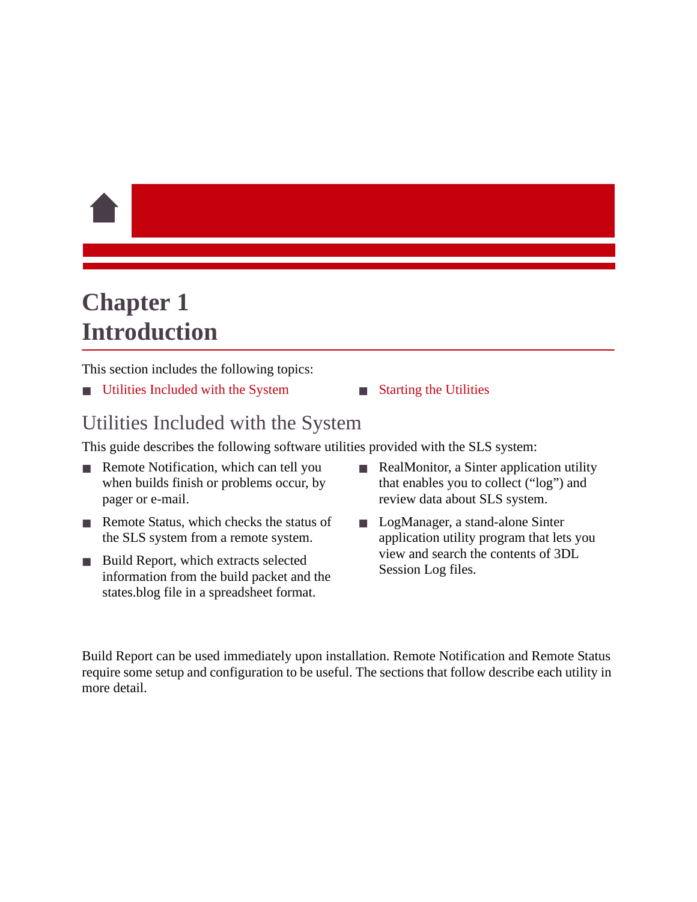# <span id="page-1-0"></span>**Chapter 1 Introduction**

This section includes the following topics:

- [Utilities Included with the System](#page-1-1) [Starting the Utilities](#page-2-0)
	-

## <span id="page-1-1"></span>Utilities Included with the System

This guide describes the following software utilities provided with the SLS system:

- Remote Notification, which can tell you when builds finish or problems occur, by pager or e-mail.
- Remote Status, which checks the status of the SLS system from a remote system.
- Build Report, which extracts selected information from the build packet and the states.blog file in a spreadsheet format.
- RealMonitor, a Sinter application utility that enables you to collect ("log") and review data about SLS system.
- LogManager, a stand-alone Sinter application utility program that lets you view and search the contents of 3DL Session Log files.

Build Report can be used immediately upon installation. Remote Notification and Remote Status require some setup and configuration to be useful. The sections that follow describe each utility in more detail.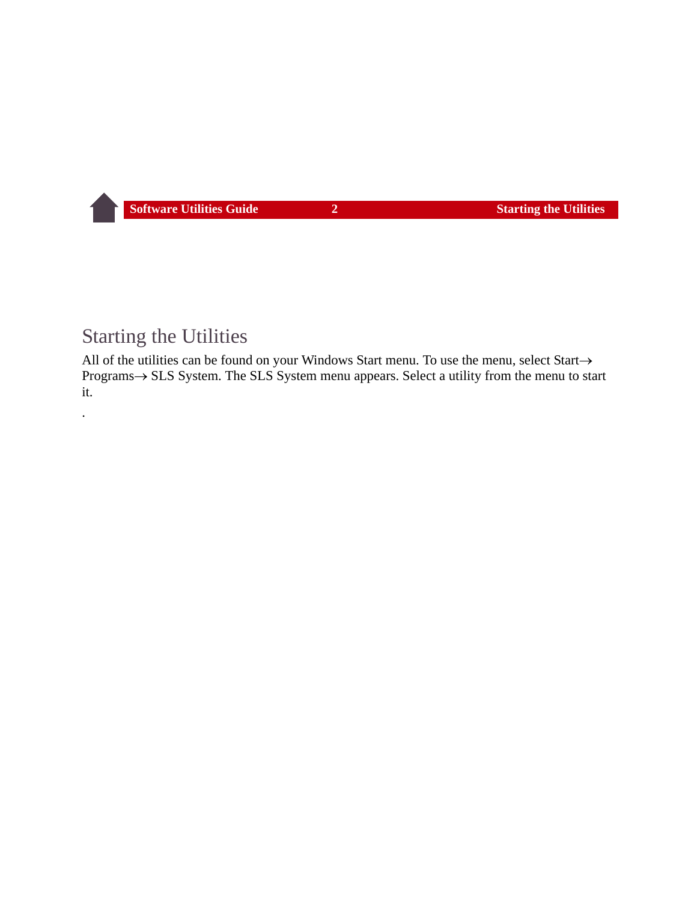## <span id="page-2-0"></span>Starting the Utilities

.

All of the utilities can be found on your Windows Start menu. To use the menu, select Start $\rightarrow$ Programs  $\rightarrow$  SLS System. The SLS System menu appears. Select a utility from the menu to start it.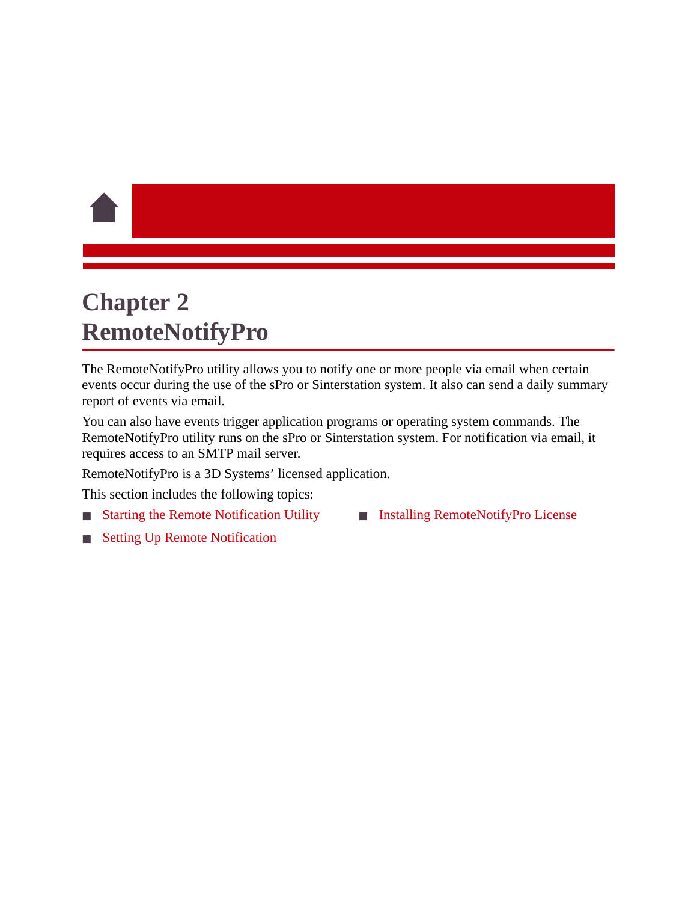# <span id="page-3-0"></span>**Chapter 2 RemoteNotifyPro**

The RemoteNotifyPro utility allows you to notify one or more people via email when certain events occur during the use of the sPro or Sinterstation system. It also can send a daily summary report of events via email.

You can also have events trigger application programs or operating system commands. The RemoteNotifyPro utility runs on the sPro or Sinterstation system. For notification via email, it requires access to an SMTP mail server.

RemoteNotifyPro is a 3D Systems' licensed application.

This section includes the following topics:

- **[Starting the Remote Notification Utility](#page-4-0)**
- **[Installing RemoteNotifyPro License](#page-18-0)**

**[Setting Up Remote Notification](#page-5-0)**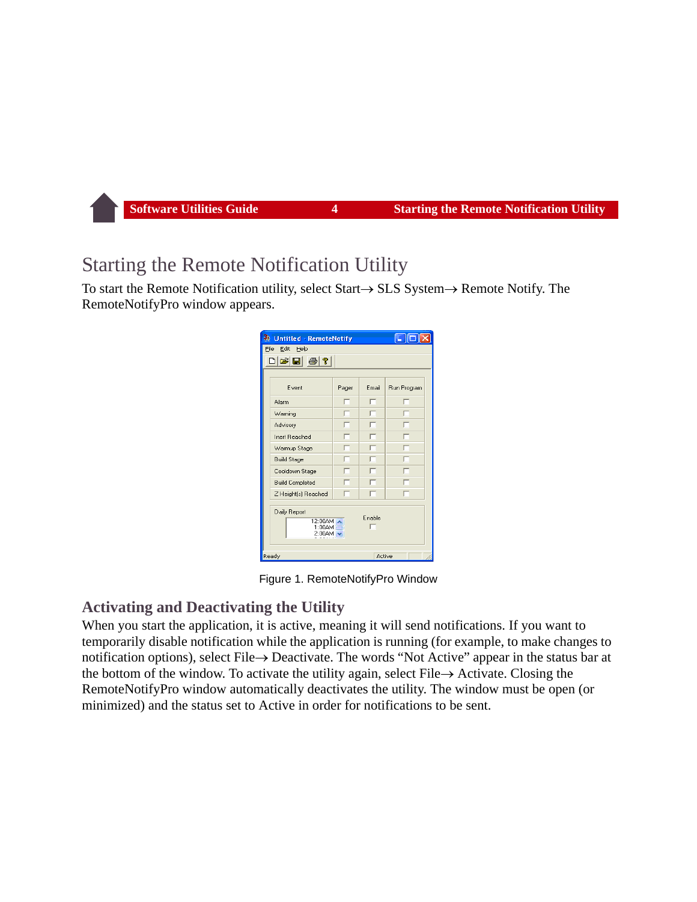## <span id="page-4-0"></span>Starting the Remote Notification Utility

To start the Remote Notification utility, select Start  $\rightarrow$  SLS System  $\rightarrow$  Remote Notify. The RemoteNotifyPro window appears.

| <b>Untitled - RemoteNotify</b>                                    |       |       |             |  |  |
|-------------------------------------------------------------------|-------|-------|-------------|--|--|
| File<br>Edit<br>Help                                              |       |       |             |  |  |
| $\text{Diff}$ $\text{F}$ $\text{F}$                               |       |       |             |  |  |
|                                                                   |       |       |             |  |  |
| Event                                                             | Pager | Email | Run Program |  |  |
| Alarm                                                             |       | ┍     |             |  |  |
| Warning                                                           |       |       |             |  |  |
| Advisory                                                          |       |       |             |  |  |
| Inert Reached                                                     |       |       |             |  |  |
| Warmup Stage                                                      |       |       |             |  |  |
| <b>Build Stage</b>                                                |       |       |             |  |  |
| Cooldown Stage                                                    |       |       |             |  |  |
| <b>Build Completed</b>                                            |       |       |             |  |  |
| Z Height[s] Reached                                               |       |       |             |  |  |
| Daily Report<br>Enable<br>12:00AM A<br>$1:00$ AM $-$<br>$2:00$ AM |       |       |             |  |  |
| Ready<br>Active                                                   |       |       |             |  |  |

Figure 1. RemoteNotifyPro Window

## **Activating and Deactivating the Utility**

When you start the application, it is active, meaning it will send notifications. If you want to temporarily disable notification while the application is running (for example, to make changes to notification options), select File  $\rightarrow$  Deactivate. The words "Not Active" appear in the status bar at the bottom of the window. To activate the utility again, select File  $\rightarrow$  Activate. Closing the RemoteNotifyPro window automatically deactivates the utility. The window must be open (or minimized) and the status set to Active in order for notifications to be sent.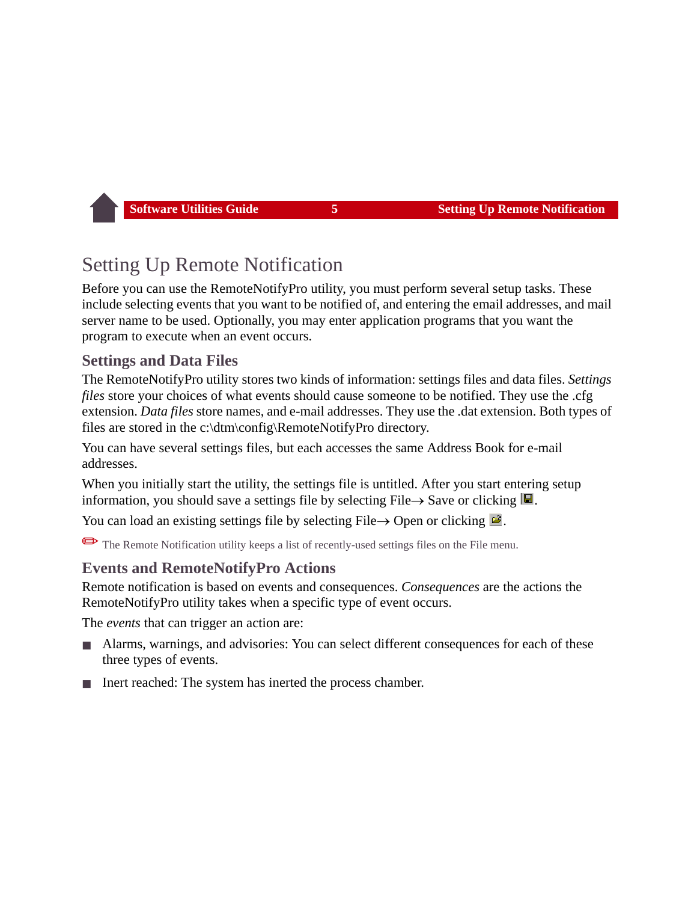## <span id="page-5-0"></span>Setting Up Remote Notification

Before you can use the RemoteNotifyPro utility, you must perform several setup tasks. These include selecting events that you want to be notified of, and entering the email addresses, and mail server name to be used. Optionally, you may enter application programs that you want the program to execute when an event occurs.

## **Settings and Data Files**

The RemoteNotifyPro utility stores two kinds of information: settings files and data files. *Settings files* store your choices of what events should cause someone to be notified. They use the .cfg extension. *Data files* store names, and e-mail addresses. They use the .dat extension. Both types of files are stored in the c:\dtm\config\RemoteNotifyPro directory.

You can have several settings files, but each accesses the same Address Book for e-mail addresses.

When you initially start the utility, the settings file is untitled. After you start entering setup information, you should save a settings file by selecting File  $\rightarrow$  Save or clicking  $\blacksquare$ .

You can load an existing settings file by selecting File  $\rightarrow$  Open or clicking  $\mathbb{E}$ .

✏The Remote Notification utility keeps a list of recently-used settings files on the File menu.

## **Events and RemoteNotifyPro Actions**

Remote notification is based on events and consequences. *Consequences* are the actions the RemoteNotifyPro utility takes when a specific type of event occurs.

The *events* that can trigger an action are:

- Alarms, warnings, and advisories: You can select different consequences for each of these three types of events.
- Inert reached: The system has inerted the process chamber.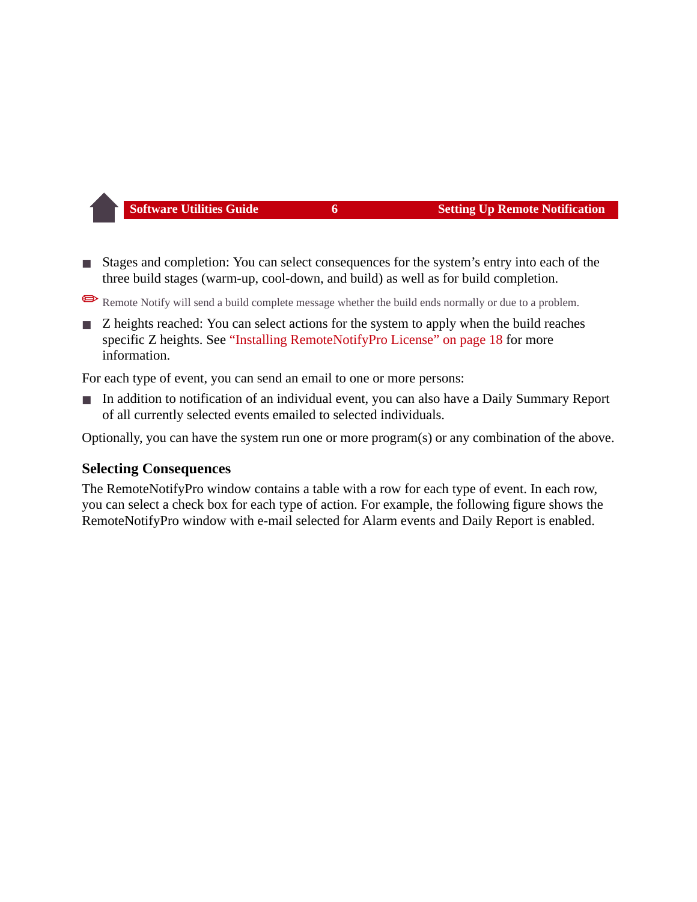Stages and completion: You can select consequences for the system's entry into each of the three build stages (warm-up, cool-down, and build) as well as for build completion.

Remote Notify will send a build complete message whether the build ends normally or due to a problem.

■ Z heights reached: You can select actions for the system to apply when the build reaches specific Z heights. See ["Installing RemoteNotifyPro License" on page 18](#page-18-0) for more information.

For each type of event, you can send an email to one or more persons:

In addition to notification of an individual event, you can also have a Daily Summary Report of all currently selected events emailed to selected individuals.

Optionally, you can have the system run one or more program(s) or any combination of the above.

#### **Selecting Consequences**

The RemoteNotifyPro window contains a table with a row for each type of event. In each row, you can select a check box for each type of action. For example, the following figure shows the RemoteNotifyPro window with e-mail selected for Alarm events and Daily Report is enabled.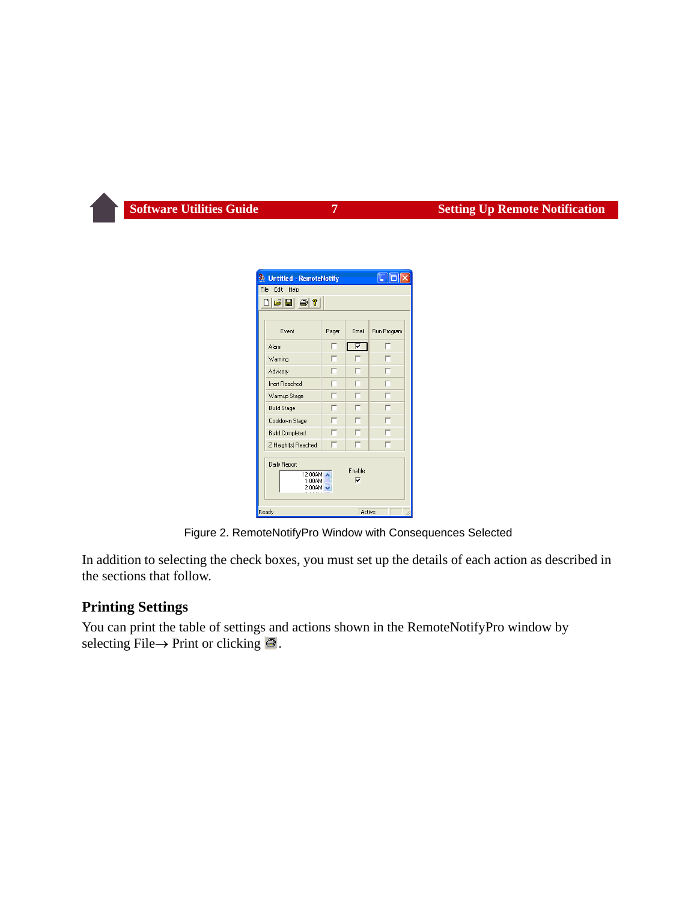| <b>Untitled - RemoteNotify</b>                                                                           |       |       |             |  |  |
|----------------------------------------------------------------------------------------------------------|-------|-------|-------------|--|--|
| File<br>Edit<br>Help                                                                                     |       |       |             |  |  |
| deiei@1?                                                                                                 |       |       |             |  |  |
|                                                                                                          |       |       |             |  |  |
| Event                                                                                                    | Pager | Email | Run Program |  |  |
| Alarm                                                                                                    |       | ए     |             |  |  |
| Warning                                                                                                  |       |       |             |  |  |
| Advisory                                                                                                 |       |       |             |  |  |
| Inert Reached                                                                                            |       |       |             |  |  |
| Warmup Stage                                                                                             |       |       |             |  |  |
| <b>Build Stage</b>                                                                                       |       |       |             |  |  |
| Cooldown Stage                                                                                           |       |       |             |  |  |
| <b>Build Completed</b>                                                                                   |       |       |             |  |  |
| Z Height(s) Reached                                                                                      |       |       |             |  |  |
| Daily Report<br>Enable<br>12:00AM A<br>$\overline{\mathbf{v}}$<br>$1:00$ AM $\equiv$<br>$2:00$ AM $\sim$ |       |       |             |  |  |
| Ready<br>Active                                                                                          |       |       |             |  |  |

Figure 2. RemoteNotifyPro Window with Consequences Selected

In addition to selecting the check boxes, you must set up the details of each action as described in the sections that follow.

#### **Printing Settings**

You can print the table of settings and actions shown in the RemoteNotifyPro window by selecting File  $\rightarrow$  Print or clicking  $\blacksquare$ .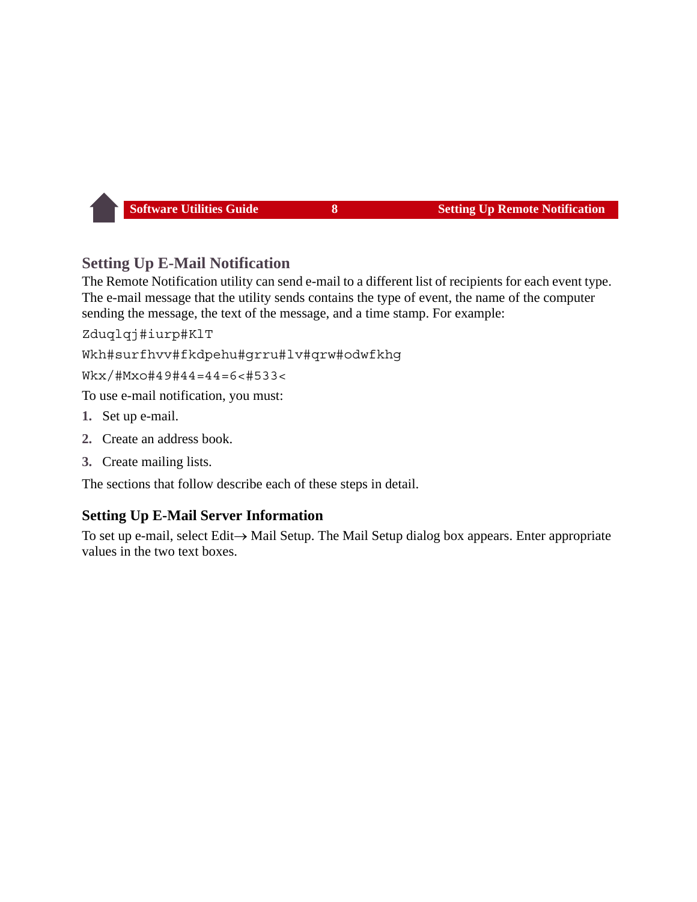## **Setting Up E-Mail Notification**

The Remote Notification utility can send e-mail to a different list of recipients for each event type. The e-mail message that the utility sends contains the type of event, the name of the computer sending the message, the text of the message, and a time stamp. For example:

Zduglgj#iurp#KlT

Wkh#surfhvv#fkdpehu#qrru#lv#qrw#odwfkhq

 $Wkx$ /#Mxo#49#44=44=6<#533<

To use e-mail notification, you must:

- **1.** Set up e-mail.
- **2.** Create an address book.
- **3.** Create mailing lists.

The sections that follow describe each of these steps in detail.

#### **Setting Up E-Mail Server Information**

To set up e-mail, select Edit $\rightarrow$  Mail Setup. The Mail Setup dialog box appears. Enter appropriate values in the two text boxes.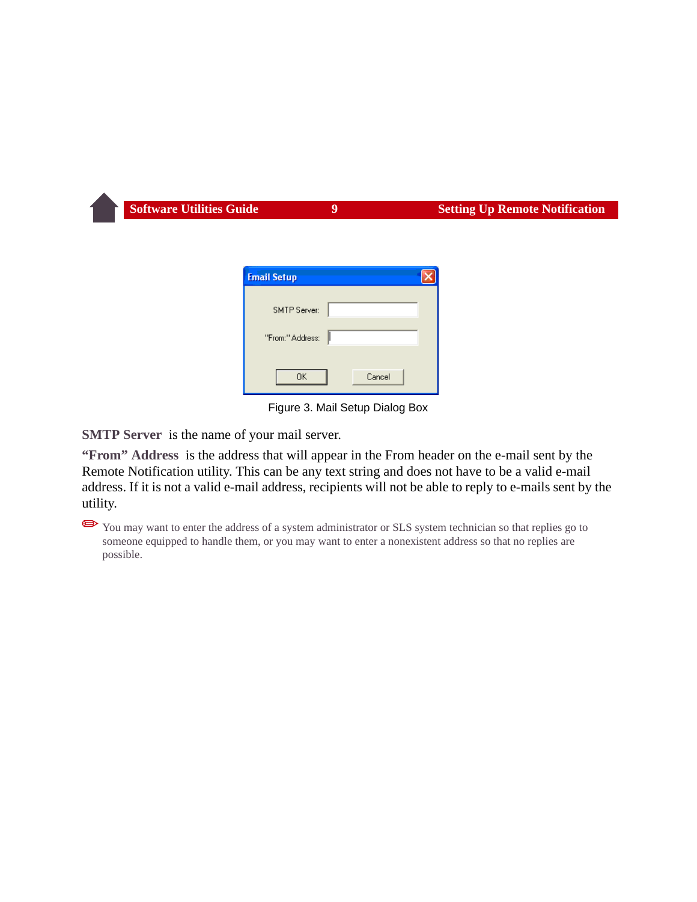| <b>Email Setup</b> |  |
|--------------------|--|
| SMTP Server:       |  |
| "From:" Address:   |  |
| 0K<br>Cancel       |  |

Figure 3. Mail Setup Dialog Box

**SMTP Server** is the name of your mail server.

**"From" Address** is the address that will appear in the From header on the e-mail sent by the Remote Notification utility. This can be any text string and does not have to be a valid e-mail address. If it is not a valid e-mail address, recipients will not be able to reply to e-mails sent by the utility.

You may want to enter the address of a system administrator or SLS system technician so that replies go to someone equipped to handle them, or you may want to enter a nonexistent address so that no replies are possible.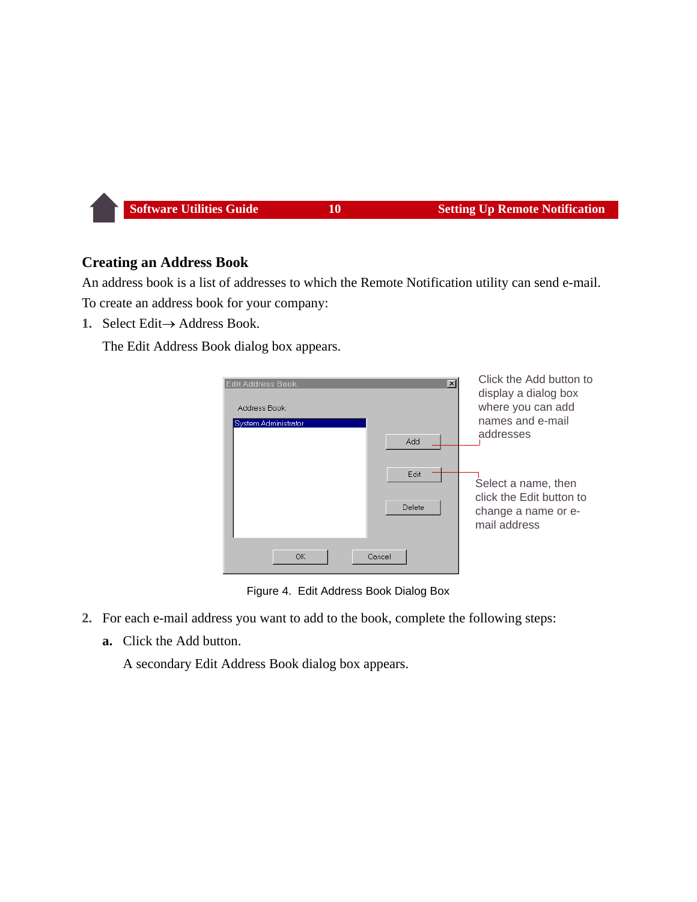#### **Creating an Address Book**

An address book is a list of addresses to which the Remote Notification utility can send e-mail. To create an address book for your company:

1. Select Edit $\rightarrow$  Address Book.

The Edit Address Book dialog box appears.

| <b>Edit Address Book</b><br>Address Book:<br>System Administrator | $\mathbf{x}$<br>Add | Click the Add button to<br>display a dialog box<br>where you can add<br>names and e-mail<br>addresses |
|-------------------------------------------------------------------|---------------------|-------------------------------------------------------------------------------------------------------|
|                                                                   | Edit<br>Delete      | Select a name, then<br>click the Edit button to<br>change a name or e-<br>mail address                |
| <b>OK</b>                                                         | Cancel              |                                                                                                       |

Figure 4. Edit Address Book Dialog Box

- **2.** For each e-mail address you want to add to the book, complete the following steps:
	- **a.** Click the Add button.

A secondary Edit Address Book dialog box appears.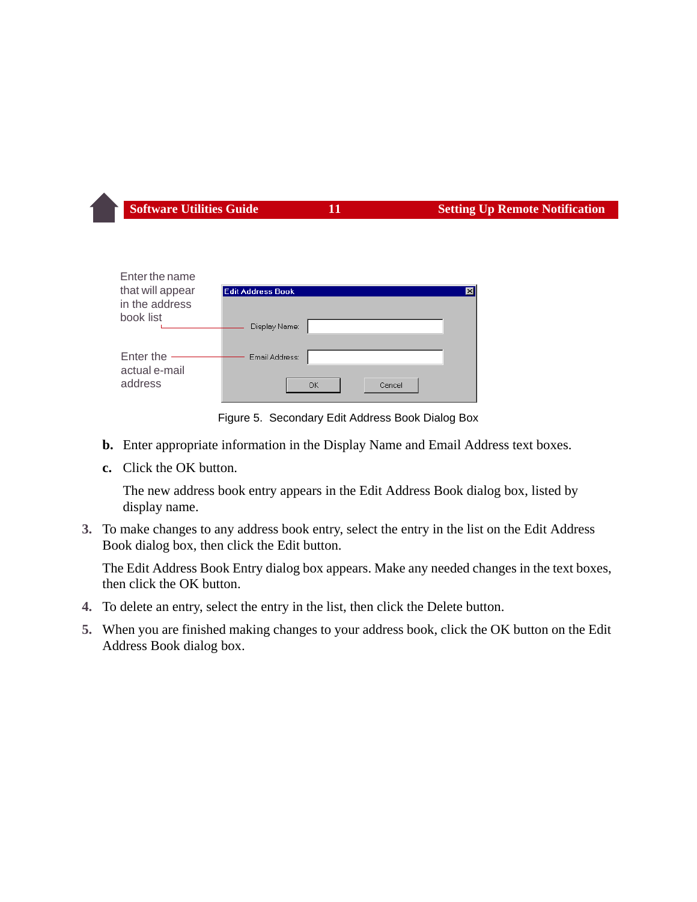| Enter the name<br>that will appear | <b>Edit Address Book</b><br>$\times$ |
|------------------------------------|--------------------------------------|
| in the address                     |                                      |
| book list                          | Display Name:                        |
| Enter the<br>actual e-mail         | Email Address:                       |
| address                            | Cancel<br>OK                         |

Figure 5. Secondary Edit Address Book Dialog Box

- **b.** Enter appropriate information in the Display Name and Email Address text boxes.
- **c.** Click the OK button.

The new address book entry appears in the Edit Address Book dialog box, listed by display name.

**3.** To make changes to any address book entry, select the entry in the list on the Edit Address Book dialog box, then click the Edit button.

The Edit Address Book Entry dialog box appears. Make any needed changes in the text boxes, then click the OK button.

- **4.** To delete an entry, select the entry in the list, then click the Delete button.
- **5.** When you are finished making changes to your address book, click the OK button on the Edit Address Book dialog box.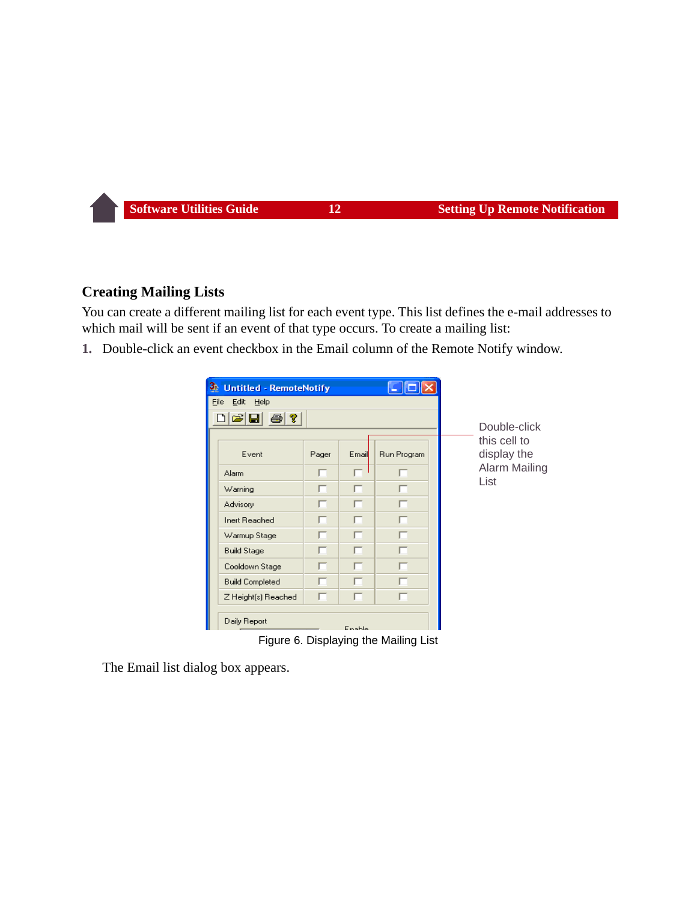## **Creating Mailing Lists**

You can create a different mailing list for each event type. This list defines the e-mail addresses to which mail will be sent if an event of that type occurs. To create a mailing list:

**1.** Double-click an event checkbox in the Email column of the Remote Notify window.

| <b>Untitled - RemoteNotify</b>             |       |        |             |                              |
|--------------------------------------------|-------|--------|-------------|------------------------------|
| Edit<br>Help<br>Eile                       |       |        |             |                              |
| $\mathcal{Z}[\mathbf{G}]$<br>$\frac{1}{2}$ |       |        |             |                              |
|                                            |       |        |             | Double-click<br>this cell to |
| Event                                      | Pager | Email  | Run Program | display the                  |
| <b>Alarm</b>                               | п     | п      |             | Alarm Mailing                |
| Warning                                    | г     | п      | п           | List                         |
| Advisory                                   | п     | п      |             |                              |
| Inert Reached                              | г     | г      |             |                              |
| Warmup Stage                               |       |        |             |                              |
| <b>Build Stage</b>                         | г     | г      | г           |                              |
| Cooldown Stage                             | O     | п      | п           |                              |
| <b>Build Completed</b>                     | г     | п      |             |                              |
| Z Height[s] Reached                        |       |        |             |                              |
| Daily Report                               |       | Enable |             |                              |

Figure 6. Displaying the Mailing List

The Email list dialog box appears.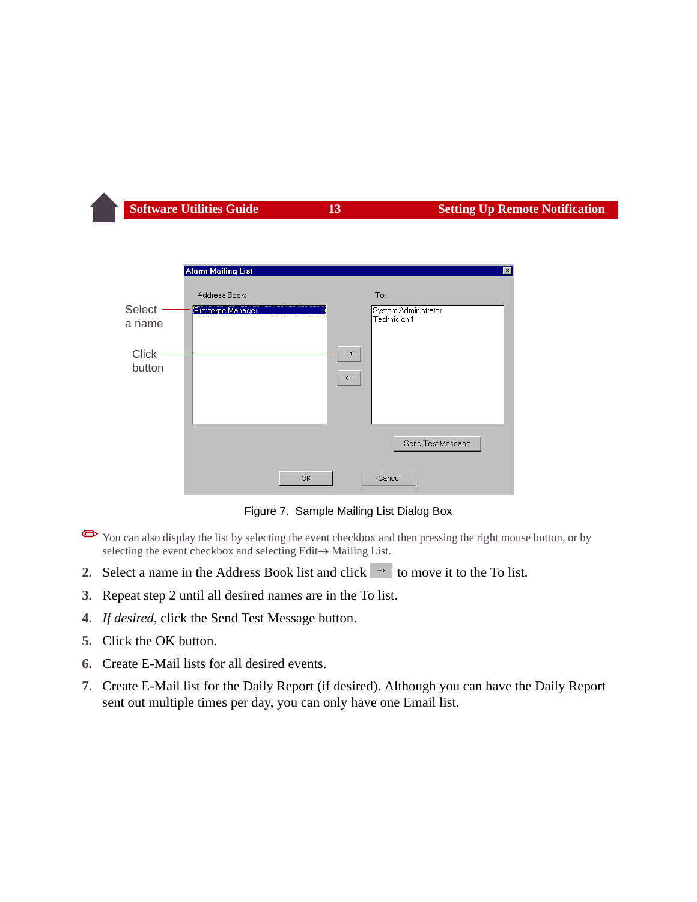

Figure 7. Sample Mailing List Dialog Box

- ✏You can also display the list by selecting the event checkbox and then pressing the right mouse button, or by selecting the event checkbox and selecting Edit $\rightarrow$  Mailing List.
- <span id="page-13-0"></span>**2.** Select a name in the Address Book list and click  $\rightarrow$  to move it to the To list.
- **3.** Repeat step [2](#page-13-0) until all desired names are in the To list.
- **4.** *If desired*, click the Send Test Message button.
- **5.** Click the OK button.
- **6.** Create E-Mail lists for all desired events.
- **7.** Create E-Mail list for the Daily Report (if desired). Although you can have the Daily Report sent out multiple times per day, you can only have one Email list.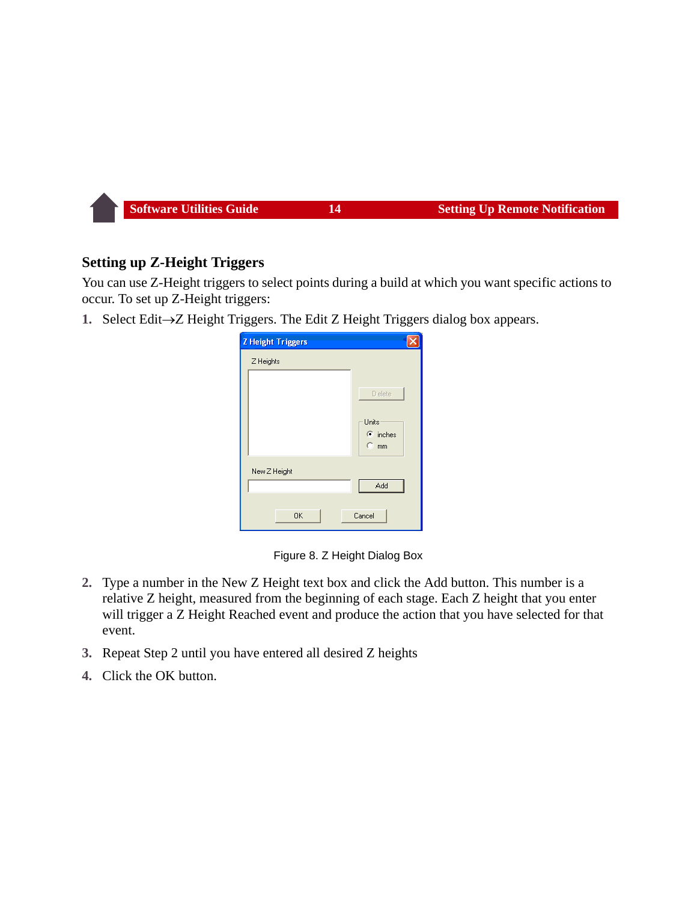#### **Setting up Z-Height Triggers**

You can use Z-Height triggers to select points during a build at which you want specific actions to occur. To set up Z-Height triggers:

**1.** Select Edit $\rightarrow$ Z Height Triggers. The Edit Z Height Triggers dialog box appears.

| <b>Z</b> Height Triggers |                                                          |
|--------------------------|----------------------------------------------------------|
| Z Heights                |                                                          |
|                          | Delete<br>Units<br>$\bullet$ inches<br>$C$ <sub>mm</sub> |
| New Z Height             | Add                                                      |
| <b>OK</b>                | Cancel                                                   |

Figure 8. Z Height Dialog Box

- **2.** Type a number in the New Z Height text box and click the Add button. This number is a relative Z height, measured from the beginning of each stage. Each Z height that you enter will trigger a Z Height Reached event and produce the action that you have selected for that event.
- **3.** Repeat Step 2 until you have entered all desired Z heights
- **4.** Click the OK button.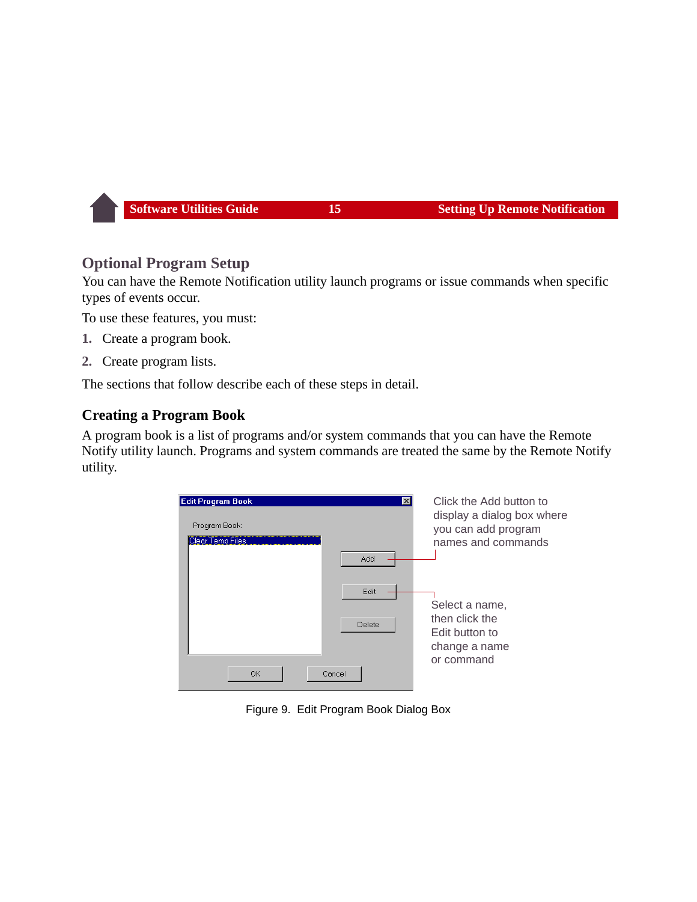## **Optional Program Setup**

You can have the Remote Notification utility launch programs or issue commands when specific types of events occur.

To use these features, you must:

- **1.** Create a program book.
- **2.** Create program lists.

The sections that follow describe each of these steps in detail.

#### **Creating a Program Book**

A program book is a list of programs and/or system commands that you can have the Remote Notify utility launch. Programs and system commands are treated the same by the Remote Notify utility.



Figure 9. Edit Program Book Dialog Box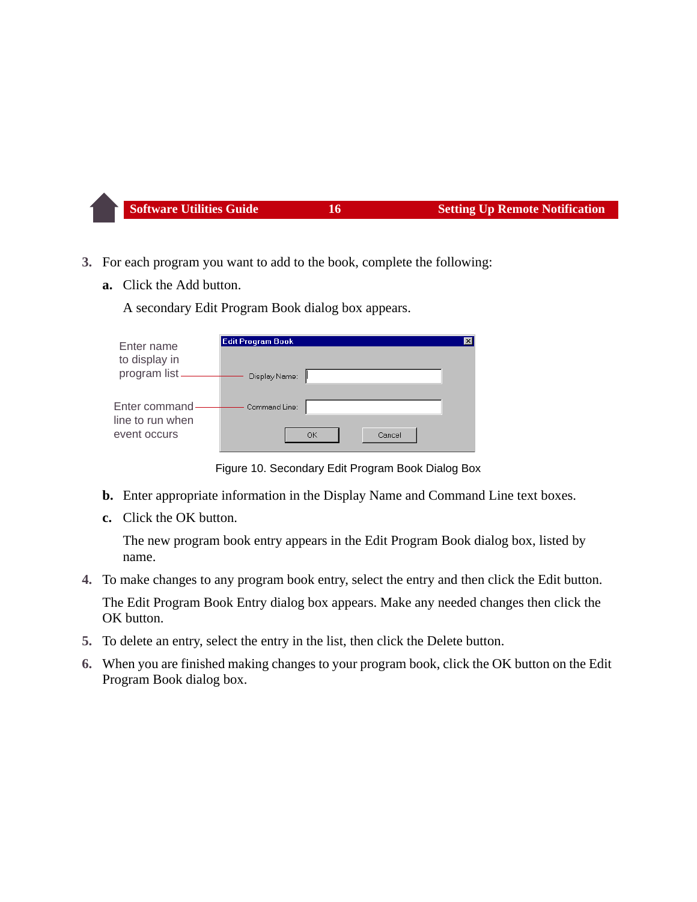- **3.** For each program you want to add to the book, complete the following:
	- **a.** Click the Add button.

A secondary Edit Program Book dialog box appears.

| Enter name                        | <b>Edit Program Book</b> | $\boldsymbol{\mathsf{x}}$ |
|-----------------------------------|--------------------------|---------------------------|
| to display in<br>program list.    | Display Name:            |                           |
| Enter command<br>line to run when | Command Line:            |                           |
| event occurs                      | Cancel<br>OK             |                           |

Figure 10. Secondary Edit Program Book Dialog Box

- **b.** Enter appropriate information in the Display Name and Command Line text boxes.
- **c.** Click the OK button.

The new program book entry appears in the Edit Program Book dialog box, listed by name.

- **4.** To make changes to any program book entry, select the entry and then click the Edit button. The Edit Program Book Entry dialog box appears. Make any needed changes then click the OK button.
- **5.** To delete an entry, select the entry in the list, then click the Delete button.
- **6.** When you are finished making changes to your program book, click the OK button on the Edit Program Book dialog box.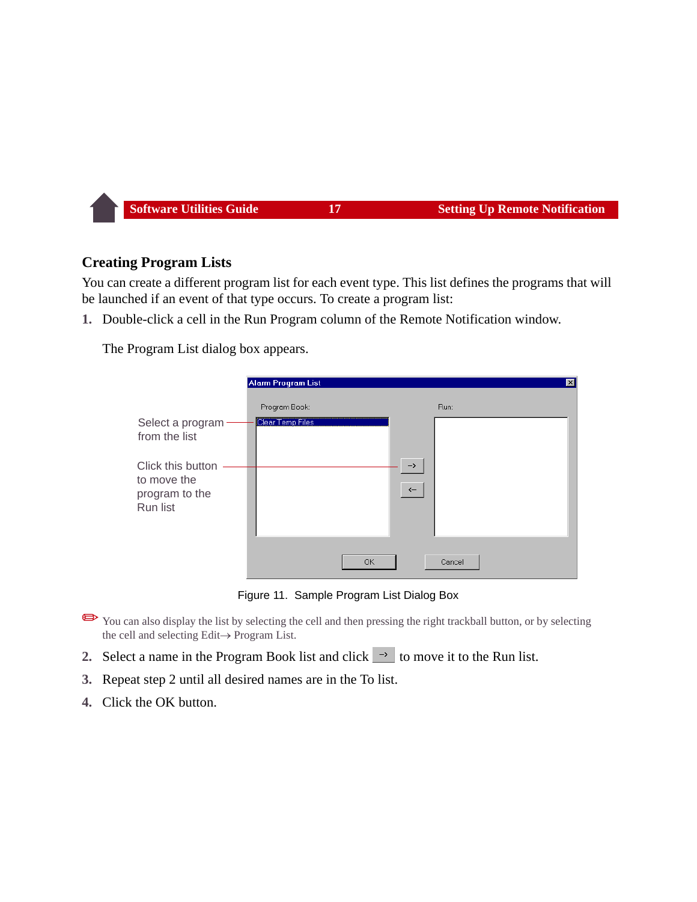## **Creating Program Lists**

You can create a different program list for each event type. This list defines the programs that will be launched if an event of that type occurs. To create a program list:

**1.** Double-click a cell in the Run Program column of the Remote Notification window.

The Program List dialog box appears.

|                                                                | Alarm Program List |                     | $\vert x \vert$ |
|----------------------------------------------------------------|--------------------|---------------------|-----------------|
|                                                                | Program Book:      |                     | Run:            |
| Select a program<br>from the list                              | Clear Temp Files   |                     |                 |
| Click this button<br>to move the<br>program to the<br>Run list |                    | $\rightarrow$<br>くー |                 |
|                                                                | OK.                |                     | Cancel          |

Figure 11. Sample Program List Dialog Box

- ✏You can also display the list by selecting the cell and then pressing the right trackball button, or by selecting the cell and selecting  $Edit \rightarrow Program List$ .
- <span id="page-17-0"></span>**2.** Select a name in the Program Book list and click  $\rightarrow$  to move it to the Run list.
- **3.** Repeat step [2](#page-17-0) until all desired names are in the To list.
- **4.** Click the OK button.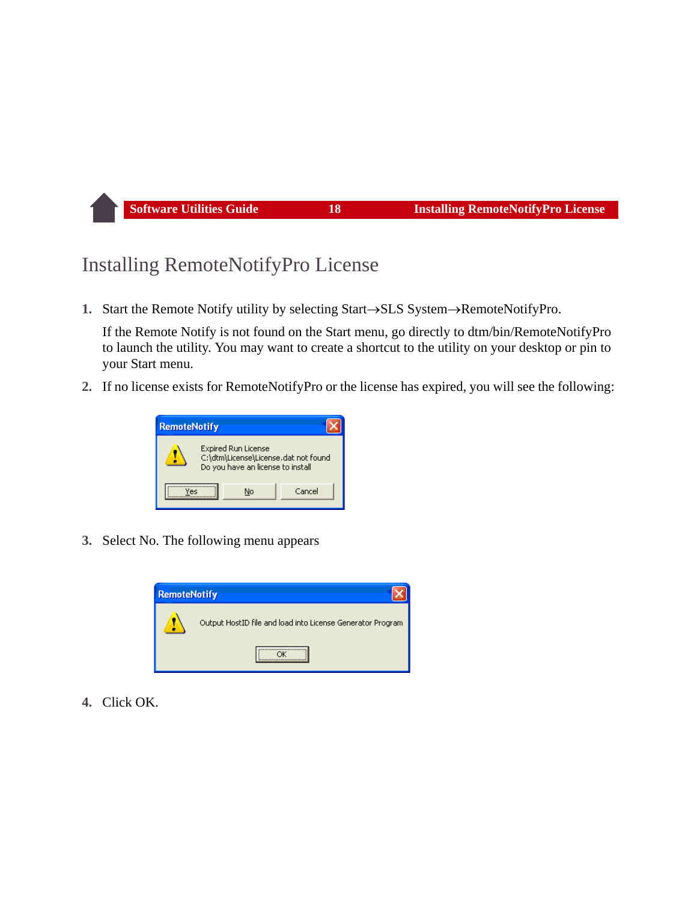## <span id="page-18-0"></span>Installing RemoteNotifyPro License

**1.** Start the Remote Notify utility by selecting Start $\rightarrow$ SLS System $\rightarrow$ RemoteNotifyPro.

If the Remote Notify is not found on the Start menu, go directly to dtm/bin/RemoteNotifyPro to launch the utility. You may want to create a shortcut to the utility on your desktop or pin to your Start menu.

**2.** If no license exists for RemoteNotifyPro or the license has expired, you will see the following:



**3.** Select No. The following menu appears



**4.** Click OK.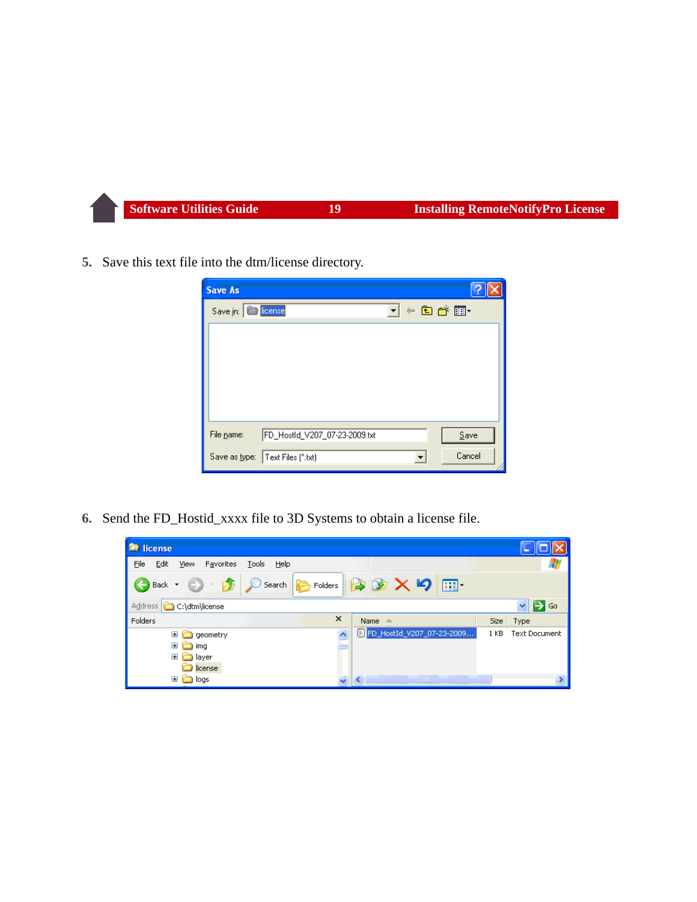**5.** Save this text file into the dtm/license directory.

| <b>Save As</b> |                                    |             |        |
|----------------|------------------------------------|-------------|--------|
| Save in:       | <b>Nicense</b>                     | I + a d* er |        |
|                |                                    |             |        |
|                |                                    |             |        |
|                |                                    |             |        |
|                |                                    |             |        |
|                |                                    |             |        |
| File name:     | FD_HostId_V207_07-23-2009.txt      |             | Save   |
|                | Save as type:   Text Files (*.txt) |             | Cancel |

**6.** Send the FD\_Hostid\_xxxx file to 3D Systems to obtain a license file.

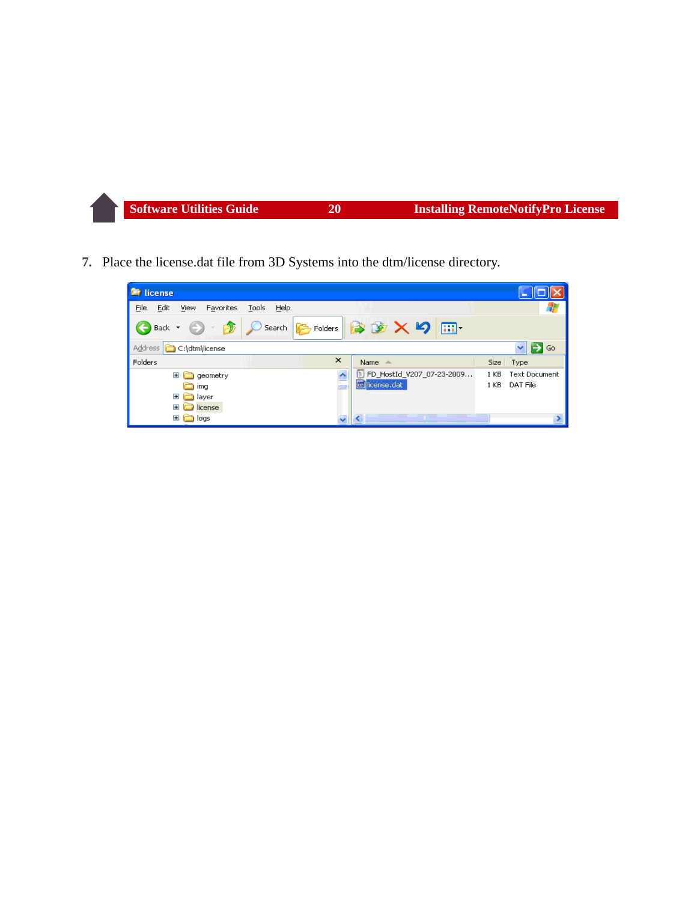**7.** Place the license.dat file from 3D Systems into the dtm/license directory.

| <b>■ license</b>                                                     |                              |                               |                                  |
|----------------------------------------------------------------------|------------------------------|-------------------------------|----------------------------------|
| File<br>Edit<br>Favorites<br>Tools<br>Help<br><b>View</b>            |                              |                               |                                  |
| Search<br>$\bigodot$ Back $\cdot$ $\bigodot$ $\cdot$<br>$\mathbb{E}$ |                              | B Folders 3 X 9 III           |                                  |
| Address <b>C</b> :\dtm\license                                       |                              |                               | $\mathbf{v}$<br>$\Rightarrow$ Go |
| Folders                                                              | $\times$<br>Name $\triangle$ |                               | Size Type                        |
| $\boxdot$<br>geometry                                                | $\triangle$                  | [E] FD HostId V207 07-23-2009 | <b>Text Document</b><br>1 KB     |
| ima                                                                  | icense.dat                   |                               | DAT File<br>1 <sub>KB</sub>      |
| $\boxplus$<br>a layer                                                |                              |                               |                                  |
| license<br>Œ                                                         |                              |                               |                                  |
| in logs<br>$\blacksquare$                                            |                              | TIM.                          |                                  |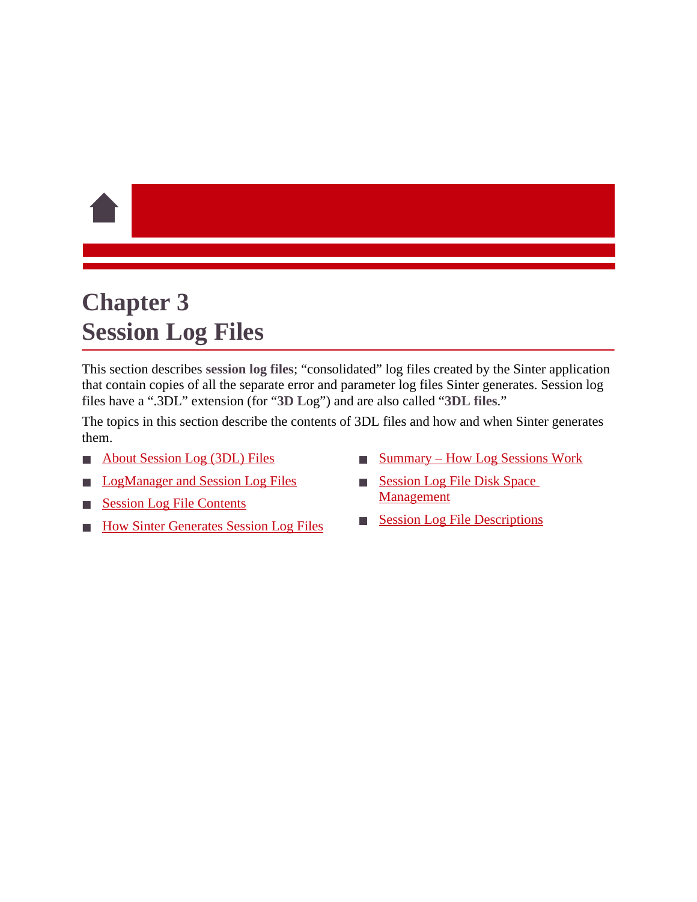# <span id="page-21-1"></span><span id="page-21-0"></span>**Chapter 3 Session Log Files**

This section describes **session log files**; "consolidated" log files created by the Sinter application that contain copies of all the separate error and parameter log files Sinter generates. Session log files have a ".3DL" extension (for "**3D L**og") and are also called "**3DL files**."

The topics in this section describe the contents of 3DL files and how and when Sinter generates them.

- [About Session Log \(3DL\) Files](#page-22-0)
- **[LogManager and Session Log Files](#page-22-1)**
- **[Session Log File Contents](#page-23-0)**
- **[How Sinter Generates Session Log Files](#page-25-0)**
- [Summary How Log Sessions Work](#page-27-0)
- **Session Log File Disk Space** Management
- **[Session Log File Descriptions](#page-29-0)**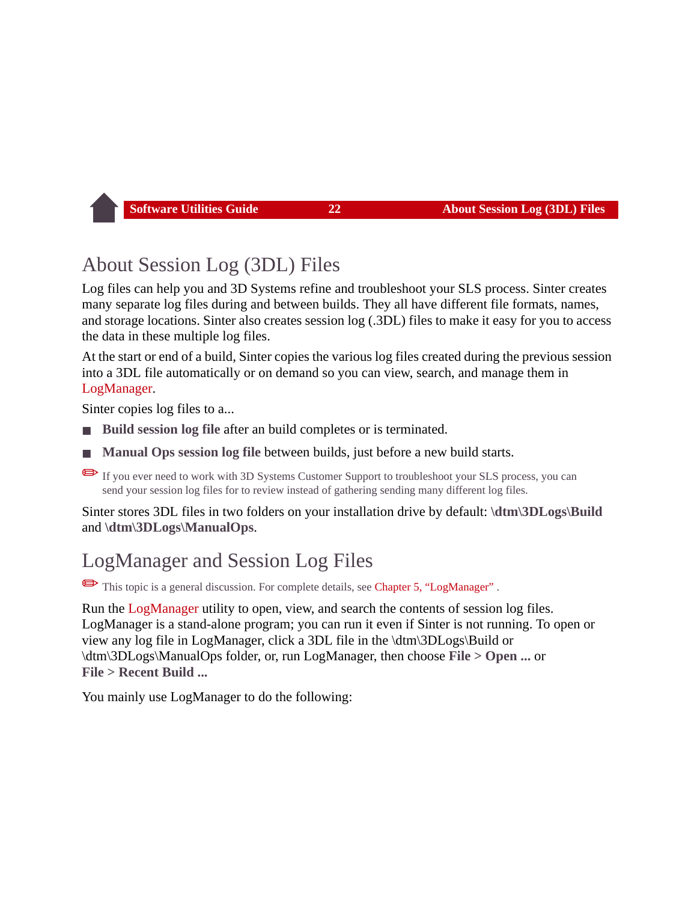## <span id="page-22-0"></span>About Session Log (3DL) Files

Log files can help you and 3D Systems refine and troubleshoot your SLS process. Sinter creates many separate log files during and between builds. They all have different file formats, names, and storage locations. Sinter also creates session log (.3DL) files to make it easy for you to access the data in these multiple log files.

At the start or end of a build, Sinter copies the various log files created during the previous session into a 3DL file automatically or on demand so you can view, search, and manage them in [LogManager.](#page-46-1)

Sinter copies log files to a...

- **Build session log file after an build completes or is terminated.**
- **Manual Ops session log file** between builds, just before a new build starts.

If you ever need to work with 3D Systems Customer Support to troubleshoot your SLS process, you can send your session log files for to review instead of gathering sending many different log files.

Sinter stores 3DL files in two folders on your installation drive by default: **\dtm\3DLogs\Build**  and **\dtm\3DLogs\ManualOps**.

## <span id="page-22-1"></span>LogManager and Session Log Files

✏This topic is a general discussion. For complete details, see [Chapter 5, "LogManager"](#page-46-1) .

Run the [LogManager](#page-46-1) utility to open, view, and search the contents of session log files. LogManager is a stand-alone program; you can run it even if Sinter is not running. To open or view any log file in LogManager, click a 3DL file in the \dtm\3DLogs\Build or \dtm\3DLogs\ManualOps folder, or, run LogManager, then choose **File > Open ...** or **File > Recent Build ...**

You mainly use LogManager to do the following: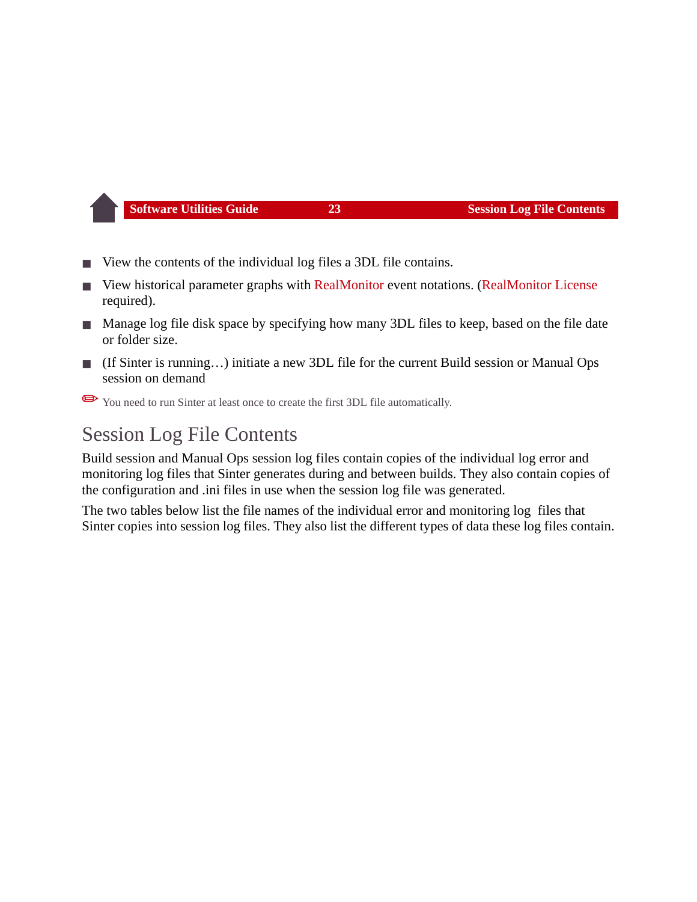- View the contents of the individual log files a 3DL file contains.
- View historical parameter graphs with [RealMonitor](#page-30-1) event notations. [\(RealMonitor License](#page-31-0) required).
- Manage log file disk space by specifying how many 3DL files to keep, based on the file date or folder size.
- (If Sinter is running...) initiate a new 3DL file for the current Build session or Manual Ops session on demand

✏You need to run Sinter at least once to create the first 3DL file automatically.

## <span id="page-23-0"></span>Session Log File Contents

Build session and Manual Ops session log files contain copies of the individual log error and monitoring log files that Sinter generates during and between builds. They also contain copies of the configuration and .ini files in use when the session log file was generated.

The two tables below list the file names of the individual error and monitoring log files that Sinter copies into session log files. They also list the different types of data these log files contain.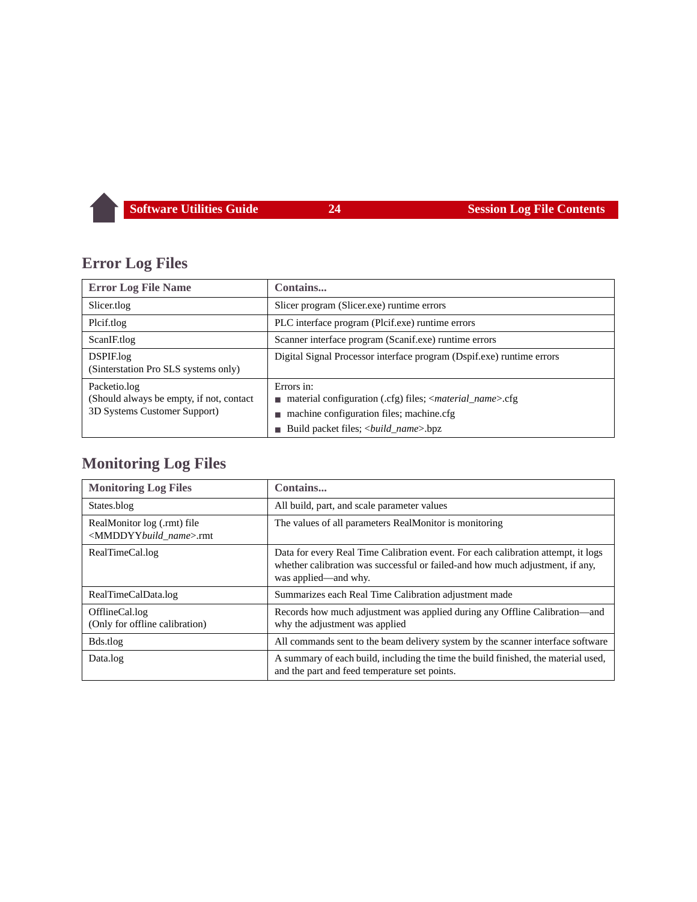## **Error Log Files**

| <b>Error Log File Name</b>                                                                | Contains                                                                                                                                                                     |  |
|-------------------------------------------------------------------------------------------|------------------------------------------------------------------------------------------------------------------------------------------------------------------------------|--|
| Slicer.tlog                                                                               | Slicer program (Slicer.exe) runtime errors                                                                                                                                   |  |
| Plcif.tlog                                                                                | PLC interface program (Plcif.exe) runtime errors                                                                                                                             |  |
| ScanIF.tlog                                                                               | Scanner interface program (Scanif.exe) runtime errors                                                                                                                        |  |
| DSPIF.log<br>(Sinterstation Pro SLS systems only)                                         | Digital Signal Processor interface program (Dspif.exe) runtime errors                                                                                                        |  |
| Packetio.log<br>(Should always be empty, if not, contact)<br>3D Systems Customer Support) | Errors in:<br>material configuration (.cfg) files; < <i>material_name</i> >.cfg<br>machine configuration files; machine.cfg<br>Build packet files; < <i>build_name</i> >.bpz |  |

## **Monitoring Log Files**

| <b>Monitoring Log Files</b>                                              | Contains                                                                                                                                                                                   |  |
|--------------------------------------------------------------------------|--------------------------------------------------------------------------------------------------------------------------------------------------------------------------------------------|--|
| States.blog                                                              | All build, part, and scale parameter values                                                                                                                                                |  |
| RealMonitor log (.rmt) file<br><mmddyybuild_name>.rmt</mmddyybuild_name> | The values of all parameters RealMonitor is monitoring                                                                                                                                     |  |
| RealTimeCal.log                                                          | Data for every Real Time Calibration event. For each calibration attempt, it logs<br>whether calibration was successful or failed-and how much adjustment, if any,<br>was applied—and why. |  |
| RealTimeCalData.log                                                      | Summarizes each Real Time Calibration adjustment made                                                                                                                                      |  |
| OfflineCal.log<br>(Only for offline calibration)                         | Records how much adjustment was applied during any Offline Calibration—and<br>why the adjustment was applied                                                                               |  |
| Bds.tlog                                                                 | All commands sent to the beam delivery system by the scanner interface software                                                                                                            |  |
| Data.log                                                                 | A summary of each build, including the time the build finished, the material used,<br>and the part and feed temperature set points.                                                        |  |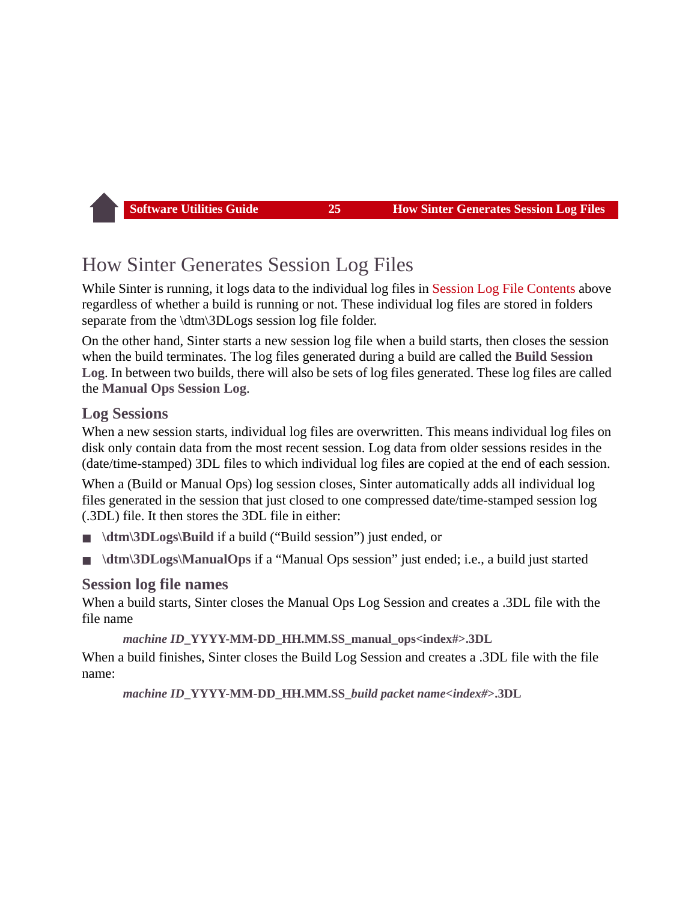## <span id="page-25-0"></span>How Sinter Generates Session Log Files

While Sinter is running, it logs data to the individual log files in [Session Log File Contents](#page-23-0) above regardless of whether a build is running or not. These individual log files are stored in folders separate from the \dtm\3DLogs session log file folder.

On the other hand, Sinter starts a new session log file when a build starts, then closes the session when the build terminates. The log files generated during a build are called the **Build Session Log**. In between two builds, there will also be sets of log files generated. These log files are called the **Manual Ops Session Log**.

#### **Log Sessions**

When a new session starts, individual log files are overwritten. This means individual log files on disk only contain data from the most recent session. Log data from older sessions resides in the (date/time-stamped) 3DL files to which individual log files are copied at the end of each session.

When a (Build or Manual Ops) log session closes, Sinter automatically adds all individual log files generated in the session that just closed to one compressed date/time-stamped session log (.3DL) file. It then stores the 3DL file in either:

- \dtm\3DLogs\Build if a build ("Build session") just ended, or
- **\dtm\3DLogs\ManualOps** if a "Manual Ops session" just ended; i.e., a build just started

#### **Session log file names**

When a build starts, Sinter closes the Manual Ops Log Session and creates a .3DL file with the file name

*machine ID***\_YYYY-MM-DD\_HH.MM.SS\_manual\_ops<index#>.3DL**

When a build finishes, Sinter closes the Build Log Session and creates a .3DL file with the file name:

*machine ID***\_YYYY-MM-DD\_HH.MM.SS\_***build packet name***<***index#***>.3DL**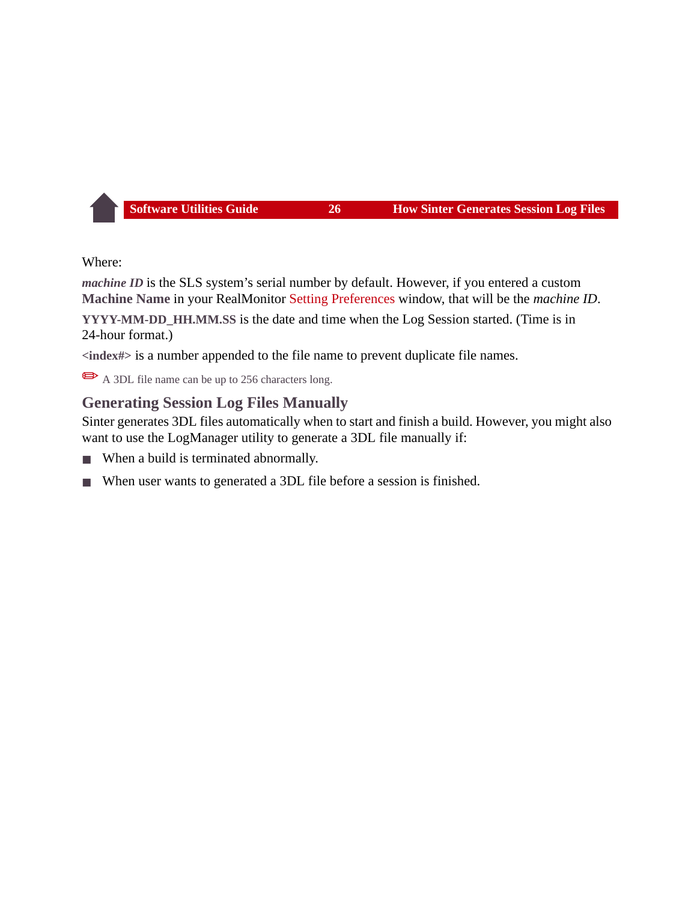Where:

*machine ID* is the SLS system's serial number by default. However, if you entered a custom **Machine Name** in your RealMonitor [Setting Preferences](#page-42-0) window, that will be the *machine ID*. **YYYY-MM-DD\_HH.MM.SS** is the date and time when the Log Session started. (Time is in

24-hour format.)

**<index#>** is a number appended to the file name to prevent duplicate file names.

A 3DL file name can be up to 256 characters long.

## **Generating Session Log Files Manually**

Sinter generates 3DL files automatically when to start and finish a build. However, you might also want to use the LogManager utility to generate a 3DL file manually if:

- When a build is terminated abnormally.
- When user wants to generated a 3DL file before a session is finished.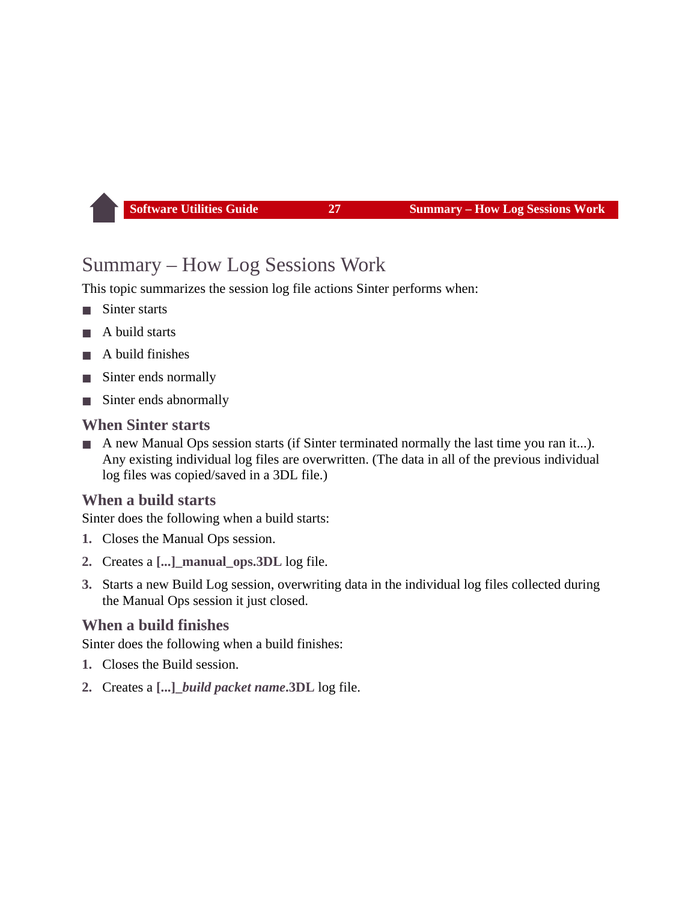## <span id="page-27-0"></span>Summary – How Log Sessions Work

This topic summarizes the session log file actions Sinter performs when:

- Sinter starts
- A build starts
- A build finishes
- Sinter ends normally
- Sinter ends abnormally

#### **When Sinter starts**

A new Manual Ops session starts (if Sinter terminated normally the last time you ran it...). Any existing individual log files are overwritten. (The data in all of the previous individual log files was copied/saved in a 3DL file.)

## **When a build starts**

Sinter does the following when a build starts:

- **1.** Closes the Manual Ops session.
- **2.** Creates a **[...]\_manual\_ops.3DL** log file.
- **3.** Starts a new Build Log session, overwriting data in the individual log files collected during the Manual Ops session it just closed.

## **When a build finishes**

Sinter does the following when a build finishes:

- **1.** Closes the Build session.
- **2.** Creates a **[...]\_***build packet name***.3DL** log file.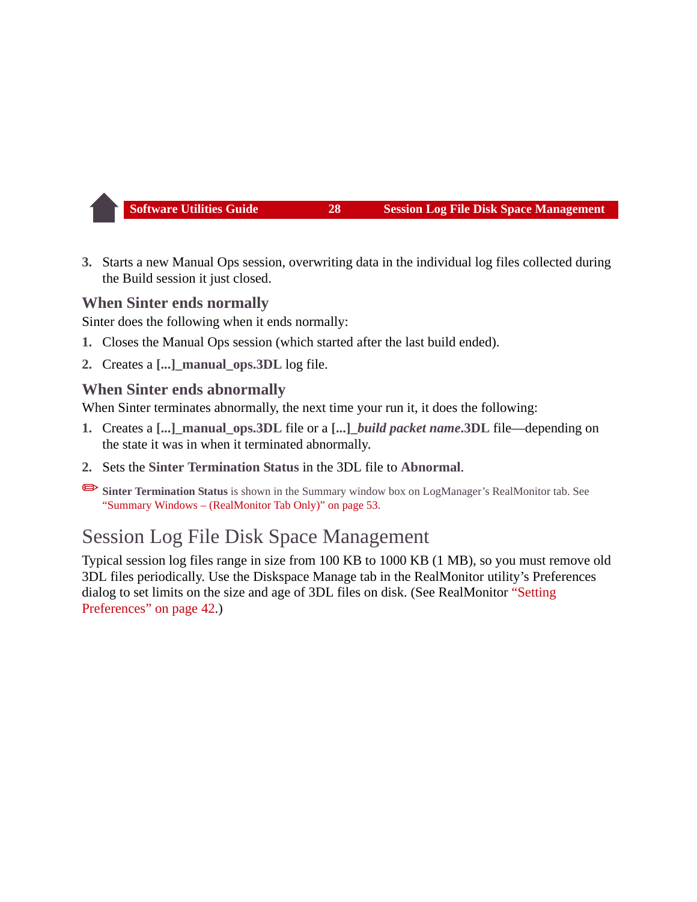**3.** Starts a new Manual Ops session, overwriting data in the individual log files collected during the Build session it just closed.

#### **When Sinter ends normally**

Sinter does the following when it ends normally:

- **1.** Closes the Manual Ops session (which started after the last build ended).
- **2.** Creates a **[...]\_manual\_ops.3DL** log file.

#### **When Sinter ends abnormally**

When Sinter terminates abnormally, the next time your run it, it does the following:

- **1.** Creates a **[...]\_manual\_ops.3DL** file or a **[...]\_***build packet name***.3DL** file—depending on the state it was in when it terminated abnormally.
- **2.** Sets the **Sinter Termination Status** in the 3DL file to **Abnormal**.

✏**Sinter Termination Status** is shown in the Summary window box on LogManager's RealMonitor tab. See ["Summary Windows – \(RealMonitor Tab Only\)" on page 53](#page-53-0).

## <span id="page-28-0"></span>Session Log File Disk Space Management

Typical session log files range in size from 100 KB to 1000 KB (1 MB), so you must remove old 3DL files periodically. Use the Diskspace Manage tab in the RealMonitor utility's Preferences dialog to set limits on the size and age of 3DL files on disk. (See RealMonitor ["Setting](#page-42-0)  [Preferences" on page 42.](#page-42-0))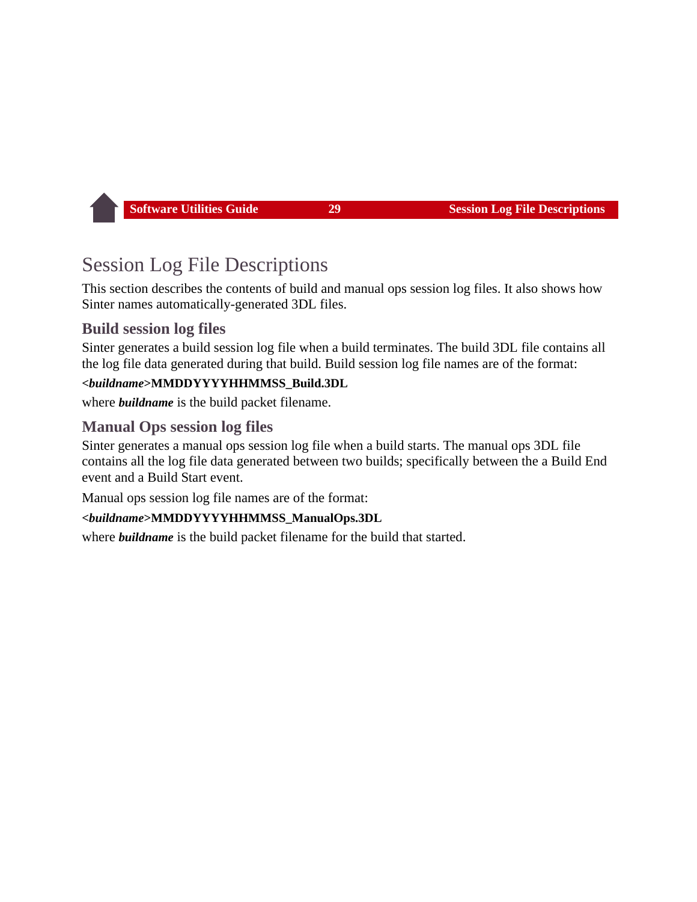## <span id="page-29-0"></span>Session Log File Descriptions

This section describes the contents of build and manual ops session log files. It also shows how Sinter names automatically-generated 3DL files.

## **Build session log files**

Sinter generates a build session log file when a build terminates. The build 3DL file contains all the log file data generated during that build. Build session log file names are of the format:

#### **<***buildname***>MMDDYYYYHHMMSS\_Build.3DL**

where *buildname* is the build packet filename.

## **Manual Ops session log files**

Sinter generates a manual ops session log file when a build starts. The manual ops 3DL file contains all the log file data generated between two builds; specifically between the a Build End event and a Build Start event.

Manual ops session log file names are of the format:

#### **<***buildname***>MMDDYYYYHHMMSS\_ManualOps.3DL**

where *buildname* is the build packet filename for the build that started.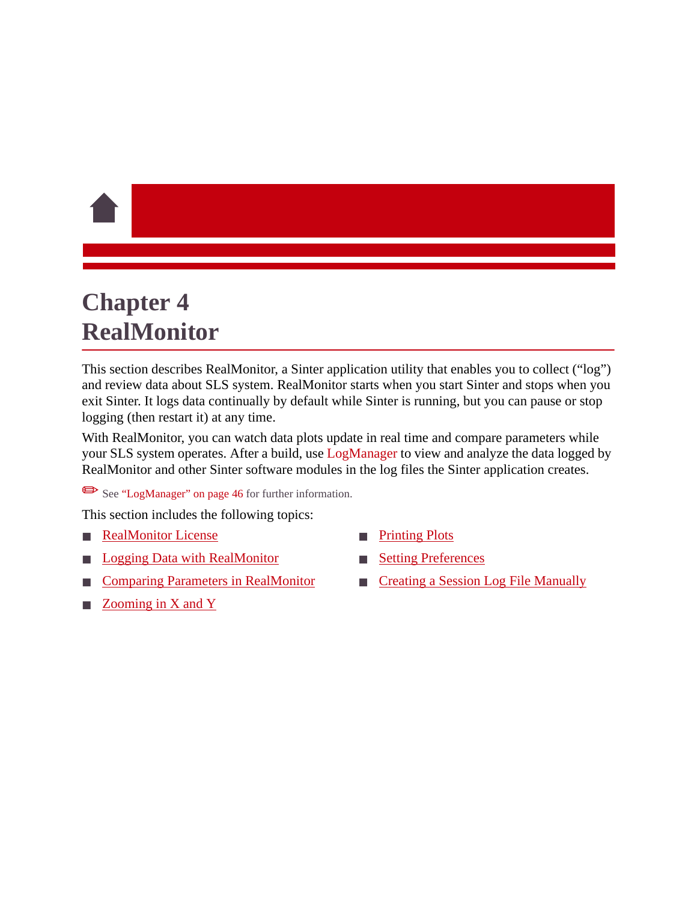# <span id="page-30-1"></span><span id="page-30-0"></span>**Chapter 4 RealMonitor**

This section describes RealMonitor, a Sinter application utility that enables you to collect ("log") and review data about SLS system. RealMonitor starts when you start Sinter and stops when you exit Sinter. It logs data continually by default while Sinter is running, but you can pause or stop logging (then restart it) at any time.

With RealMonitor, you can watch data plots update in real time and compare parameters while your SLS system operates. After a build, use [LogManager](#page-46-1) to view and analyze the data logged by RealMonitor and other Sinter software modules in the log files the Sinter application creates.

See ["LogManager" on page 46](#page-46-1) for further information.

This section includes the following topics:

- **[RealMonitor License](#page-31-1)**
- **[Logging Data with RealMonitor](#page-34-0)**
- [Comparing Parameters in RealMonitor](#page-36-0)
- Zooming in  $X$  and  $Y$
- **[Printing Plots](#page-42-1)**
- **[Setting Preferences](#page-42-2)**
- [Creating a Session Log File Manually](#page-45-0)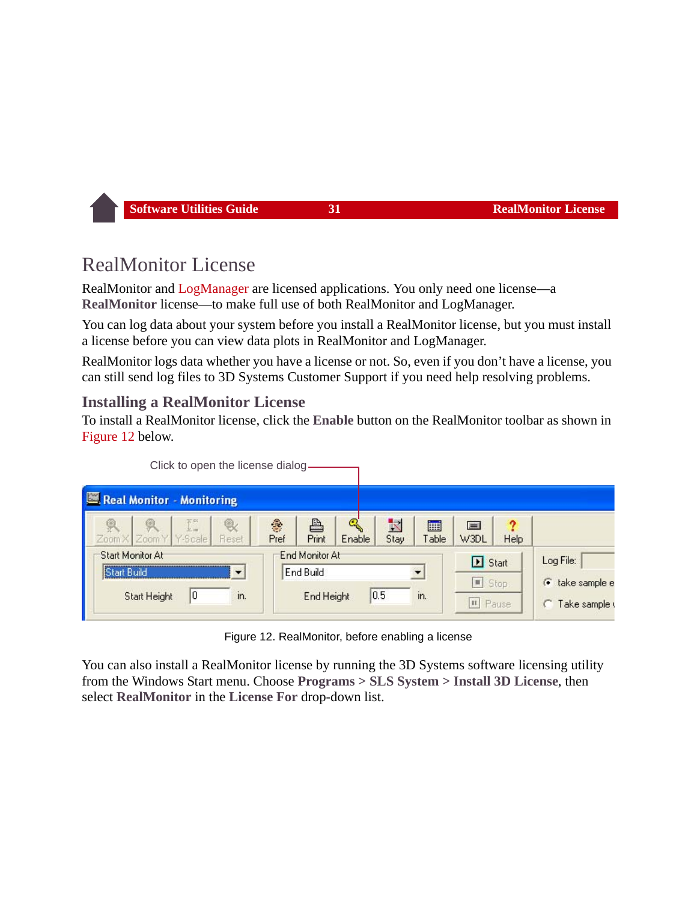## <span id="page-31-1"></span><span id="page-31-0"></span>RealMonitor License

RealMonitor and [LogManager](#page-46-1) are licensed applications. You only need one license—a **RealMonitor** license—to make full use of both RealMonitor and LogManager.

You can log data about your system before you install a RealMonitor license, but you must install a license before you can view data plots in RealMonitor and LogManager.

RealMonitor logs data whether you have a license or not. So, even if you don't have a license, you can still send log files to 3D Systems Customer Support if you need help resolving problems.

## **Installing a RealMonitor License**

To install a RealMonitor license, click the **Enable** button on the RealMonitor toolbar as shown in [Figure 12](#page-31-2) below.

| Click to open the license dialog-                            |                                                                      |                                                                                           |
|--------------------------------------------------------------|----------------------------------------------------------------------|-------------------------------------------------------------------------------------------|
| Real Monitor - Monitoring                                    |                                                                      |                                                                                           |
| I.<br>G.<br>Zoom X Zoom Y Y-Scale<br>Fleset                  | ≞<br>K<br>Cong<br>參<br>匾<br>Stay<br>Print<br>Enable<br>Table<br>Pref | 7<br>$=$<br>W3DL<br>Help                                                                  |
| Start Monitor At<br>Start Build<br>10<br>in.<br>Start Height | End Monitor At<br>End Build<br>0.5<br>in.<br>End Height              | Log File:<br>Start<br>Stop<br>$\bullet$ take sample e<br><b>II</b> Pause<br>Take sample ( |

Figure 12. RealMonitor, before enabling a license

<span id="page-31-2"></span>You can also install a RealMonitor license by running the 3D Systems software licensing utility from the Windows Start menu. Choose **Programs > SLS System > Install 3D License**, then select **RealMonitor** in the **License For** drop-down list.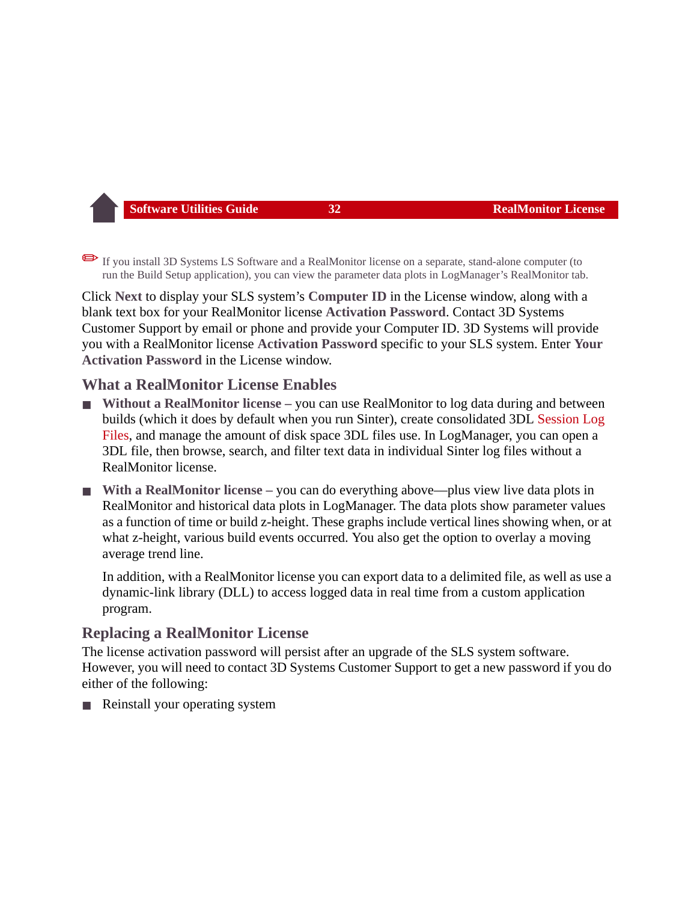✏If you install 3D Systems LS Software and a RealMonitor license on a separate, stand-alone computer (to run the Build Setup application), you can view the parameter data plots in LogManager's RealMonitor tab.

Click **Next** to display your SLS system's **Computer ID** in the License window, along with a blank text box for your RealMonitor license **Activation Password**. Contact 3D Systems Customer Support by email or phone and provide your Computer ID. 3D Systems will provide you with a RealMonitor license **Activation Password** specific to your SLS system. Enter **Your Activation Password** in the License window.

## **What a RealMonitor License Enables**

- **Without a RealMonitor license** you can use RealMonitor to log data during and between builds (which it does by default when you run Sinter), create consolidated 3DL [Session Log](#page-21-1)  [Files](#page-21-1), and manage the amount of disk space 3DL files use. In LogManager, you can open a 3DL file, then browse, search, and filter text data in individual Sinter log files without a RealMonitor license.
- With a RealMonitor license you can do everything above—plus view live data plots in RealMonitor and historical data plots in LogManager. The data plots show parameter values as a function of time or build z-height. These graphs include vertical lines showing when, or at what z-height, various build events occurred. You also get the option to overlay a moving average trend line.

In addition, with a RealMonitor license you can export data to a delimited file, as well as use a dynamic-link library (DLL) to access logged data in real time from a custom application program.

## **Replacing a RealMonitor License**

The license activation password will persist after an upgrade of the SLS system software. However, you will need to contact 3D Systems Customer Support to get a new password if you do either of the following:

Reinstall your operating system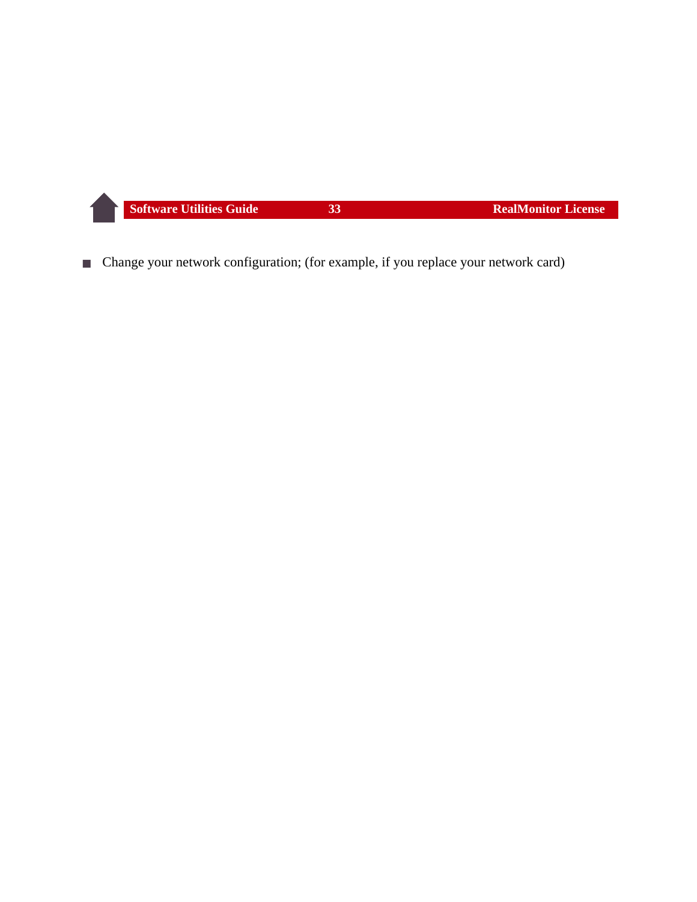■ Change your network configuration; (for example, if you replace your network card)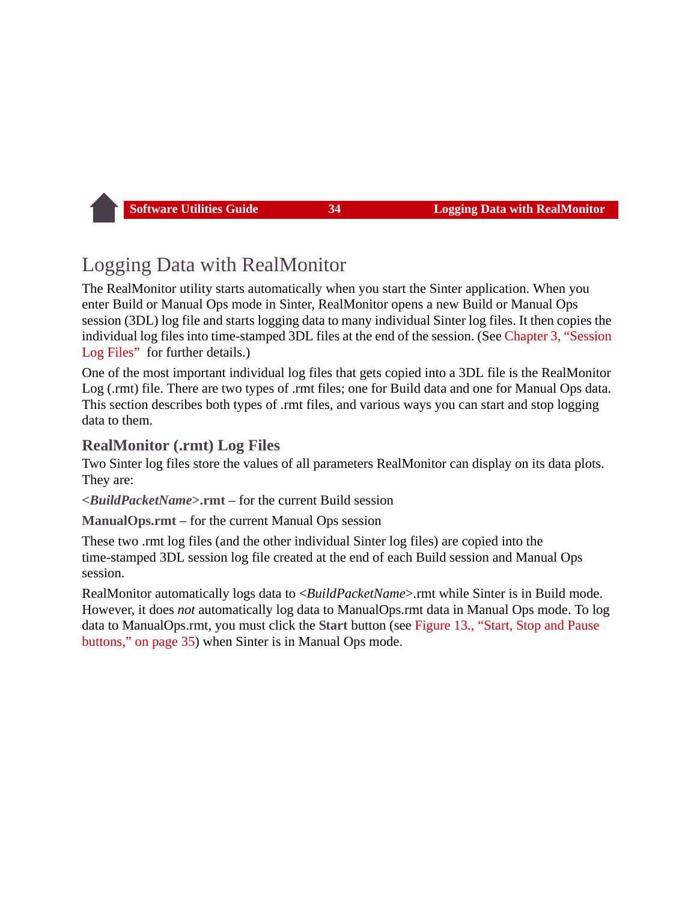## <span id="page-34-0"></span>Logging Data with RealMonitor

The RealMonitor utility starts automatically when you start the Sinter application. When you enter Build or Manual Ops mode in Sinter, RealMonitor opens a new Build or Manual Ops session (3DL) log file and starts logging data to many individual Sinter log files. It then copies the individual log files into time-stamped 3DL files at the end of the session. (See [Chapter 3, "Session](#page-21-1)  [Log Files"](#page-21-1) for further details.)

One of the most important individual log files that gets copied into a 3DL file is the RealMonitor Log (.rmt) file. There are two types of .rmt files; one for Build data and one for Manual Ops data. This section describes both types of .rmt files, and various ways you can start and stop logging data to them.

## <span id="page-34-1"></span>**RealMonitor (.rmt) Log Files**

Two Sinter log files store the values of all parameters RealMonitor can display on its data plots. They are:

**<***BuildPacketName***>.rmt** – for the current Build session

**ManualOps.rmt** – for the current Manual Ops session

These two .rmt log files (and the other individual Sinter log files) are copied into the time-stamped 3DL session log file created at the end of each Build session and Manual Ops session.

RealMonitor automatically logs data to <*BuildPacketName*>.rmt while Sinter is in Build mode. However, it does *not* automatically log data to ManualOps.rmt data in Manual Ops mode. To log data to ManualOps.rmt, you must click the **Start** button (see [Figure 13., "Start, Stop and Pause](#page-35-0)  [buttons," on page 35](#page-35-0)) when Sinter is in Manual Ops mode.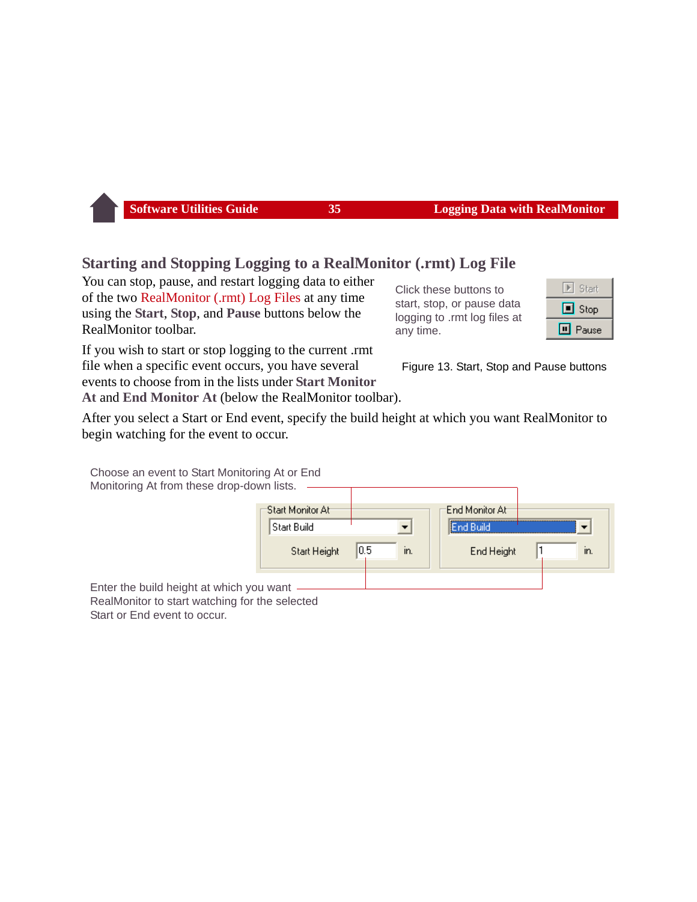## **Starting and Stopping Logging to a RealMonitor (.rmt) Log File**

You can stop, pause, and restart logging data to either of the two [RealMonitor \(.rmt\) Log Files](#page-34-1) at any time using the **Start**, **Stop**, and **Pause** buttons below the RealMonitor toolbar.

If you wish to start or stop logging to the current .rmt file when a specific event occurs, you have several events to choose from in the lists under **Start Monitor** 

**At** and **End Monitor At** (below the RealMonitor toolbar).

After you select a Start or End event, specify the build height at which you want RealMonitor to begin watching for the event to occur.

Choose an event to Start Monitoring At or End

Monitoring At from these drop-down lists.

| 'Start Monitor At- |            | End Monitor At |     |
|--------------------|------------|----------------|-----|
| Start Build        |            | Ind Build      |     |
| Start Height       | 0.5<br>In. | End Height     | In. |
| vou want           |            |                |     |

Enter the build height at which y RealMonitor to start watching for the selected Start or End event to occur.

Click these buttons to start, stop, or pause data logging to .rmt log files at any time.



<span id="page-35-0"></span>Figure 13. Start, Stop and Pause buttons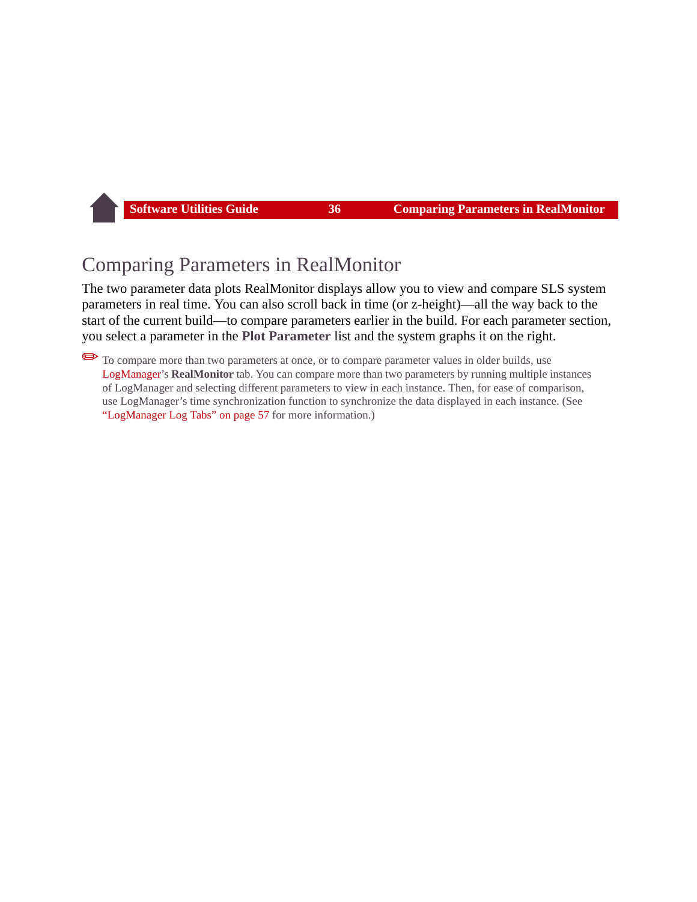## Comparing Parameters in RealMonitor

The two parameter data plots RealMonitor displays allow you to view and compare SLS system parameters in real time. You can also scroll back in time (or z-height)—all the way back to the start of the current build—to compare parameters earlier in the build. For each parameter section, you select a parameter in the **Plot Parameter** list and the system graphs it on the right.

✏To compare more than two parameters at once, or to compare parameter values in older builds, use [LogManager'](#page-46-0)s **RealMonitor** tab. You can compare more than two parameters by running multiple instances of LogManager and selecting different parameters to view in each instance. Then, for ease of comparison, use LogManager's time synchronization function to synchronize the data displayed in each instance. (See ["LogManager Log Tabs" on page 57](#page-57-0) for more information.)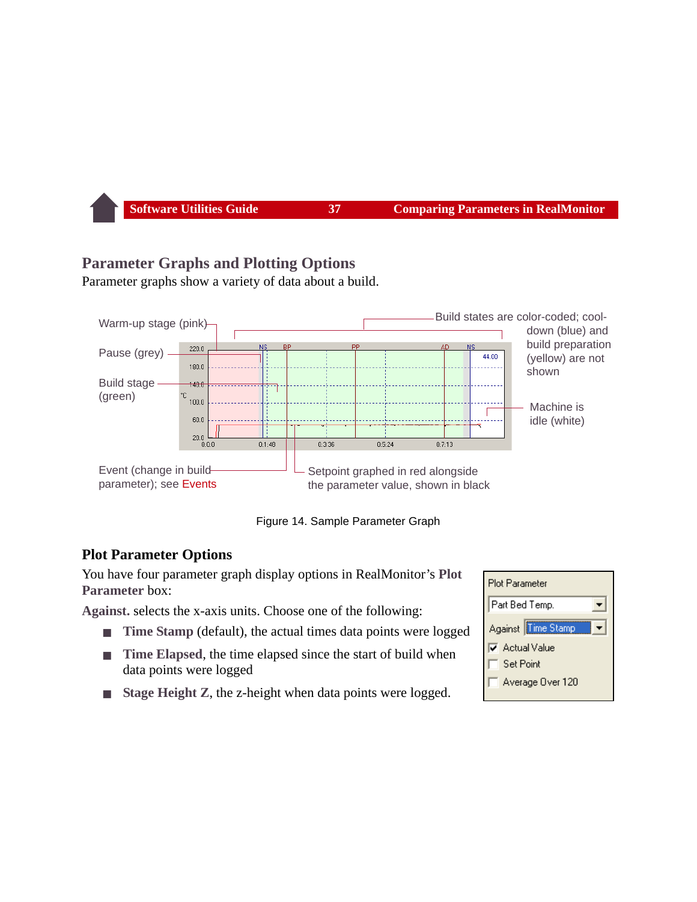## <span id="page-37-0"></span>**Parameter Graphs and Plotting Options**

Parameter graphs show a variety of data about a build.



Figure 14. Sample Parameter Graph

#### **Plot Parameter Options**

You have four parameter graph display options in RealMonitor's **Plot Parameter** box:

**Against.** selects the x-axis units. Choose one of the following:

- **Time Stamp** (default), the actual times data points were logged
- **Time Elapsed**, the time elapsed since the start of build when data points were logged
- **Stage Height Z, the z-height when data points were logged.**

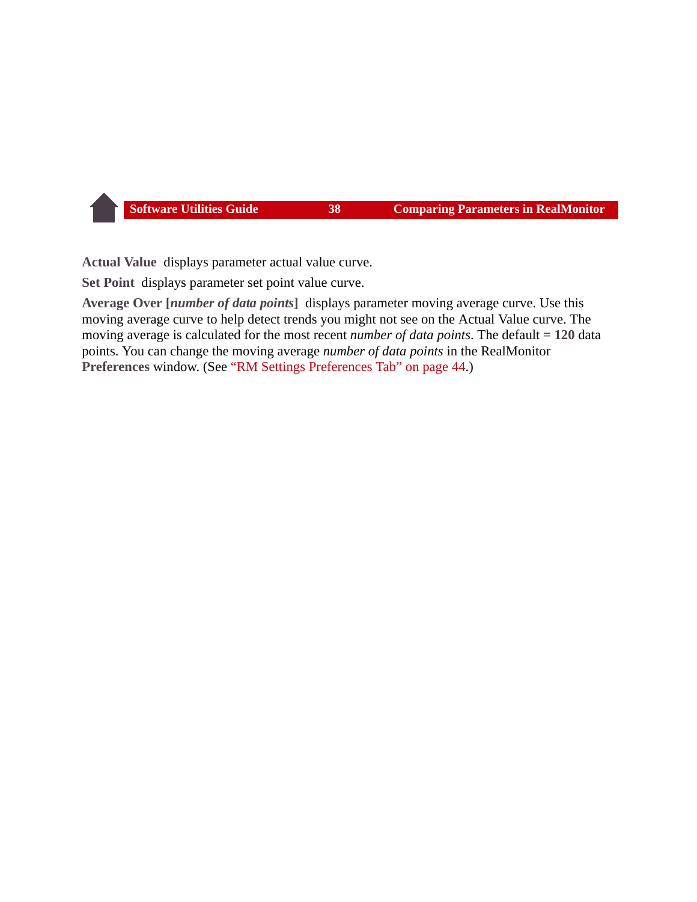**Actual Value** displays parameter actual value curve.

**Set Point** displays parameter set point value curve.

<span id="page-38-0"></span>**Average Over [***number of data points***]** displays parameter moving average curve. Use this moving average curve to help detect trends you might not see on the Actual Value curve. The moving average is calculated for the most recent *number of data points*. The default = **120** data points. You can change the moving average *number of data points* in the RealMonitor **Preferences** window. (See ["RM Settings Preferences Tab" on page 44](#page-44-0).)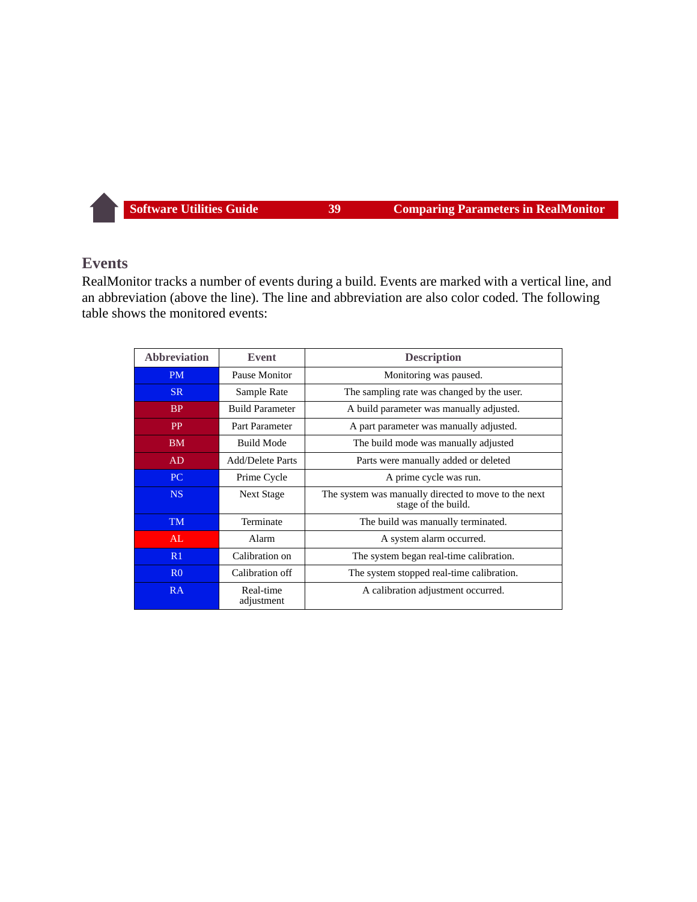#### <span id="page-39-1"></span><span id="page-39-0"></span>**Events**

RealMonitor tracks a number of events during a build. Events are marked with a vertical line, and an abbreviation (above the line). The line and abbreviation are also color coded. The following table shows the monitored events:

| <b>Abbreviation</b> | Event                   | <b>Description</b>                                                          |
|---------------------|-------------------------|-----------------------------------------------------------------------------|
| <b>PM</b>           | Pause Monitor           | Monitoring was paused.                                                      |
| SR.                 | Sample Rate             | The sampling rate was changed by the user.                                  |
| B <sub>P</sub>      | <b>Build Parameter</b>  | A build parameter was manually adjusted.                                    |
| <b>PP</b>           | Part Parameter          | A part parameter was manually adjusted.                                     |
| <b>BM</b>           | <b>Build Mode</b>       | The build mode was manually adjusted                                        |
| AD                  | <b>Add/Delete Parts</b> | Parts were manually added or deleted                                        |
| PC.                 | Prime Cycle             | A prime cycle was run.                                                      |
| NS.                 | <b>Next Stage</b>       | The system was manually directed to move to the next<br>stage of the build. |
| <b>TM</b>           | Terminate               | The build was manually terminated.                                          |
| AL                  | Alarm                   | A system alarm occurred.                                                    |
| R1                  | Calibration on          | The system began real-time calibration.                                     |
| R <sub>0</sub>      | Calibration off         | The system stopped real-time calibration.                                   |
| RA                  | Real-time<br>adjustment | A calibration adjustment occurred.                                          |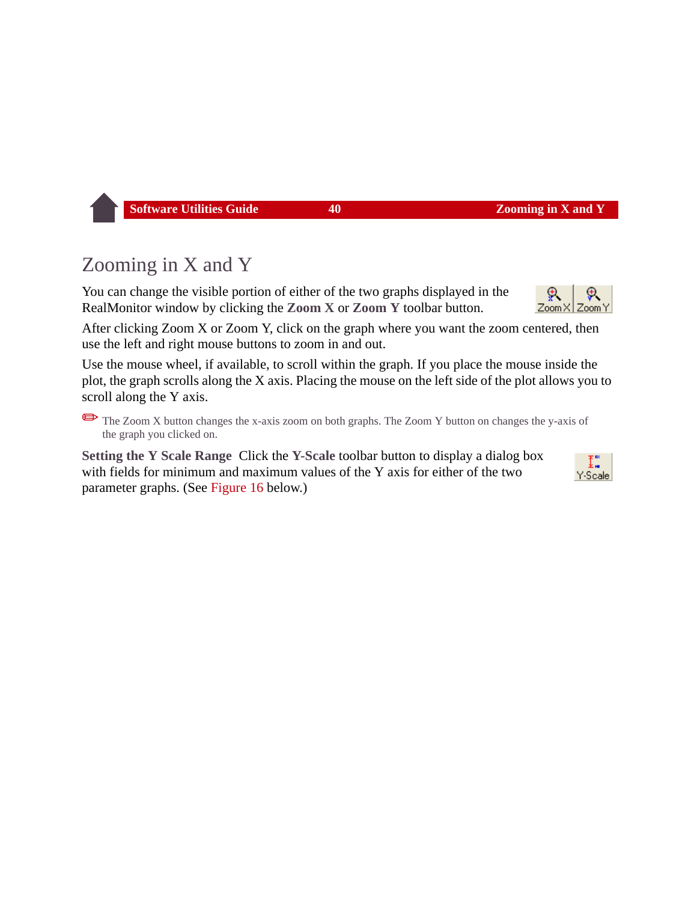# <span id="page-40-0"></span>Zooming in X and Y

You can change the visible portion of either of the two graphs displayed in the RealMonitor window by clicking the **Zoom X** or **Zoom Y** toolbar button.

After clicking Zoom X or Zoom Y, click on the graph where you want the zoom centered, then use the left and right mouse buttons to zoom in and out.

Use the mouse wheel, if available, to scroll within the graph. If you place the mouse inside the plot, the graph scrolls along the X axis. Placing the mouse on the left side of the plot allows you to scroll along the Y axis.

The Zoom X button changes the x-axis zoom on both graphs. The Zoom Y button on changes the y-axis of the graph you clicked on.

**Setting the Y Scale Range** Click the **Y-Scale** toolbar button to display a dialog box with fields for minimum and maximum values of the Y axis for either of the two parameter graphs. (See [Figure 16](#page-41-0) below.)

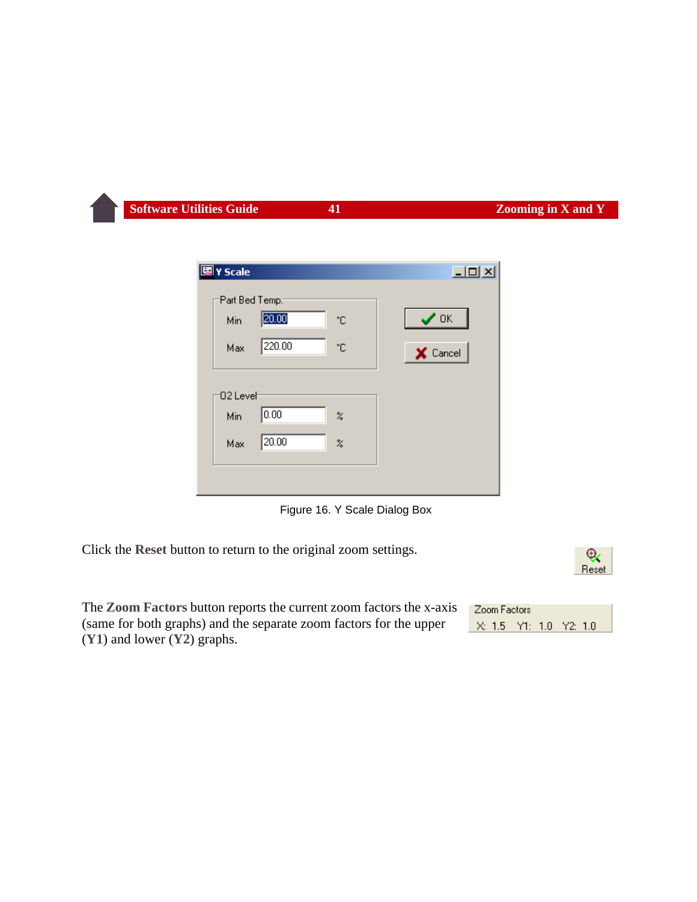| 图 Y Scale      |                            | $\Box$     |
|----------------|----------------------------|------------|
| Part Bed Temp. |                            |            |
| 20.00<br>Min   | ۴C                         | $\sqrt{a}$ |
| 220.00<br>Max  | °C                         | X Cancel   |
| 02 Leveh       |                            |            |
| 0.00<br>Min    | $\%$                       |            |
| 20.00<br>Max   | $\boldsymbol{\mathcal{Z}}$ |            |
|                |                            |            |

<span id="page-41-1"></span><span id="page-41-0"></span>Figure 16. Y Scale Dialog Box

Click the **Reset** button to return to the original zoom settings.



The **Zoom Factors** button reports the current zoom factors the x-axis (same for both graphs) and the separate zoom factors for the upper (**Y1**) and lower (**Y2**) graphs.

| Zoom Factors |  |                        |  |
|--------------|--|------------------------|--|
|              |  | X: 1.5 Y1: 1.0 Y2: 1.0 |  |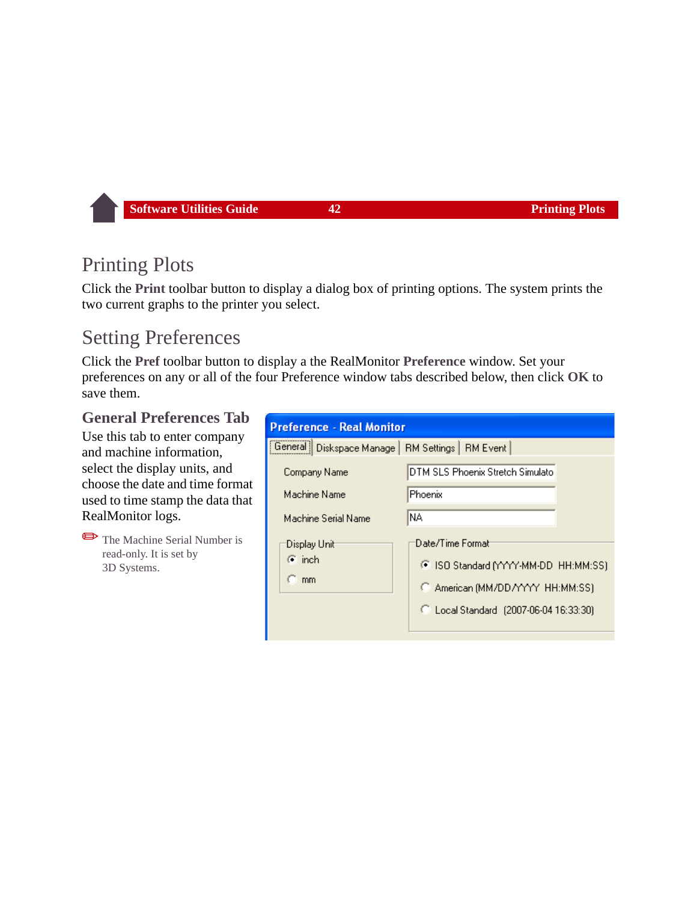## Printing Plots

Click the **Print** toolbar button to display a dialog box of printing options. The system prints the two current graphs to the printer you select.

## <span id="page-42-1"></span>Setting Preferences

Click the **Pref** toolbar button to display a the RealMonitor **Preference** window. Set your preferences on any or all of the four Preference window tabs described below, then click **OK** to save them.

#### <span id="page-42-0"></span>**General Preferences Tab**

Use this tab to enter company and machine information, select the display units, and choose the date and time format used to time stamp the data that RealMonitor logs.

✏The Machine Serial Number is read-only. It is set by 3D Systems.

| <b>Preference - Real Monitor</b>                    |                                        |  |
|-----------------------------------------------------|----------------------------------------|--|
| General   Diskspace Manage   RM Settings   RM Event |                                        |  |
| Company Name                                        | DTM SLS Phoenix Stretch Simulato       |  |
| Machine Name                                        | <b>Phoenix</b>                         |  |
| Machine Serial Name                                 | INA.                                   |  |
| Display Unit                                        | Date/Time Format                       |  |
| $\binom{2}{3}$ inch                                 | C ISO Standard (YYYY-MM-DD HH:MM:SS)   |  |
| mm.                                                 | C American (MM/DD/YYYY HH:MM:SS)       |  |
|                                                     | C Local Standard (2007-06-04 16:33:30) |  |
|                                                     |                                        |  |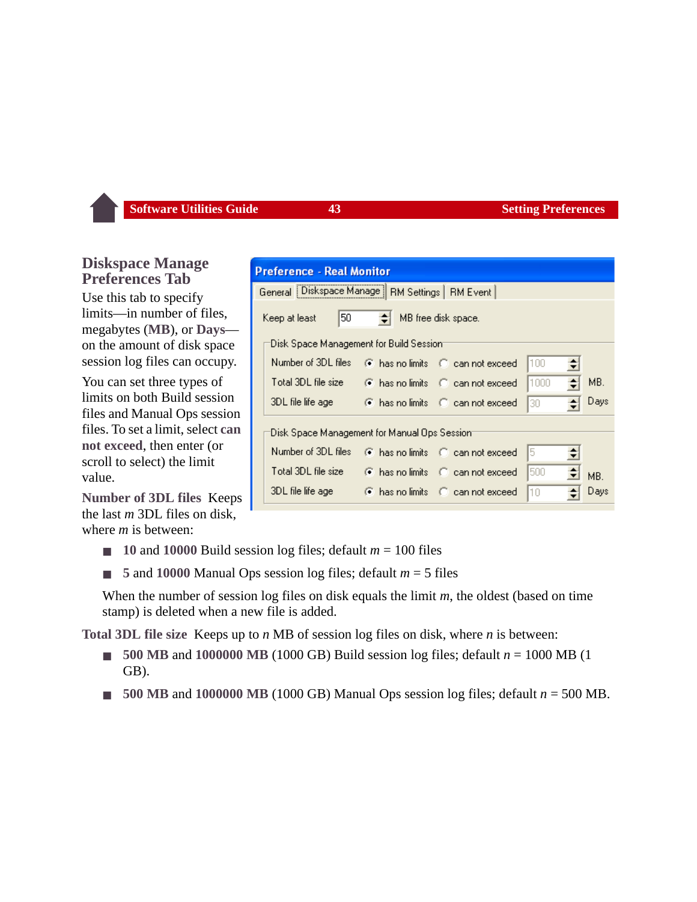#### **Diskspace Manage Preferences Tab**

Use this tab to specify limits—in number of files, megabytes (**MB**), or **Days** on the amount of disk space session log files can occupy.

You can set three types of limits on both Build session files and Manual Ops session files. To set a limit, select **can not exceed**, then enter (or scroll to select) the limit value.

**Number of 3DL files** Keeps the last *m* 3DL files on disk, where *m* is between:

- $\blacksquare$  **10** and **10000** Build session log files; default  $m = 100$  files
- 5 and 10000 Manual Ops session log files; default  $m = 5$  files

When the number of session log files on disk equals the limit *m*, the oldest (based on time stamp) is deleted when a new file is added.

**Total 3DL file size** Keeps up to *n* MB of session log files on disk, where *n* is between:

- **500 MB** and **1000000 MB** (1000 GB) Build session log files; default *n* = 1000 MB (1 GB).
- 500 MB and  $1000000$  MB (1000 GB) Manual Ops session log files; default  $n = 500$  MB.

| Preference - Real Monitor                               |                                                        |  |  |  |
|---------------------------------------------------------|--------------------------------------------------------|--|--|--|
|                                                         |                                                        |  |  |  |
|                                                         | General   Diskspace Manage   RM Settings   RM Event    |  |  |  |
| 50<br>$\leftarrow$ MB free disk space.<br>Keep at least |                                                        |  |  |  |
| Disk Space Management for Build Session:                |                                                        |  |  |  |
| Number of 3DL files                                     | 100<br>⊙ has no limits ∴ Ci⊥can not exceed<br>희        |  |  |  |
| Total 3DL file size                                     | MB.<br>1000<br>쉬<br>⊙ has no limits ∴ C can not exceed |  |  |  |
| 3DL file life age                                       | Days<br>has no limits C can not exceed<br>30<br>이      |  |  |  |
|                                                         | Disk Space Management for Manual Ops Session:          |  |  |  |
| Number of 3DL files                                     | 15.<br>C has no limits C can not exceed<br>회           |  |  |  |
| Total 3DL file size                                     | 500<br>has no limits C can not exceed<br>MB.           |  |  |  |
| 3DL file life age                                       | Days<br>has no limits C can not exceed<br>10<br>÷      |  |  |  |
|                                                         |                                                        |  |  |  |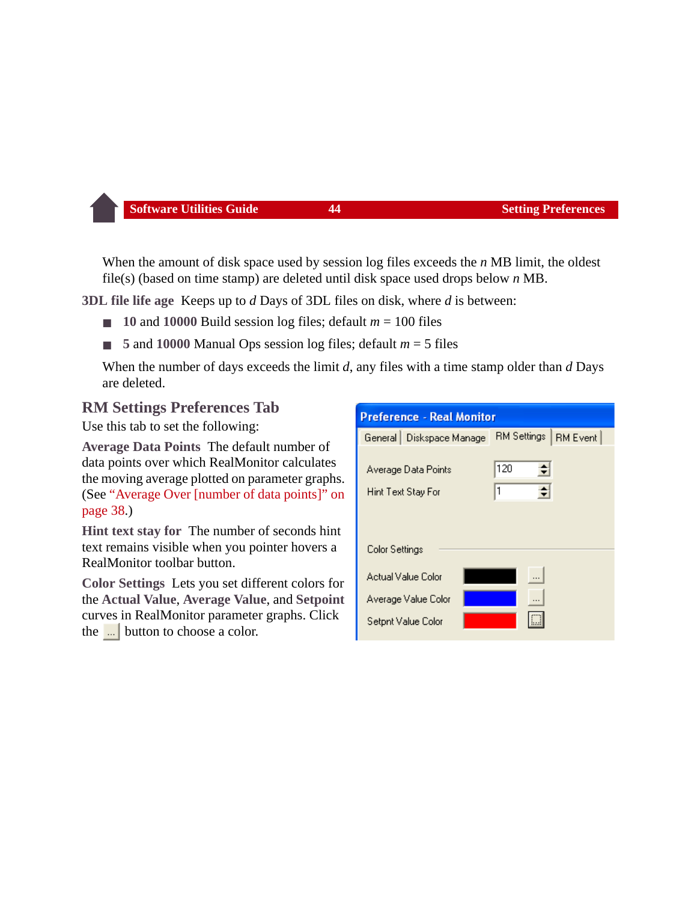When the amount of disk space used by session log files exceeds the *n* MB limit, the oldest file(s) (based on time stamp) are deleted until disk space used drops below *n* MB.

**3DL file life age** Keeps up to *d* Days of 3DL files on disk, where *d* is between:

- $\blacksquare$  **10** and **10000** Build session log files; default  $m = 100$  files
- 5 and 10000 Manual Ops session log files; default  $m = 5$  files

When the number of days exceeds the limit *d*, any files with a time stamp older than *d* Days are deleted.

#### <span id="page-44-0"></span>**RM Settings Preferences Tab**

Use this tab to set the following:

**Average Data Points** The default number of data points over which RealMonitor calculates the moving average plotted on parameter graphs. (See ["Average Over \[number of data points\]" on](#page-38-0)  [page 38.](#page-38-0))

**Hint text stay for** The number of seconds hint text remains visible when you pointer hovers a RealMonitor toolbar button.

**Color Settings** Lets you set different colors for the **Actual Value**, **Average Value**, and **Setpoint** curves in RealMonitor parameter graphs. Click the  $\frac{1}{2}$  button to choose a color.

| <b>Preference - Real Monitor</b>                                |                    |                 |  |
|-----------------------------------------------------------------|--------------------|-----------------|--|
| General   Diskspace Manage                                      | <b>RM Settings</b> | <b>RM Event</b> |  |
| Average Data Points<br>Hint Text Stay For                       | 120<br>쉬<br>1      |                 |  |
| Color Settings                                                  |                    |                 |  |
| Actual Value Color<br>Average Value Color<br>Setpnt Value Color |                    |                 |  |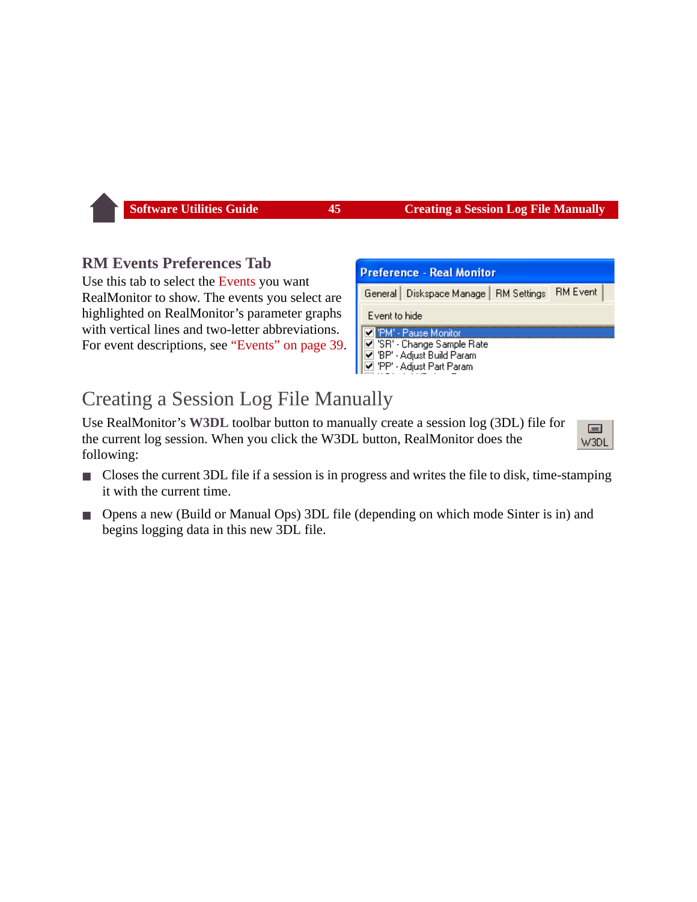#### **RM Events Preferences Tab**

Use this tab to select the [Events](#page-39-0) you want RealMonitor to show. The events you select are highlighted on RealMonitor's parameter graphs with vertical lines and two-letter abbreviations. For event descriptions, see ["Events" on page 39.](#page-39-0)

| <b>Preference - Real Monitor</b>         |                 |  |  |
|------------------------------------------|-----------------|--|--|
| General   Diskspace Manage   RM Settings | <b>RM Event</b> |  |  |
| Event to hide                            |                 |  |  |
| PM' - Pause Monitor                      |                 |  |  |
| ☑ 'SR' - Change Sample Rate              |                 |  |  |
| ☑ 'BP' - Adjust Build Param              |                 |  |  |
| ☑ 'PP' - Adjust Part Param               |                 |  |  |

 $=$ W3DI

## Creating a Session Log File Manually

Use RealMonitor's **W3DL** toolbar button to manually create a session log (3DL) file for the current log session. When you click the W3DL button, RealMonitor does the following:

- Closes the current 3DL file if a session is in progress and writes the file to disk, time-stamping it with the current time.
- Opens a new (Build or Manual Ops) 3DL file (depending on which mode Sinter is in) and begins logging data in this new 3DL file.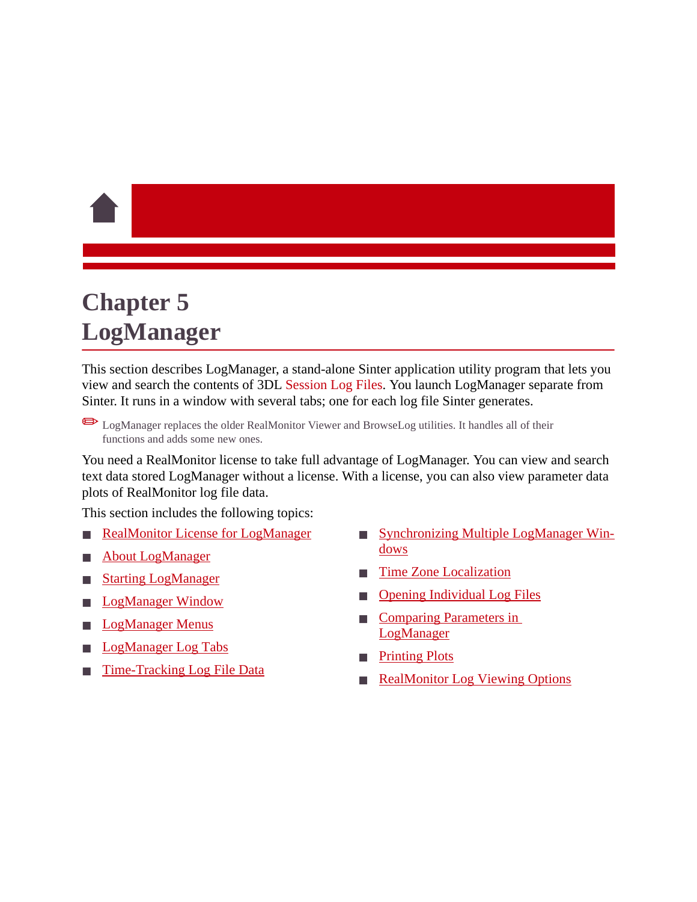# <span id="page-46-0"></span>**Chapter 5 LogManager**

This section describes LogManager, a stand-alone Sinter application utility program that lets you view and search the contents of 3DL [Session Log Files](#page-21-0). You launch LogManager separate from Sinter. It runs in a window with several tabs; one for each log file Sinter generates.

✏LogManager replaces the older RealMonitor Viewer and BrowseLog utilities. It handles all of their functions and adds some new ones.

You need a RealMonitor license to take full advantage of LogManager. You can view and search text data stored LogManager without a license. With a license, you can also view parameter data plots of RealMonitor log file data.

This section includes the following topics:

- **[RealMonitor License for LogManager](#page-47-0)**
- [About LogManager](#page-47-1)
- **[Starting LogManager](#page-48-0)**
- [LogManager Window](#page-49-0)
- **[LogManager Menus](#page-55-0)**
- [LogManager Log Tabs](#page-57-1)
- [Time-Tracking Log File Data](#page-70-0)
- [Synchronizing Multiple LogManager Win](#page-70-1)dows
- [Time Zone Localization](#page-72-0)
- **[Opening Individual Log Files](#page-72-1)**
- Comparing Parameters in LogManager
- **[Printing Plots](#page-73-0)**
- **[RealMonitor Log Viewing Options](#page-73-1)**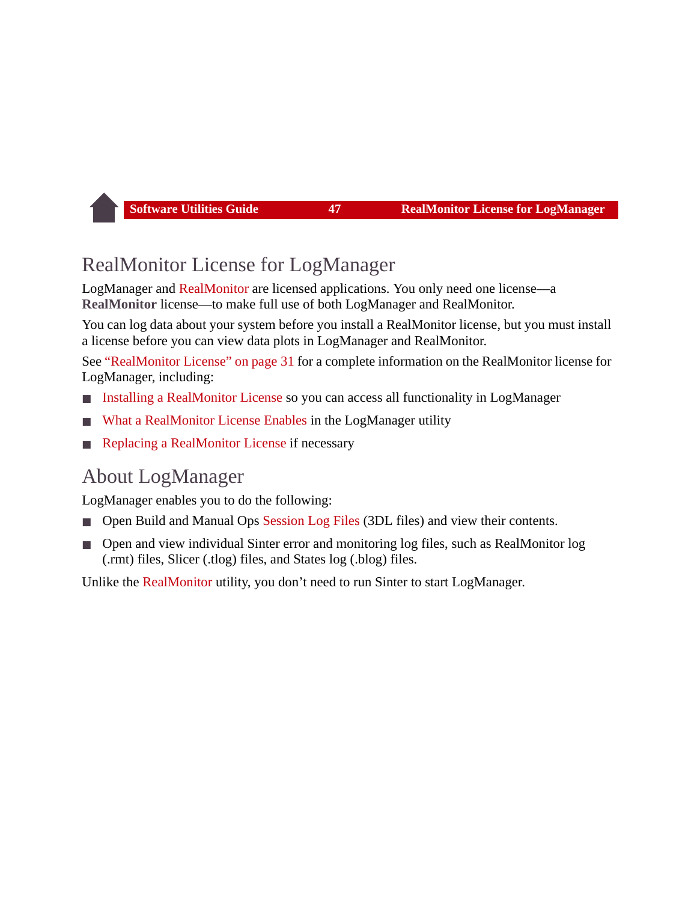## <span id="page-47-0"></span>RealMonitor License for LogManager

LogManager and [RealMonitor](#page-30-0) are licensed applications. You only need one license—a **RealMonitor** license—to make full use of both LogManager and RealMonitor.

You can log data about your system before you install a RealMonitor license, but you must install a license before you can view data plots in LogManager and RealMonitor.

See ["RealMonitor License" on page 31](#page-31-0) for a complete information on the RealMonitor license for LogManager, including:

- [Installing a RealMonitor License](#page-31-1) so you can access all functionality in LogManager
- [What a RealMonitor License Enables](#page-32-0) in the LogManager utility
- [Replacing a RealMonitor License](#page-32-1) if necessary

## <span id="page-47-1"></span>About LogManager

LogManager enables you to do the following:

- Open Build and Manual Ops [Session Log Files](#page-21-0) (3DL files) and view their contents.
- Open and view individual Sinter error and monitoring log files, such as RealMonitor log (.rmt) files, Slicer (.tlog) files, and States log (.blog) files.

Unlike the [RealMonitor](#page-30-0) utility, you don't need to run Sinter to start LogManager.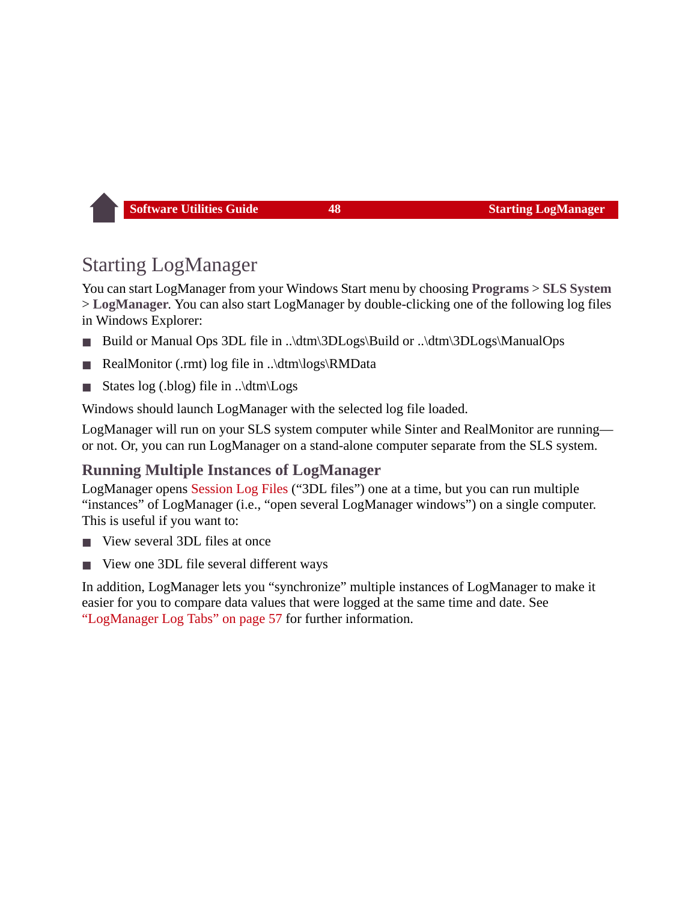## <span id="page-48-0"></span>Starting LogManager

You can start LogManager from your Windows Start menu by choosing **Programs** > **SLS System** > **LogManager**. You can also start LogManager by double-clicking one of the following log files in Windows Explorer:

- Build or Manual Ops 3DL file in ..\dtm\3DLogs\Build or ..\dtm\3DLogs\ManualOps
- RealMonitor (.rmt) log file in ..\dtm\logs\RMData
- States log (.blog) file in ..\dtm\Logs

Windows should launch LogManager with the selected log file loaded.

LogManager will run on your SLS system computer while Sinter and RealMonitor are running or not. Or, you can run LogManager on a stand-alone computer separate from the SLS system.

## **Running Multiple Instances of LogManager**

LogManager opens [Session Log Files](#page-21-0) ("3DL files") one at a time, but you can run multiple "instances" of LogManager (i.e., "open several LogManager windows") on a single computer. This is useful if you want to:

- View several 3DL files at once
- View one 3DL file several different ways

In addition, LogManager lets you "synchronize" multiple instances of LogManager to make it easier for you to compare data values that were logged at the same time and date. See ["LogManager Log Tabs" on page 57](#page-57-1) for further information.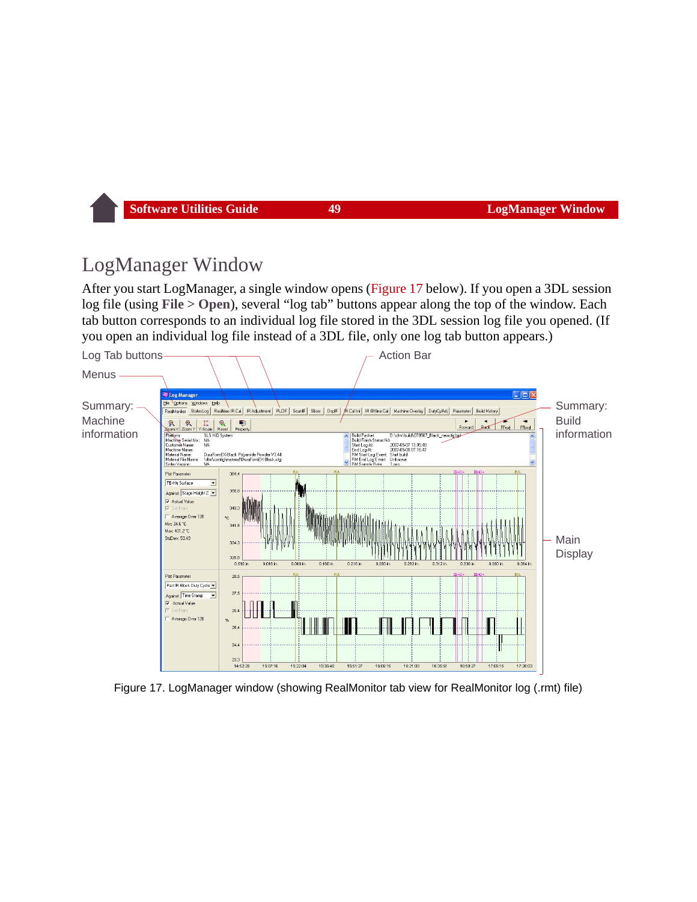## <span id="page-49-0"></span>LogManager Window

After you start LogManager, a single window opens ([Figure 17](#page-49-1) below). If you open a 3DL session log file (using **File** > **Open**), several "log tab" buttons appear along the top of the window. Each tab button corresponds to an individual log file stored in the 3DL session log file you opened. (If you open an individual log file instead of a 3DL file, only one log tab button appears.)



<span id="page-49-1"></span>Figure 17. LogManager window (showing RealMonitor tab view for RealMonitor log (.rmt) file)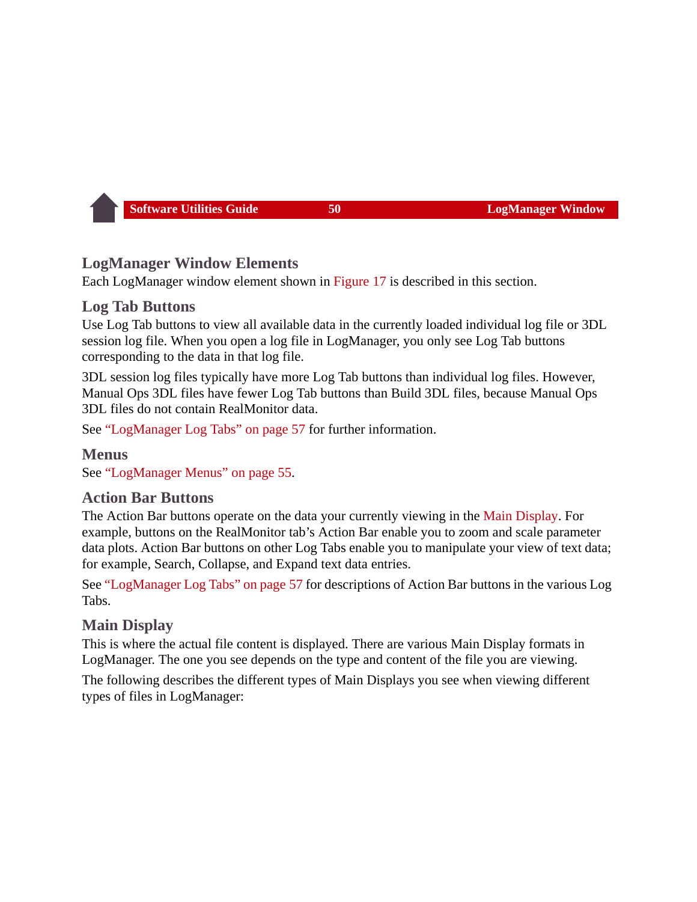## **LogManager Window Elements**

Each LogManager window element shown in [Figure 17](#page-49-1) is described in this section.

#### **Log Tab Buttons**

Use Log Tab buttons to view all available data in the currently loaded individual log file or 3DL session log file. When you open a log file in LogManager, you only see Log Tab buttons corresponding to the data in that log file.

3DL session log files typically have more Log Tab buttons than individual log files. However, Manual Ops 3DL files have fewer Log Tab buttons than Build 3DL files, because Manual Ops 3DL files do not contain RealMonitor data.

See ["LogManager Log Tabs" on page 57](#page-57-1) for further information.

**Menus** See ["LogManager Menus" on page 55](#page-55-0).

#### **Action Bar Buttons**

The Action Bar buttons operate on the data your currently viewing in the [Main Display](#page-50-0). For example, buttons on the RealMonitor tab's Action Bar enable you to zoom and scale parameter data plots. Action Bar buttons on other Log Tabs enable you to manipulate your view of text data; for example, Search, Collapse, and Expand text data entries.

See ["LogManager Log Tabs" on page 57](#page-57-1) for descriptions of Action Bar buttons in the various Log Tabs.

## <span id="page-50-0"></span>**Main Display**

This is where the actual file content is displayed. There are various Main Display formats in LogManager. The one you see depends on the type and content of the file you are viewing.

The following describes the different types of Main Displays you see when viewing different types of files in LogManager: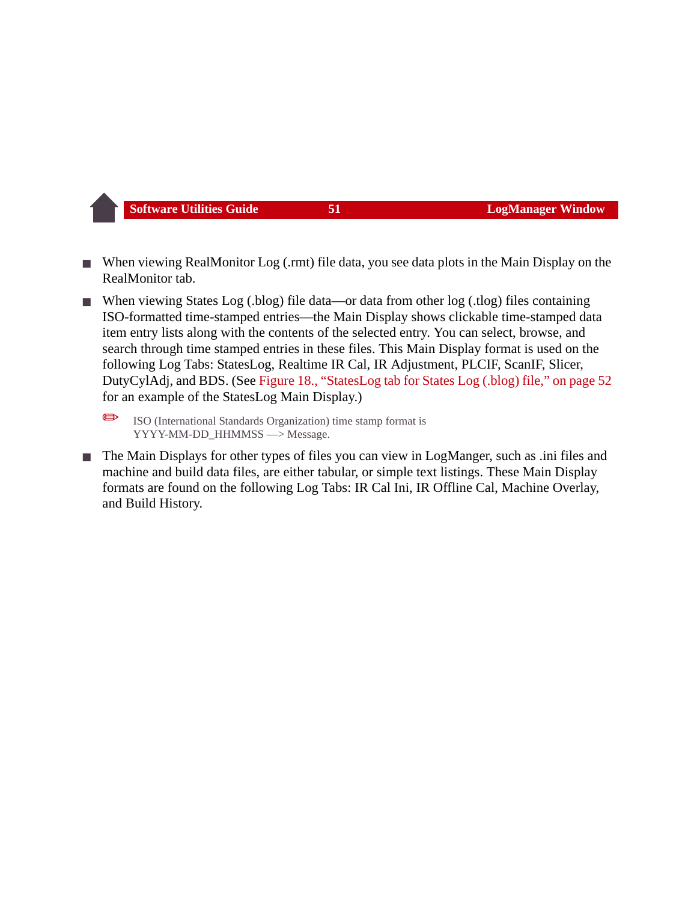- When viewing RealMonitor Log (.rmt) file data, you see data plots in the Main Display on the RealMonitor tab.
- When viewing States Log (.blog) file data—or data from other log (.tlog) files containing ISO-formatted time-stamped entries—the Main Display shows clickable time-stamped data item entry lists along with the contents of the selected entry. You can select, browse, and search through time stamped entries in these files. This Main Display format is used on the following Log Tabs: StatesLog, Realtime IR Cal, IR Adjustment, PLCIF, ScanIF, Slicer, DutyCylAdj, and BDS. (See [Figure 18., "StatesLog tab for States Log \(.blog\) file," on page 52](#page-52-0) for an example of the StatesLog Main Display.)
	- ✏ ISO (International Standards Organization) time stamp format is YYYY-MM-DD\_HHMMSS —> Message.
- The Main Displays for other types of files you can view in LogManger, such as .ini files and machine and build data files, are either tabular, or simple text listings. These Main Display formats are found on the following Log Tabs: IR Cal Ini, IR Offline Cal, Machine Overlay, and Build History.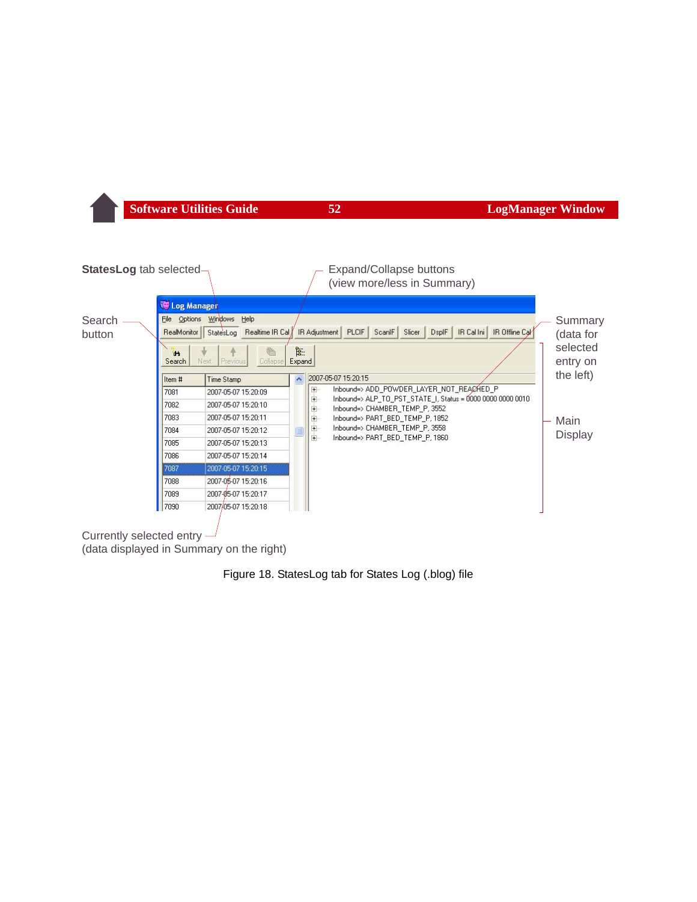

<span id="page-52-0"></span>(data displayed in Summary on the right)

Figure 18. StatesLog tab for States Log (.blog) file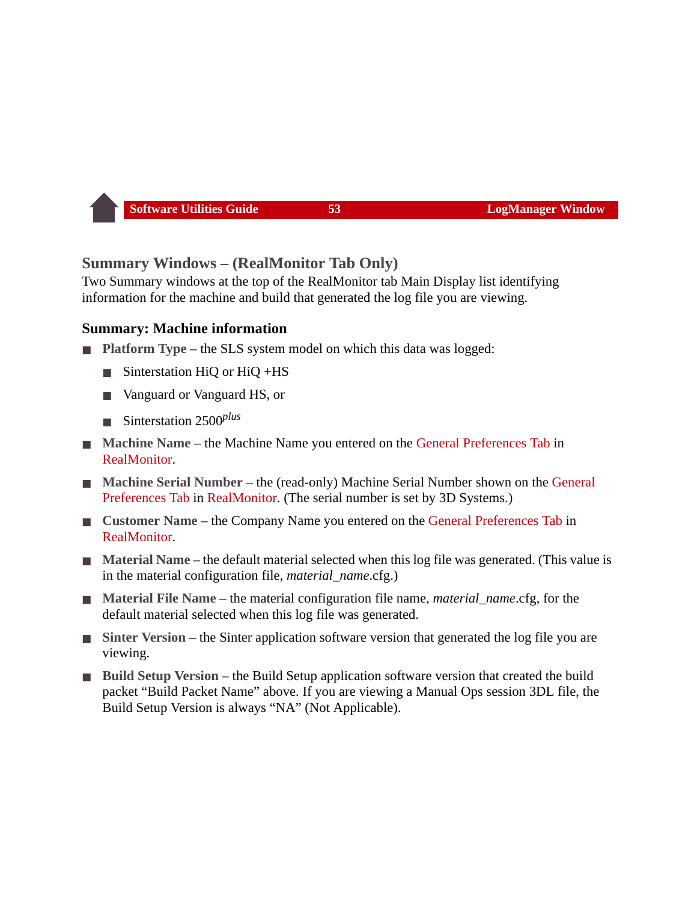#### <span id="page-53-0"></span>**Summary Windows – (RealMonitor Tab Only)**

Two Summary windows at the top of the RealMonitor tab Main Display list identifying information for the machine and build that generated the log file you are viewing.

#### **Summary: Machine information**

- **Platform Type the SLS system model on which this data was logged:** 
	- Sinterstation HiQ or HiQ +HS
	- Vanguard or Vanguard HS, or
	- Sinterstation 2500<sup>*plus*</sup>
- **Machine Name** the Machine Name you entered on the [General Preferences Tab](#page-42-0) in [RealMonitor](#page-30-0).
- **Machine Serial Number** the (read-only) Machine Serial Number shown on the General [Preferences Tab](#page-42-0) in [RealMonitor](#page-30-0). (The serial number is set by 3D Systems.)
- **Customer Name** the Company Name you entered on the [General Preferences Tab](#page-42-0) in [RealMonitor](#page-30-0).
- **Material Name** the default material selected when this log file was generated. (This value is in the material configuration file, *material\_name*.cfg.)
- **Material File Name** the material configuration file name, *material name*.cfg, for the default material selected when this log file was generated.
- **Sinter Version** the Sinter application software version that generated the log file you are viewing.
- **Build Setup Version** the Build Setup application software version that created the build packet "Build Packet Name" above. If you are viewing a Manual Ops session 3DL file, the Build Setup Version is always "NA" (Not Applicable).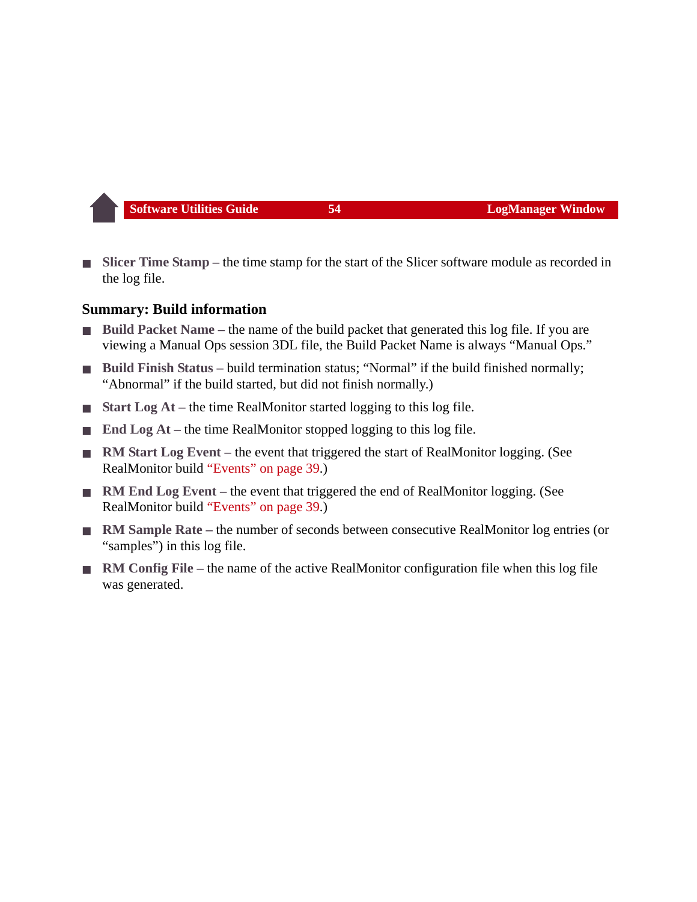**Slicer Time Stamp – the time stamp for the start of the Slicer software module as recorded in** the log file.

#### **Summary: Build information**

- **Build Packet Name** the name of the build packet that generated this log file. If you are viewing a Manual Ops session 3DL file, the Build Packet Name is always "Manual Ops."
- **Build Finish Status build termination status; "Normal" if the build finished normally;** "Abnormal" if the build started, but did not finish normally.)
- **Start Log At** the time RealMonitor started logging to this log file.
- **End Log At** the time RealMonitor stopped logging to this log file.
- **RM Start Log Event** the event that triggered the start of RealMonitor logging. (See RealMonitor build ["Events" on page 39.](#page-39-1))
- **RM End Log Event** the event that triggered the end of RealMonitor logging. (See RealMonitor build ["Events" on page 39.](#page-39-1))
- **RM Sample Rate** the number of seconds between consecutive RealMonitor log entries (or "samples") in this log file.
- **RM Config File the name of the active RealMonitor configuration file when this log file** was generated.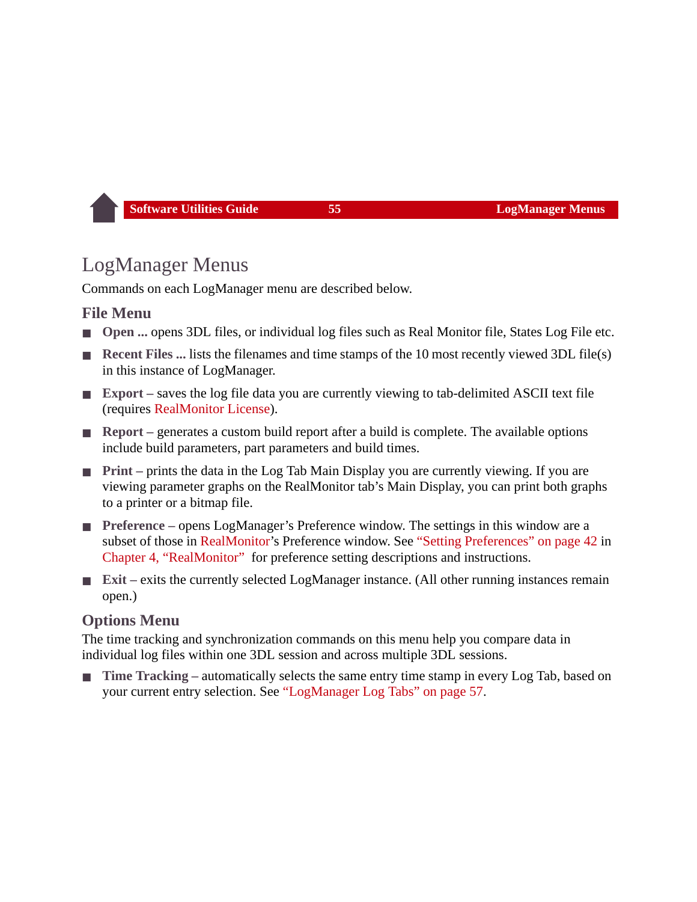# <span id="page-55-0"></span>LogManager Menus

Commands on each LogManager menu are described below.

#### **File Menu**

- **Open ...** opens 3DL files, or individual log files such as Real Monitor file, States Log File etc.
- **Recent Files ...** lists the filenames and time stamps of the 10 most recently viewed 3DL file(s) in this instance of LogManager.
- **Export** saves the log file data you are currently viewing to tab-delimited ASCII text file (requires [RealMonitor License](#page-31-0)).
- **Report** generates a custom build report after a build is complete. The available options include build parameters, part parameters and build times.
- **Print** prints the data in the Log Tab Main Display you are currently viewing. If you are viewing parameter graphs on the RealMonitor tab's Main Display, you can print both graphs to a printer or a bitmap file.
- **Preference** opens LogManager's Preference window. The settings in this window are a subset of those in [RealMonitor](#page-30-0)'s Preference window. See ["Setting Preferences" on page 42](#page-42-1) in [Chapter 4, "RealMonitor"](#page-30-0) for preference setting descriptions and instructions.
- **Exit** exits the currently selected LogManager instance. (All other running instances remain open.)

## <span id="page-55-1"></span>**Options Menu**

The time tracking and synchronization commands on this menu help you compare data in individual log files within one 3DL session and across multiple 3DL sessions.

■ **Time Tracking** – automatically selects the same entry time stamp in every Log Tab, based on your current entry selection. See ["LogManager Log Tabs" on page 57.](#page-57-1)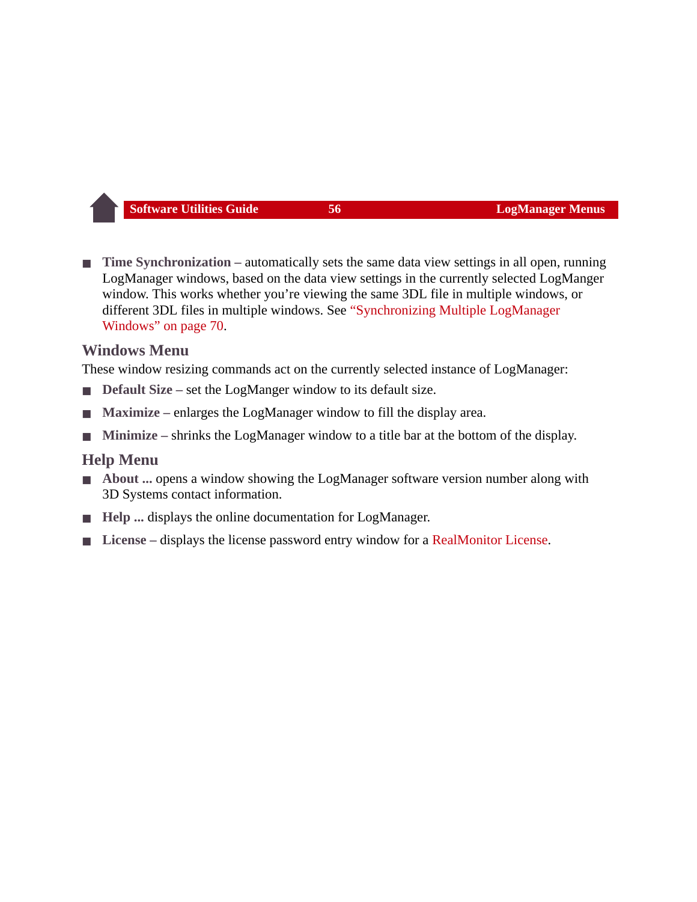■ **Time Synchronization** – automatically sets the same data view settings in all open, running LogManager windows, based on the data view settings in the currently selected LogManger window. This works whether you're viewing the same 3DL file in multiple windows, or different 3DL files in multiple windows. See ["Synchronizing Multiple LogManager](#page-70-1)  [Windows" on page 70](#page-70-1).

#### **Windows Menu**

These window resizing commands act on the currently selected instance of LogManager:

- **Default Size** set the LogManger window to its default size.
- Maximize enlarges the LogManager window to fill the display area.
- **Minimize** shrinks the LogManager window to a title bar at the bottom of the display.

#### **Help Menu**

- About ... opens a window showing the LogManager software version number along with 3D Systems contact information.
- **Help** ... displays the online documentation for LogManager.
- License displays the license password entry window for a [RealMonitor License](#page-31-0).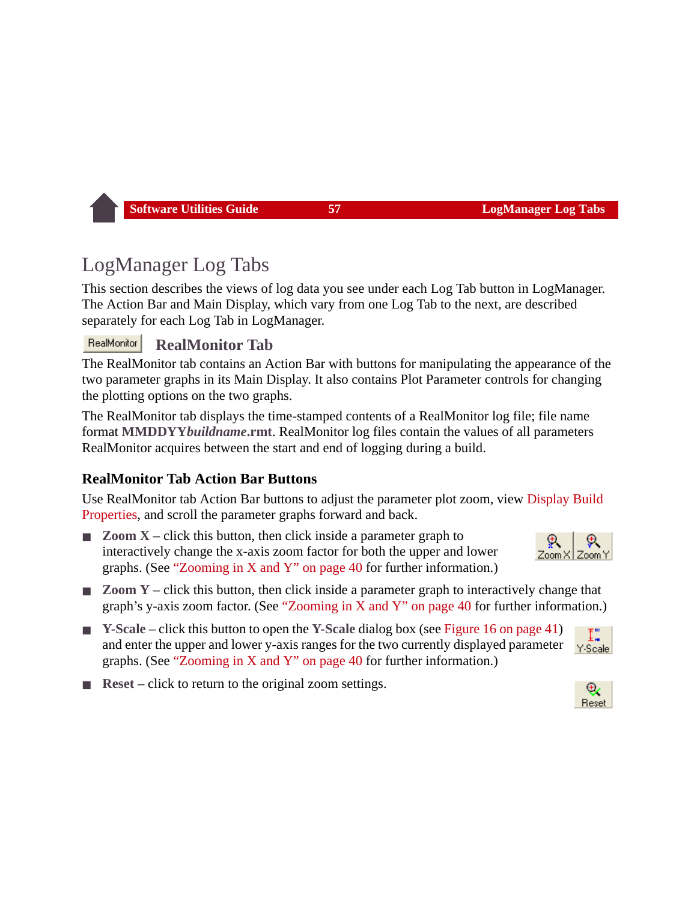# <span id="page-57-1"></span><span id="page-57-0"></span>LogManager Log Tabs

This section describes the views of log data you see under each Log Tab button in LogManager. The Action Bar and Main Display, which vary from one Log Tab to the next, are described separately for each Log Tab in LogManager.

#### RealMonitor **RealMonitor Tab**

The RealMonitor tab contains an Action Bar with buttons for manipulating the appearance of the two parameter graphs in its Main Display. It also contains Plot Parameter controls for changing the plotting options on the two graphs.

The RealMonitor tab displays the time-stamped contents of a RealMonitor log file; file name format **MMDDYY***buildname***.rmt**. RealMonitor log files contain the values of all parameters RealMonitor acquires between the start and end of logging during a build.

#### **RealMonitor Tab Action Bar Buttons**

Use RealMonitor tab Action Bar buttons to adjust the parameter plot zoom, view [Display Build](#page-74-0)  [Properties,](#page-74-0) and scroll the parameter graphs forward and back.

- **Zoom X** click this button, then click inside a parameter graph to interactively change the x-axis zoom factor for both the upper and lower graphs. (See ["Zooming in X and Y" on page 40](#page-40-0) for further information.)
- **Zoom Y** click this button, then click inside a parameter graph to interactively change that graph's y-axis zoom factor. (See ["Zooming in X and Y" on page 40](#page-40-0) for further information.)
- **Y-Scale** click this button to open the **Y-Scale** dialog box (see [Figure 16 on page 41\)](#page-41-1) and enter the upper and lower y-axis ranges for the two currently displayed parameter graphs. (See ["Zooming in X and Y" on page 40](#page-40-0) for further information.)
- **Reset** click to return to the original zoom settings.





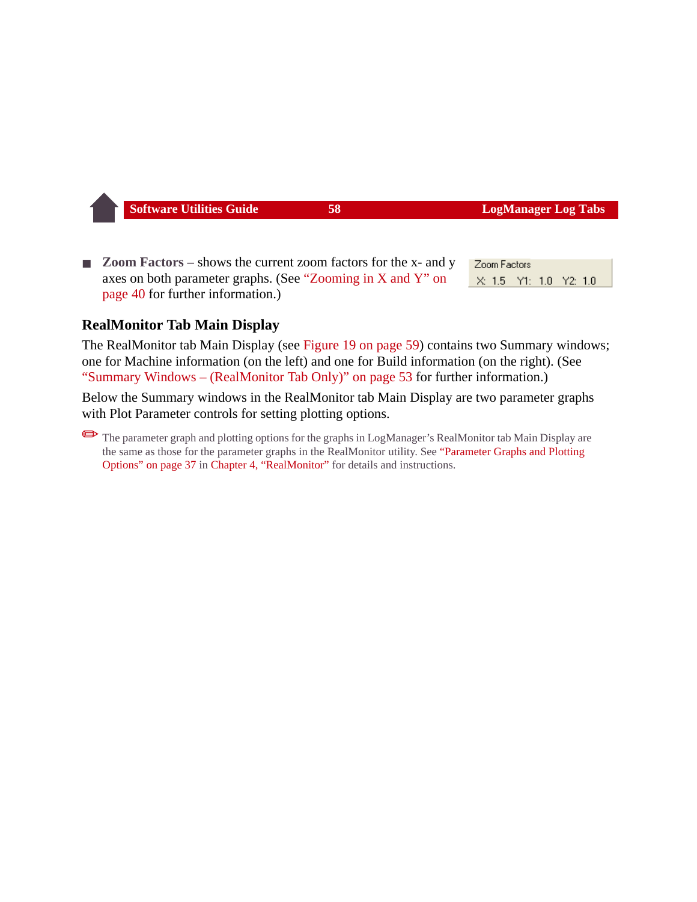**Zoom Factors** – shows the current zoom factors for the x- and y axes on both parameter graphs. (See ["Zooming in X and Y" on](#page-40-0)  [page 40](#page-40-0) for further information.)

Zoom Factors X: 1.5 Y1: 1.0 Y2: 1.0

#### **RealMonitor Tab Main Display**

The RealMonitor tab Main Display (see [Figure 19 on page 59](#page-59-0)) contains two Summary windows; one for Machine information (on the left) and one for Build information (on the right). (See ["Summary Windows – \(RealMonitor Tab Only\)" on page 53](#page-53-0) for further information.)

Below the Summary windows in the RealMonitor tab Main Display are two parameter graphs with Plot Parameter controls for setting plotting options.

The parameter graph and plotting options for the graphs in LogManager's RealMonitor tab Main Display are the same as those for the parameter graphs in the RealMonitor utility. See ["Parameter Graphs and Plotting](#page-37-0)  [Options" on page 37](#page-37-0) in [Chapter 4, "RealMonitor" f](#page-30-0)or details and instructions.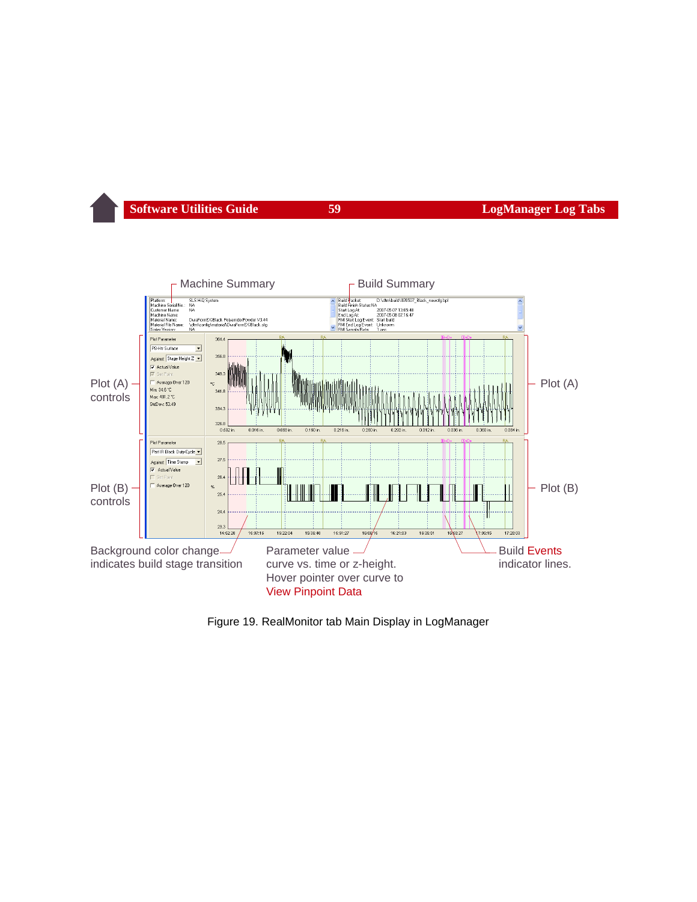

<span id="page-59-0"></span>Figure 19. RealMonitor tab Main Display in LogManager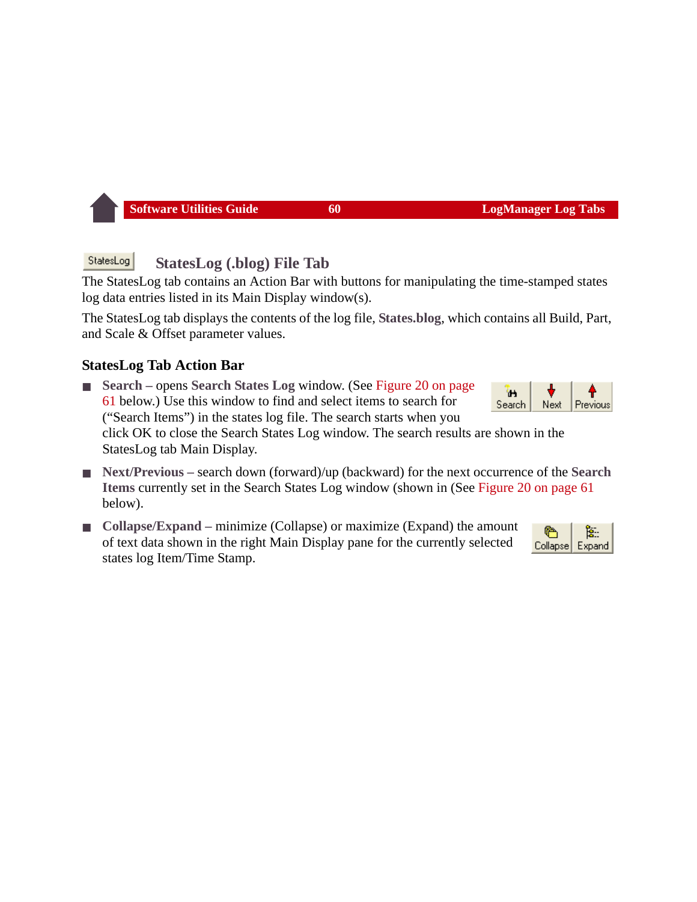#### StatesLog **StatesLog (.blog) File Tab**

The StatesLog tab contains an Action Bar with buttons for manipulating the time-stamped states log data entries listed in its Main Display window(s).

The StatesLog tab displays the contents of the log file, **States.blog**, which contains all Build, Part, and Scale & Offset parameter values.

#### **StatesLog Tab Action Bar**

- **Search** opens **Search States Log** window. (See Figure 20 on page [61](#page-61-0) below.) Use this window to find and select items to search for ("Search Items") in the states log file. The search starts when you click OK to close the Search States Log window. The search results are shown in the StatesLog tab Main Display.
- **Next/Previous** search down (forward)/up (backward) for the next occurrence of the **Search Items** currently set in the Search States Log window (shown in (See [Figure 20 on page 61](#page-61-0) below).
- **Collapse/Expand** minimize (Collapse) or maximize (Expand) the amount of text data shown in the right Main Display pane for the currently selected states log Item/Time Stamp.



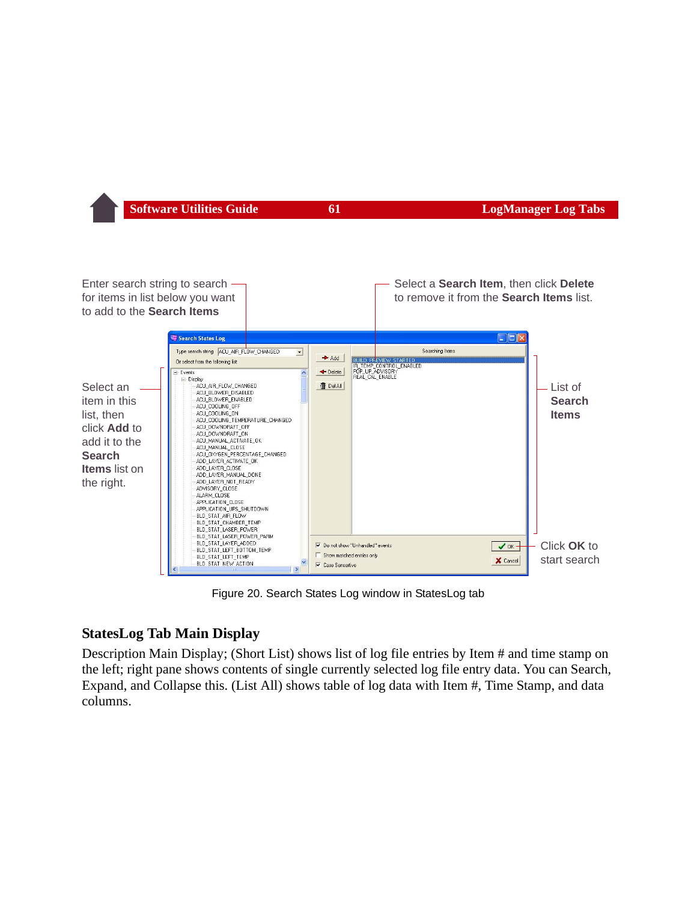DEI

Enter search string to search Select a **Search Item**, then click **Delete** for items in list below you want to remove it from the **Search Items** list. to add to the **Search Items** Search States Log Type search string ACU AIR FLOW CHANGED Searching Items  $\vert$  $Add$ **BUILD PREVIEY** Or select from the following list: THE TEMP CONTROL ENABLED  $-$  Events  $\blacktriangleright$  Delete - Display Select an **ff** Del All ACU\_AIR\_FLOW\_CHANGED ACU\_BLOWER\_DISABLED item in this ACU BLOWER ENABLED ACU\_COOLING\_OFF list, then ACU COOLING ON

click **Add** to add it to the **Search Items** list on the right.

List of **Search Items**ACU COOLING TEMPERATURE CHANGED ACU DOWNDRAFT OFF ACU DOWNDRAFT ON ACU\_MANUAL\_ACTIVATE\_OK ACU MANUAL CLOSE ACU\_OXYGEN\_PERCENTAGE\_CHANGED ADD\_LAYER\_ACTIVATE\_OK ADD LAYER CLOSE ADD LAYER MANUAL DONE ADD\_LAYER\_NOT\_READY ADVISORY\_CLOSE ALARM CLOSE APPLICATION\_CLOSE APPLICATION\_UPS\_SHUTDOWN BLD\_STAT\_AIR\_FLOW BLD\_STAT\_CHAMBER\_TEMP BLD\_STAT\_LASER\_POWER BLD\_STAT\_LASER\_POWER\_PARM BLD\_STAT\_LAYER\_ADDED Do not show "Unhandled" events Click **OK** to  $\sqrt{0K}$ BLD\_STAT\_LEFT\_BOTTOM\_TEMP Show matched entries only BLD\_STAT\_LEFT\_TEMP start search X Cancel BLD STAT NEW ACTION **▽** Case Sensertive

Figure 20. Search States Log window in StatesLog tab

#### <span id="page-61-0"></span>**StatesLog Tab Main Display**

Description Main Display; (Short List) shows list of log file entries by Item # and time stamp on the left; right pane shows contents of single currently selected log file entry data. You can Search, Expand, and Collapse this. (List All) shows table of log data with Item #, Time Stamp, and data columns.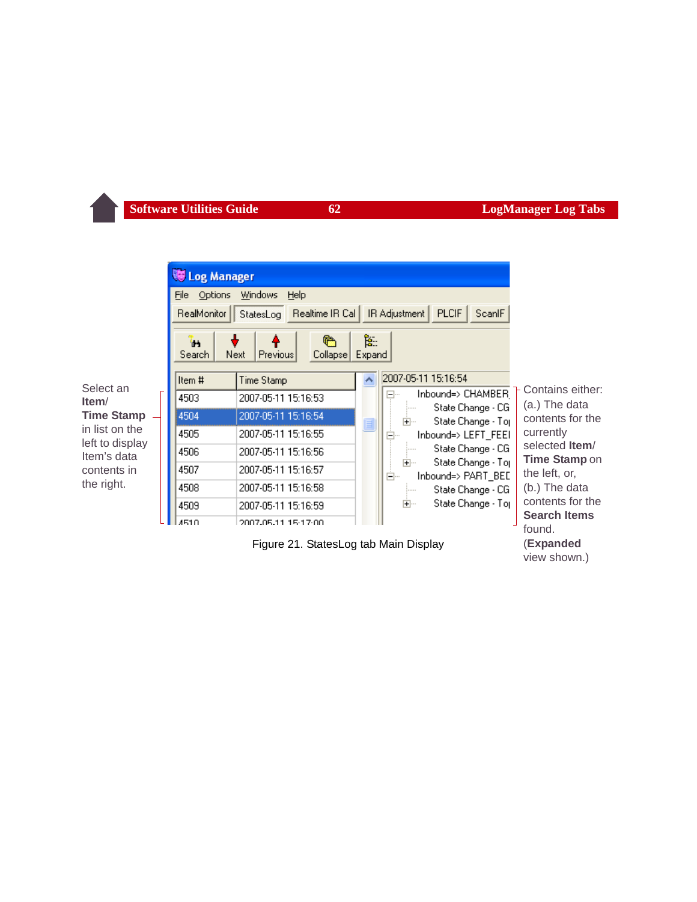<span id="page-62-0"></span>

view shown.)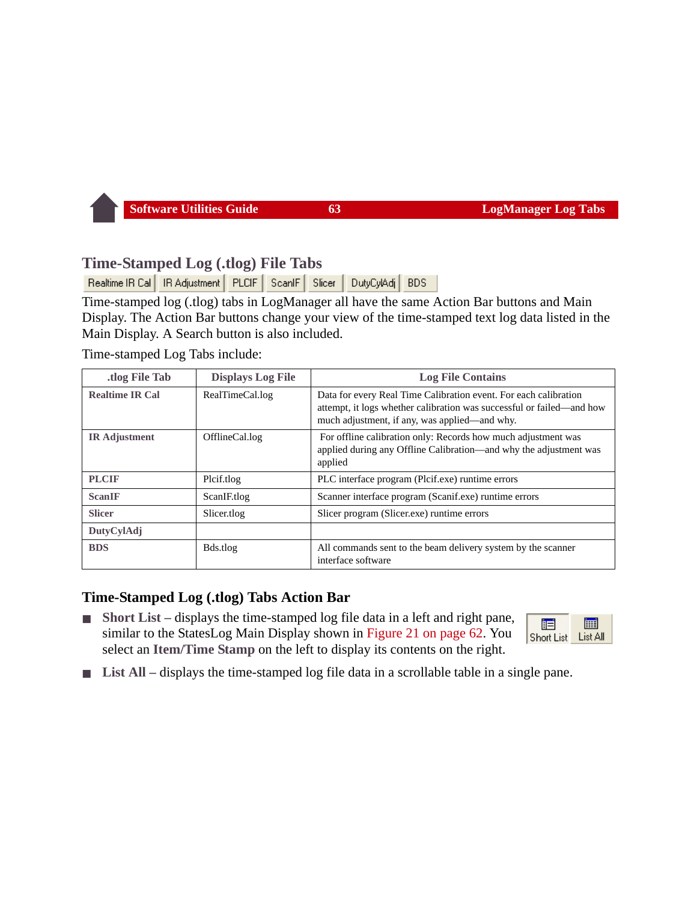#### **Time-Stamped Log (.tlog) File Tabs**

Realtime IR Cal | IR Adjustment | PLCIF | ScanIF | Slicer | DutyCylAdj BDS

Time-stamped log (.tlog) tabs in LogManager all have the same Action Bar buttons and Main Display. The Action Bar buttons change your view of the time-stamped text log data listed in the Main Display. A Search button is also included.

Time-stamped Log Tabs include:

| .tlog File Tab         | <b>Displays Log File</b> | <b>Log File Contains</b>                                                                                                                                                                   |
|------------------------|--------------------------|--------------------------------------------------------------------------------------------------------------------------------------------------------------------------------------------|
| <b>Realtime IR Cal</b> | RealTimeCal.log          | Data for every Real Time Calibration event. For each calibration<br>attempt, it logs whether calibration was successful or failed-and how<br>much adjustment, if any, was applied—and why. |
| <b>IR</b> Adjustment   | OfflineCal.log           | For offline calibration only: Records how much adjustment was<br>applied during any Offline Calibration—and why the adjustment was<br>applied                                              |
| <b>PLCIF</b>           | Plcif.tlog               | PLC interface program (Plcif.exe) runtime errors                                                                                                                                           |
| <b>ScanIF</b>          | ScanIF.tlog              | Scanner interface program (Scanif.exe) runtime errors                                                                                                                                      |
| <b>Slicer</b>          | Slicer.tlog              | Slicer program (Slicer.exe) runtime errors                                                                                                                                                 |
| DutyCylAdj             |                          |                                                                                                                                                                                            |
| <b>BDS</b>             | Bds.tlog                 | All commands sent to the beam delivery system by the scanner<br>interface software                                                                                                         |

#### **Time-Stamped Log (.tlog) Tabs Action Bar**

■ **Short List** – displays the time-stamped log file data in a left and right pane, similar to the StatesLog Main Display shown in [Figure 21 on page 62](#page-62-0). You select an **Item/Time Stamp** on the left to display its contents on the right.



List All – displays the time-stamped log file data in a scrollable table in a single pane.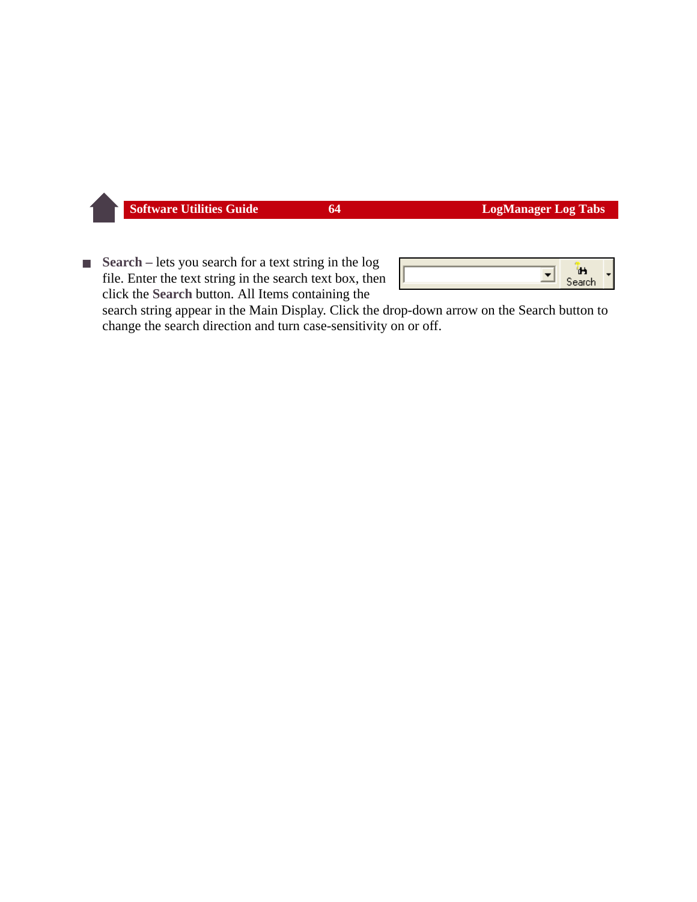■ **Search** – lets you search for a text string in the log file. Enter the text string in the search text box, then click the **Search** button. All Items containing the

|  | - |  |
|--|---|--|
|  |   |  |

search string appear in the Main Display. Click the drop-down arrow on the Search button to change the search direction and turn case-sensitivity on or off.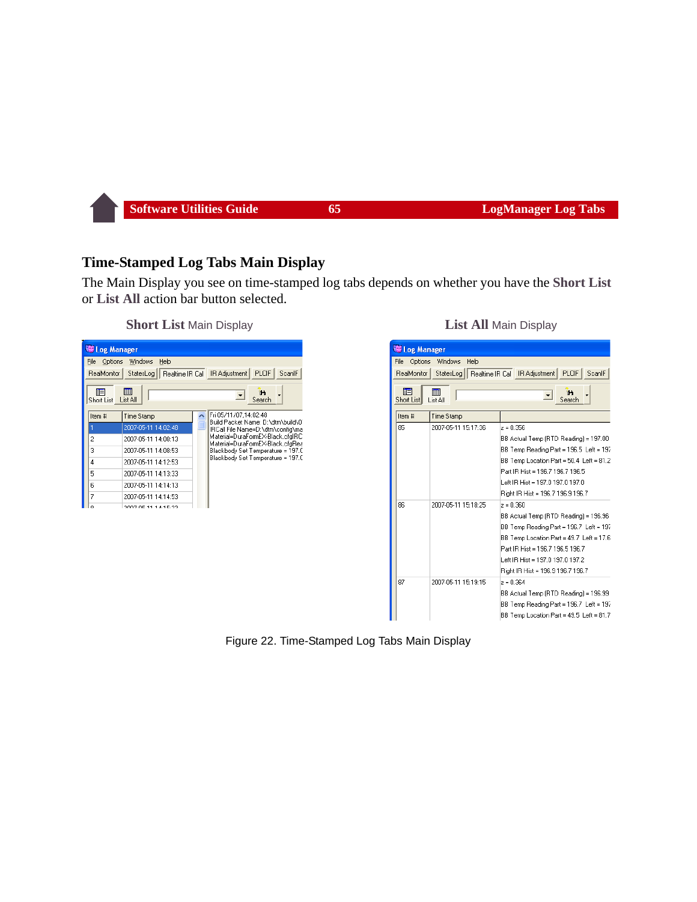#### **Time-Stamped Log Tabs Main Display**

The Main Display you see on time-stamped log tabs depends on whether you have the **Short List** or **List All** action bar button selected.

#### **Short List** Main Display **List All Main Display**

|                                                         | Log Manager                  |                                                                      |  |  |  |
|---------------------------------------------------------|------------------------------|----------------------------------------------------------------------|--|--|--|
| Options<br>File                                         | Windows<br>Help              |                                                                      |  |  |  |
| RealMonitor                                             | StatesLog<br>Realtime IR Cal | <b>PLCIF</b><br>ScanlF<br>IR Adjustment                              |  |  |  |
| <br><b>iE</b><br>'n<br>List All<br>Search<br>Short List |                              |                                                                      |  |  |  |
| Item #                                                  | Time Stamp                   | Fri 05/11/07.14:02:48<br>Build Packet Name: D:\dtm\build\0`          |  |  |  |
|                                                         | 2007-05-11 14:02:48          | IRCall File Name=D:\dtm\config\ma                                    |  |  |  |
| 2                                                       | 2007-05-11 14:08:13          | Material=DuraFormEX-Black.cfqlRC<br>Material=DuraFormEX-Black.cfgRea |  |  |  |
| 3                                                       | 2007-05-11 14:08:53          | Blackbody Set Temperature = 197.0                                    |  |  |  |
| 4                                                       | 2007-05-11 14:12:53          | Blackbody Set Temperature = 197.0                                    |  |  |  |
| 5                                                       | 2007-05-11 14:13:33          |                                                                      |  |  |  |
| 6                                                       | 2007-05-11 14:14:13          |                                                                      |  |  |  |
| 7                                                       | 2007-05-11 14:14:53          |                                                                      |  |  |  |
|                                                         | 2007.05.11.14.15.22          |                                                                      |  |  |  |

|                        | Log Manager                    |                                                         |  |  |
|------------------------|--------------------------------|---------------------------------------------------------|--|--|
| File                   | Windows<br>Help<br>Options     |                                                         |  |  |
| RealMonitor            | StatesLog                      | <b>PLCIF</b><br>ScanlF<br>Realtime IR Cal IR Adjustment |  |  |
| 陌<br><b>Short List</b> | m<br>'n.<br>Search<br>List All |                                                         |  |  |
| Item #                 | Time Stamp                     |                                                         |  |  |
| 85                     | 2007-05-11 15:17:36            | $z = 0.356$                                             |  |  |
|                        |                                | BB Actual Temp (RTD Reading) = 197.00                   |  |  |
|                        |                                | BB Temp Reading Part = 196.5 Left = 197                 |  |  |
|                        |                                | BB Temp Location Part = 50.4 Left = 81.2                |  |  |
|                        |                                | Part IB Hist = 196.7 196.7 196.5                        |  |  |
|                        |                                | Left IR Hist = 197.0 197.0 197.0                        |  |  |
|                        |                                | Right IR Hist = 196.7 196.9 196.7                       |  |  |
| 86                     | 2007-05-11 15:18:25            | $z = 0.360$                                             |  |  |
|                        |                                | BB Actual Temp (RTD Reading) = 196.96                   |  |  |
|                        |                                | BB Temp Reading Part = 196.7 Left = 197                 |  |  |
|                        |                                | BB Temp Location Part = 49.7 Left = 17.6                |  |  |
|                        |                                | Part IR Hist = 196.7 196.5 196.7                        |  |  |
|                        |                                | Left IR Hist = 197.0 197.0 197.2                        |  |  |
|                        |                                | Right IR Hist = 196.9 196.7 196.7                       |  |  |
| 87                     | 2007-05-11 15:19:15            | $z = 0.364$                                             |  |  |
|                        |                                | BB Actual Temp (RTD Reading) = 196.99                   |  |  |
|                        |                                | BB Temp Reading Part = 196.7 Left = 197                 |  |  |
|                        |                                | BB Temp Location Part = 49.5 Left = 81.7                |  |  |

#### Figure 22. Time-Stamped Log Tabs Main Display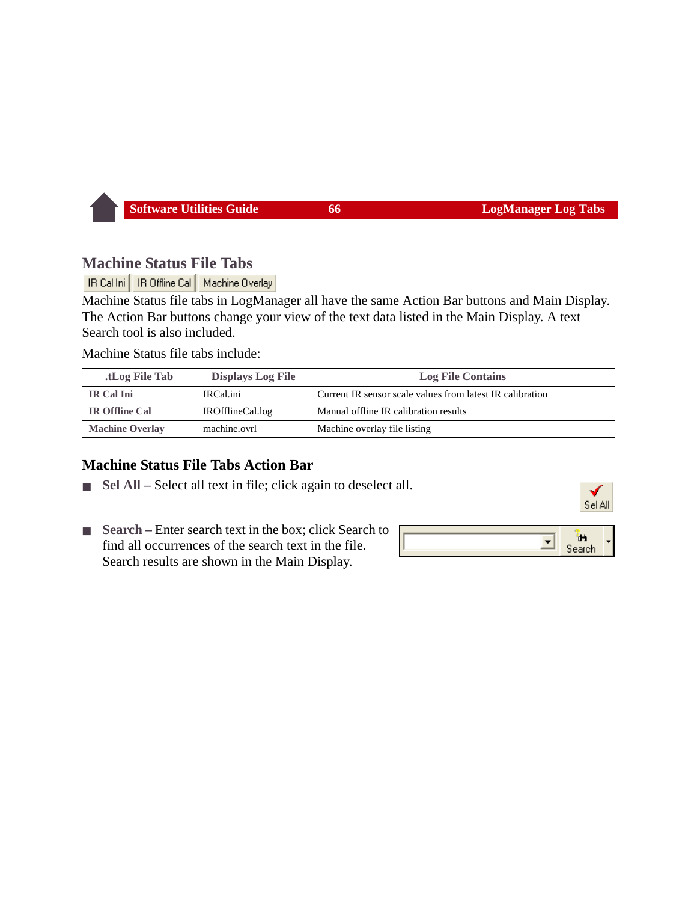#### **Machine Status File Tabs**

IR Cal Ini | IR Offline Cal | Machine Overlay

Machine Status file tabs in LogManager all have the same Action Bar buttons and Main Display. The Action Bar buttons change your view of the text data listed in the Main Display. A text Search tool is also included.

Machine Status file tabs include:

| tLog File Tab.         | <b>Displays Log File</b> | <b>Log File Contains</b>                                  |
|------------------------|--------------------------|-----------------------------------------------------------|
| IR Cal Ini             | IRCal.ini                | Current IR sensor scale values from latest IR calibration |
| <b>IR Offline Cal</b>  | IROfflineCal.log         | Manual offline IR calibration results                     |
| <b>Machine Overlay</b> | machine.ovrl             | Machine overlay file listing                              |

#### **Machine Status File Tabs Action Bar**

- **Sel All** Select all text in file; click again to deselect all.
- **Search** Enter search text in the box; click Search to find all occurrences of the search text in the file. Search results are shown in the Main Display.

|--|--|--|--|--|

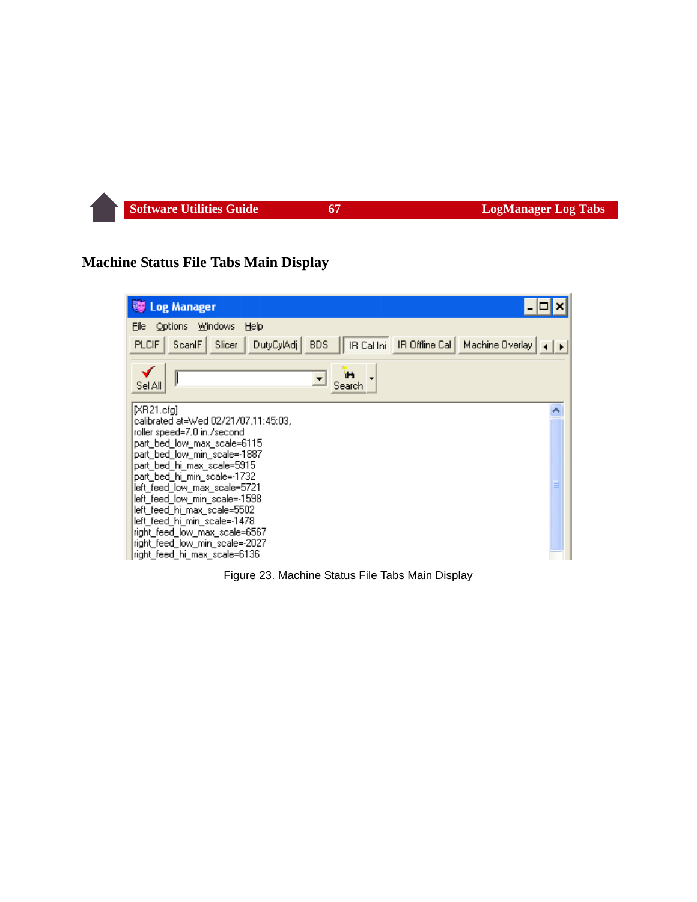#### **Machine Status File Tabs Main Display**

| <b>Log Manager</b>                                                                                                                                                                                                                                                                                                                                                                                                                               |  |
|--------------------------------------------------------------------------------------------------------------------------------------------------------------------------------------------------------------------------------------------------------------------------------------------------------------------------------------------------------------------------------------------------------------------------------------------------|--|
| <b>Windows</b><br>File<br>Options<br>Help                                                                                                                                                                                                                                                                                                                                                                                                        |  |
| <b>PLCIF</b><br>DutyCylAdj<br>IR Cal Ini<br>IR Offline Cal<br>ScanlF<br>Slicer<br><b>BDS</b><br>Machine Overlay                                                                                                                                                                                                                                                                                                                                  |  |
| ъ<br>Sel All<br>Search                                                                                                                                                                                                                                                                                                                                                                                                                           |  |
| IXR21.cfal<br>calibrated at=Wed 02/21/07,11:45:03,<br>roller speed=7.0 in./second<br>part_bed_low_max_scale=6115<br>part bed low min scale=-1887<br>part_bed_hi_max_scale=5915<br>part_bed_hi_min_scale=-1732<br>left_feed_low_max_scale=5721<br>left feed low min scale=-1598<br>left_feed_hi_max_scale=5502<br>left_feed_hi_min_scale=-1478<br>right_feed_low_max_scale=6567<br>right_feed_low_min_scale=-2027<br>right_feed_hi_max_scale=6136 |  |

Figure 23. Machine Status File Tabs Main Display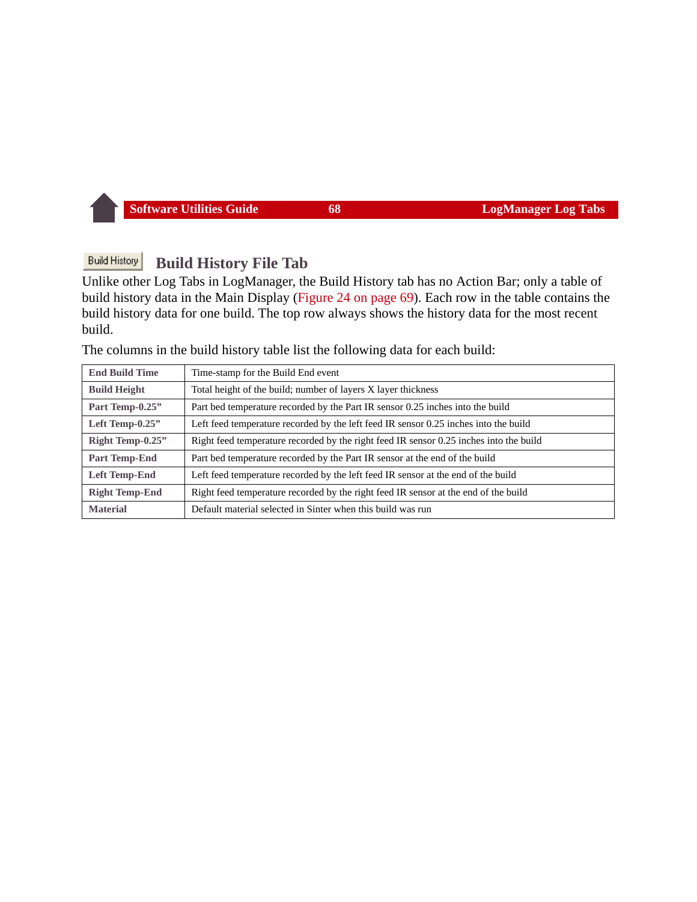#### **Build History Build History File Tab**

Unlike other Log Tabs in LogManager, the Build History tab has no Action Bar; only a table of build history data in the Main Display ([Figure 24 on page 69](#page-69-0)). Each row in the table contains the build history data for one build. The top row always shows the history data for the most recent build.

The columns in the build history table list the following data for each build:

| <b>End Build Time</b> | Time-stamp for the Build End event                                                     |
|-----------------------|----------------------------------------------------------------------------------------|
| <b>Build Height</b>   | Total height of the build; number of layers X layer thickness                          |
| Part Temp-0.25"       | Part bed temperature recorded by the Part IR sensor 0.25 inches into the build         |
| Left Temp-0.25"       | Left feed temperature recorded by the left feed IR sensor 0.25 inches into the build   |
| Right Temp-0.25"      | Right feed temperature recorded by the right feed IR sensor 0.25 inches into the build |
| Part Temp-End         | Part bed temperature recorded by the Part IR sensor at the end of the build            |
| Left Temp-End         | Left feed temperature recorded by the left feed IR sensor at the end of the build      |
| <b>Right Temp-End</b> | Right feed temperature recorded by the right feed IR sensor at the end of the build    |
| <b>Material</b>       | Default material selected in Sinter when this build was run                            |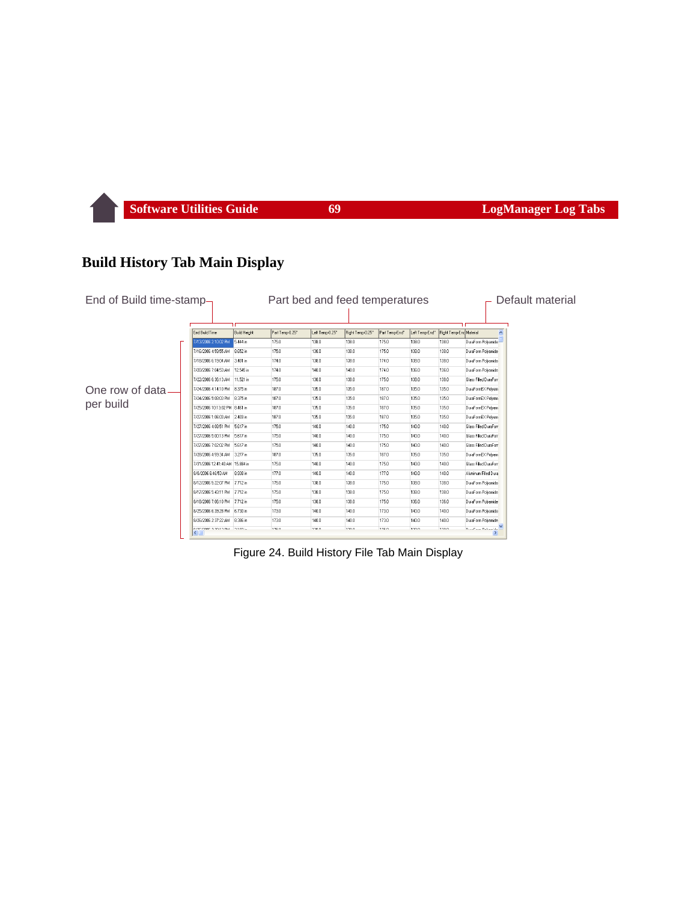#### **Build History Tab Main Display**

| End of Build time-stamp- |                                                                |                     |                 | Part bed and feed temperatures |                  |                |                |                         | Default material          |
|--------------------------|----------------------------------------------------------------|---------------------|-----------------|--------------------------------|------------------|----------------|----------------|-------------------------|---------------------------|
|                          |                                                                |                     |                 |                                |                  |                |                |                         |                           |
|                          | <b>End Build Time</b>                                          | <b>Build Height</b> | Part Temp-0.25" | Left Temp-0.25"                | Right Temp-0.25" | Part Temp-End" | Left Temp-End" | Right Temp-Eng Material |                           |
|                          | 7/13/2006 2:10:02 PM                                           | 5.444 in            | 175.0           | 138.0                          | 138.0            | 175.0          | 138.0          | 138.0                   | DuraForm Polyamide        |
|                          | 7/16/2006 4:59:55 AM                                           | 8.652 in            | 175.0           | 138.0                          | 138.0            | 175.0          | 138.0          | 138.0                   | DuraForm Polyamide        |
|                          | 7/18/2006 6:19:04 AM                                           | 3.401 in            | 174.0           | 138.0                          | 138.0            | 174.0          | 138.0          | 138.0                   | DuraForm Polvamide        |
|                          | 7/20/2006 7:04:53 AM                                           | 12.545 in           | 174.0           | 140.0                          | 140.0            | 174.0          | 136.0          | 136.0                   | DuraForm Polvamide        |
|                          | 7/22/2006 6:36:13 AM                                           | 11.521 in           | 175.0           | 138.0                          | 138.0            | 175.0          | 138.0          | 138.0                   | Glass Filled DuraForn     |
| One row of data-         | 7/24/2006 4:14:10 PM                                           | 8.375 in            | 187.0           | 135.0                          | 135.0            | 187.0          | 135.0          | 135.0                   | DuraFormEX Polvam         |
|                          | 7/24/2006 5:08:03 PM                                           | 8.375 in            | 187.0           | 135.0                          | 135.0            | 187.0          | 135.0          | 135.0                   | DuraFormEX Polvam         |
| per build                | 7/25/2006 10:13:02 PM 8.461 in                                 |                     | 187.0           | 135.0                          | 135.0            | 187.0          | 135.0          | 135.0                   | DuraFormEX Polvam         |
|                          | 7/27/2006 1:06:03 AM                                           | 2.403 in            | 187.0           | 135.0                          | 135.0            | 187.0          | 135.0          | 135.0                   | DuraFormEX Polvam         |
|                          | 7/27/2006 4:08:51 PM                                           | 5.617 in            | 175.0           | 140.0                          | 140.0            | 175.0          | 140.0          | 140.0                   | Glass Filled DuraForn     |
|                          | 7/27/2006 5:00:13 PM                                           | 5.617 in            | 175.0           | 140.0                          | 140.0            | 175.0          | 140.0          | 140.0                   | Glass Filled DuraForn     |
|                          | 7/27/2006 7:02:02 PM                                           | 5.617 in            | 175.0           | 140.0                          | 140.0            | 175.0          | 140.0          | 140.0                   | Glass Filled DuraForn     |
|                          | 7/28/2006 4:59:34 AM 3.277 in                                  |                     | 187.0           | 135.0                          | 135.0            | 187.0          | 135.0          | 135.0                   | DuraFormEX Polyam         |
|                          | 7/31/2006 12:41:40 AM 15:884 in                                |                     | 175.0           | 140.0                          | 140.0            | 175.0          | 140.0          | 140.0                   | Glass Filled DuraForn     |
|                          | 8/8/2006 6:46:53 AM                                            | 8.938 in            | 177.0           | 140.0                          | 140.0            | 177.0          | 140.0          | 140.0                   | Aluminum Filled Dura      |
|                          | 8/12/2006 5:22:07 PM                                           | 7.712 in            | 175.0           | 138.0                          | 138.0            | 175.0          | 138.0          | 138.0                   | DuraForm Polvamide        |
|                          | 8/17/2006 5:43:11 PM                                           | 7.712 in            | 175.0           | 138.0                          | 138.0            | 175.0          | 138.0          | 138.0                   | DuraForm Polvamide        |
|                          | 8/18/2006 7:06:10 PM                                           | 7712 in             | 175.0           | 138.0                          | 138.0            | 175.0          | 136.0          | 136.0                   | DuraForm Polvamide        |
|                          | 8/25/2006 6:39:28 PM                                           | 6.730 in            | 173.0           | 140.0                          | 140.0            | 173.0          | 140.0          | 140.0                   | DuraForm Polyamide        |
|                          | 8/26/2006 2:37:22 AM                                           | 8.386 in            | 173.0           | 140.0                          | 140.0            | 173.0          | 140.0          | 140.0                   | DuraForm Polvamide        |
|                          | n se sono zioniscimi il cisoco<br>$\left\langle \right\rangle$ |                     | 170.0           | 1222                           | 120.0            | 17C 0          | 122.0          | 120.0                   | <b>Dearford Balconida</b> |

<span id="page-69-0"></span>Figure 24. Build History File Tab Main Display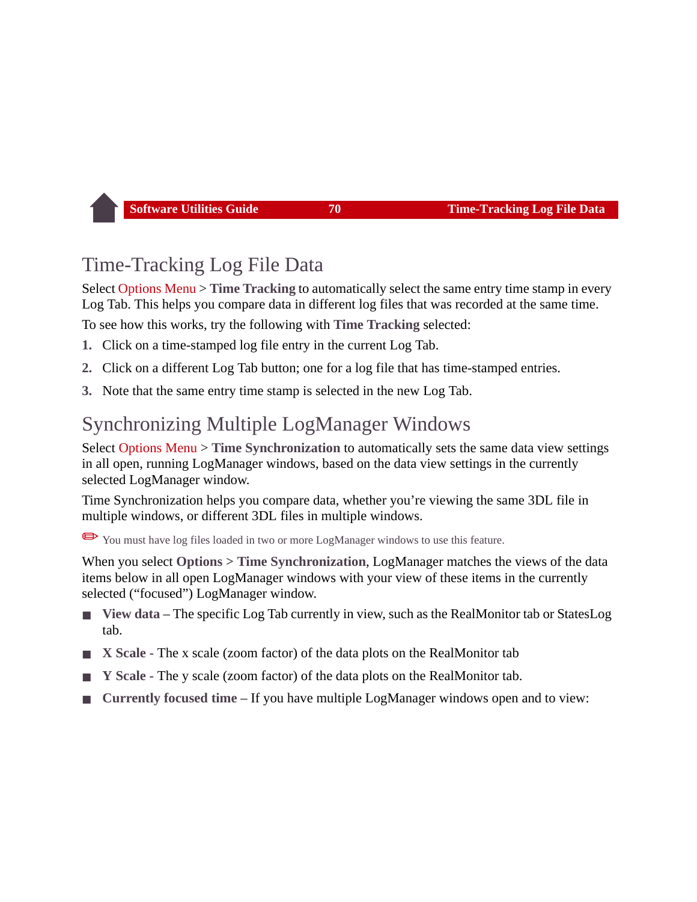# <span id="page-70-0"></span>Time-Tracking Log File Data

Select [Options Menu](#page-55-1) > **Time Tracking** to automatically select the same entry time stamp in every Log Tab. This helps you compare data in different log files that was recorded at the same time.

To see how this works, try the following with **Time Tracking** selected:

- **1.** Click on a time-stamped log file entry in the current Log Tab.
- **2.** Click on a different Log Tab button; one for a log file that has time-stamped entries.
- **3.** Note that the same entry time stamp is selected in the new Log Tab.

# <span id="page-70-1"></span>Synchronizing Multiple LogManager Windows

Select [Options Menu](#page-55-1) > **Time Synchronization** to automatically sets the same data view settings in all open, running LogManager windows, based on the data view settings in the currently selected LogManager window.

Time Synchronization helps you compare data, whether you're viewing the same 3DL file in multiple windows, or different 3DL files in multiple windows.

✏You must have log files loaded in two or more LogManager windows to use this feature.

When you select **Options > Time Synchronization**, LogManager matches the views of the data items below in all open LogManager windows with your view of these items in the currently selected ("focused") LogManager window.

- **View data** The specific Log Tab currently in view, such as the RealMonitor tab or StatesLog tab.
- **X** Scale The x scale (zoom factor) of the data plots on the RealMonitor tab
- **Y** Scale The y scale (zoom factor) of the data plots on the RealMonitor tab.
- **Currently focused time If you have multiple LogManager windows open and to view:**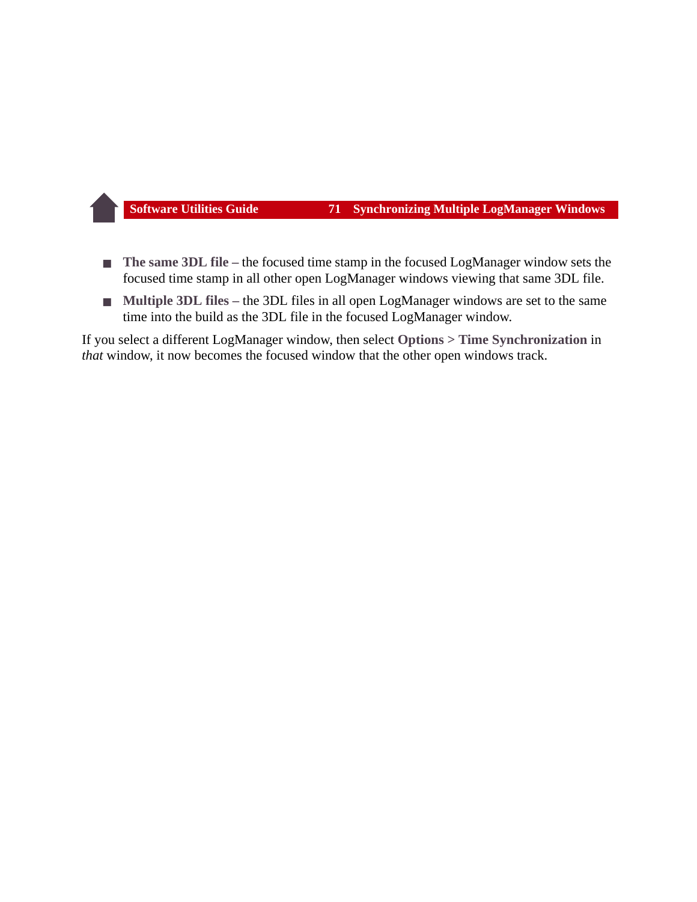- **The same 3DL file** the focused time stamp in the focused LogManager window sets the focused time stamp in all other open LogManager windows viewing that same 3DL file.
- **Multiple 3DL files** the 3DL files in all open LogManager windows are set to the same time into the build as the 3DL file in the focused LogManager window.

If you select a different LogManager window, then select **Options > Time Synchronization** in *that* window, it now becomes the focused window that the other open windows track.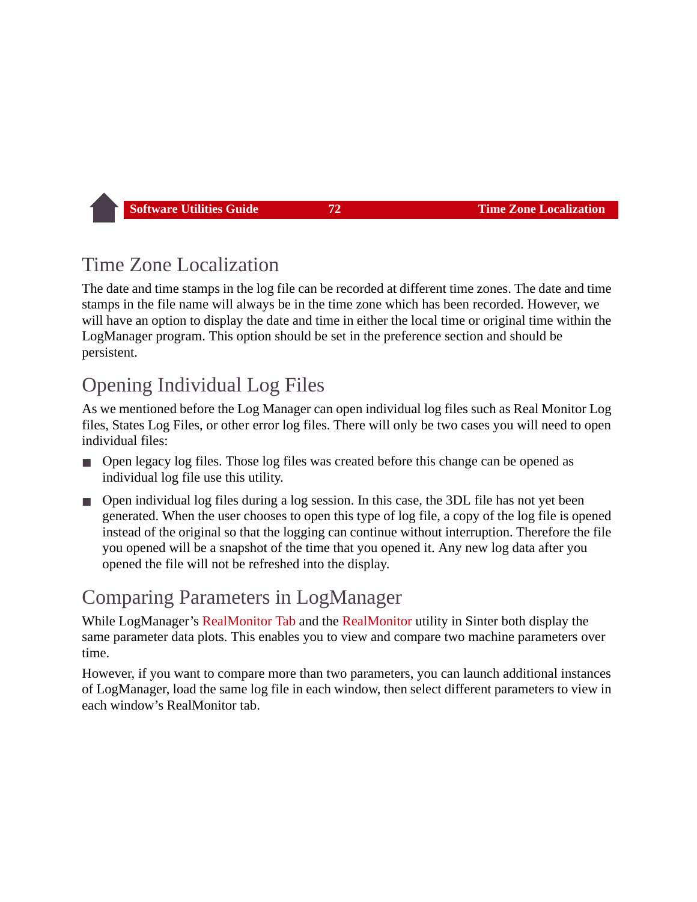## Time Zone Localization

The date and time stamps in the log file can be recorded at different time zones. The date and time stamps in the file name will always be in the time zone which has been recorded. However, we will have an option to display the date and time in either the local time or original time within the LogManager program. This option should be set in the preference section and should be persistent.

## <span id="page-72-1"></span>Opening Individual Log Files

As we mentioned before the Log Manager can open individual log files such as Real Monitor Log files, States Log Files, or other error log files. There will only be two cases you will need to open individual files:

- Open legacy log files. Those log files was created before this change can be opened as individual log file use this utility.
- Open individual log files during a log session. In this case, the 3DL file has not yet been generated. When the user chooses to open this type of log file, a copy of the log file is opened instead of the original so that the logging can continue without interruption. Therefore the file you opened will be a snapshot of the time that you opened it. Any new log data after you opened the file will not be refreshed into the display.

## <span id="page-72-0"></span>Comparing Parameters in LogManager

While LogManager's [RealMonitor Tab](#page-57-0) and the [RealMonitor](#page-30-0) utility in Sinter both display the same parameter data plots. This enables you to view and compare two machine parameters over time.

However, if you want to compare more than two parameters, you can launch additional instances of LogManager, load the same log file in each window, then select different parameters to view in each window's RealMonitor tab.

<span id="page-72-2"></span>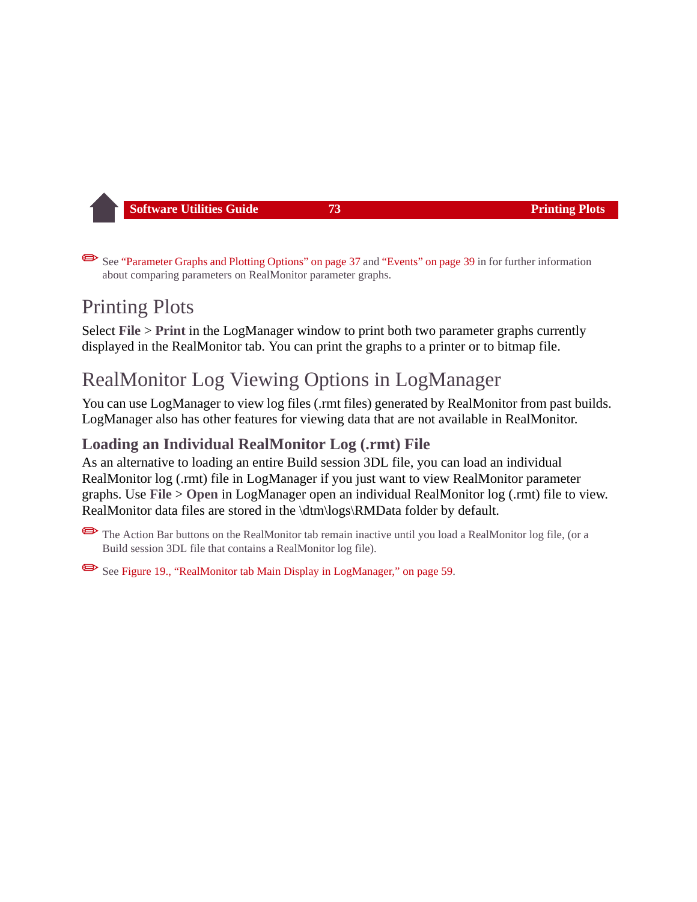<span id="page-73-0"></span>See ["Parameter Graphs and Plotting Options" on page 37](#page-37-0) and ["Events" on page 39](#page-39-0) in for further information about comparing parameters on RealMonitor parameter graphs.

# Printing Plots

Select **File** > **Print** in the LogManager window to print both two parameter graphs currently displayed in the RealMonitor tab. You can print the graphs to a printer or to bitmap file.

# RealMonitor Log Viewing Options in LogManager

You can use LogManager to view log files (.rmt files) generated by RealMonitor from past builds. LogManager also has other features for viewing data that are not available in RealMonitor.

## <span id="page-73-1"></span>**Loading an Individual RealMonitor Log (.rmt) File**

As an alternative to loading an entire Build session 3DL file, you can load an individual RealMonitor log (.rmt) file in LogManager if you just want to view RealMonitor parameter graphs. Use **File** > **Open** in LogManager open an individual RealMonitor log (.rmt) file to view. RealMonitor data files are stored in the \dtm\logs\RMData folder by default.

✏The Action Bar buttons on the RealMonitor tab remain inactive until you load a RealMonitor log file, (or a Build session 3DL file that contains a RealMonitor log file).

✏See [Figure 19., "RealMonitor tab Main Display in LogManager," on page 59.](#page-59-0)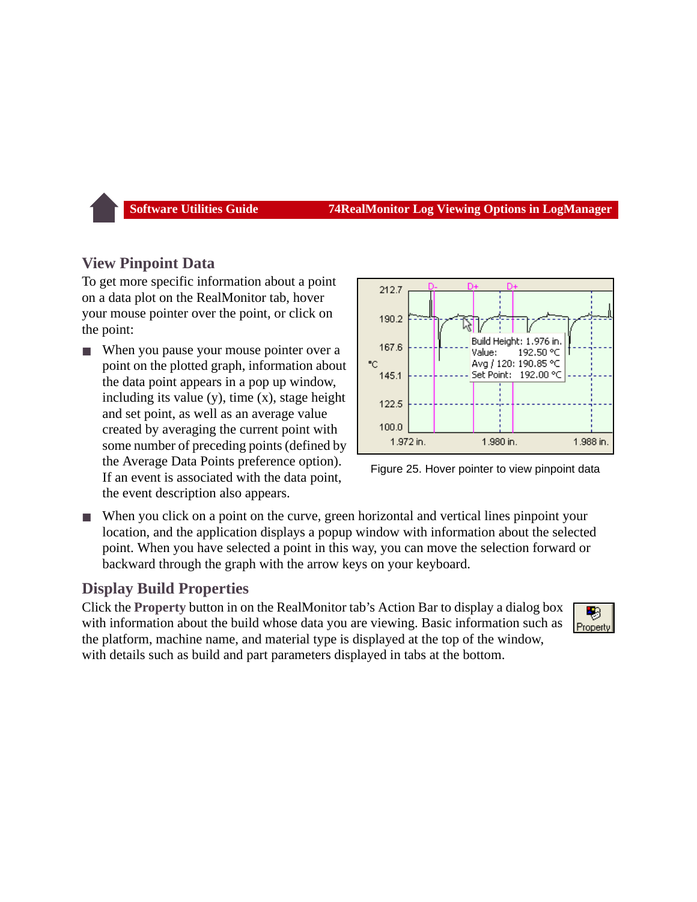### <span id="page-74-1"></span>**View Pinpoint Data**

To get more specific information about a point on a data plot on the RealMonitor tab, hover your mouse pointer over the point, or click on the point:

When you pause your mouse pointer over a point on the plotted graph, information about the data point appears in a pop up window, including its value  $(y)$ , time  $(x)$ , stage height and set point, as well as an average value created by averaging the current point with some number of preceding points (defined by the Average Data Points preference option). If an event is associated with the data point, the event description also appears.





■ When you click on a point on the curve, green horizontal and vertical lines pinpoint your location, and the application displays a popup window with information about the selected point. When you have selected a point in this way, you can move the selection forward or backward through the graph with the arrow keys on your keyboard.

## <span id="page-74-0"></span>**Display Build Properties**

Click the **Property** button in on the RealMonitor tab's Action Bar to display a dialog box with information about the build whose data you are viewing. Basic information such as the platform, machine name, and material type is displayed at the top of the window, with details such as build and part parameters displayed in tabs at the bottom.

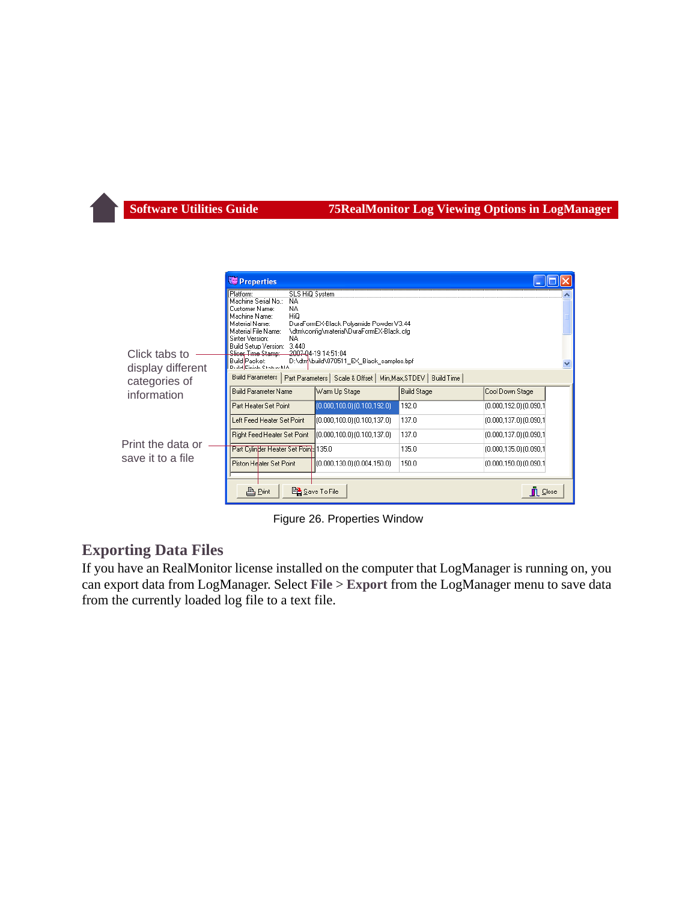|                                    | <b>Properties</b>                                                                                                                                                                                                                                                                               |                                                                                                                                                         |                    |                               |  |
|------------------------------------|-------------------------------------------------------------------------------------------------------------------------------------------------------------------------------------------------------------------------------------------------------------------------------------------------|---------------------------------------------------------------------------------------------------------------------------------------------------------|--------------------|-------------------------------|--|
| Click tabs to<br>display different | Platform:<br><b>SLS HiQ System</b><br>Machine Serial No.:<br>NA.<br>NA.<br>Customer Name:<br>HiQ<br>Machine Name:<br>Material Name:<br>Material File Name:<br>Sinter Version:<br>NA.<br>Build Setup Version:<br>3.440<br>Slicer Time Stamp:<br>Build Packet:<br><b>Draid Easists ChatrockIA</b> | DuraFormEX-Black Polyamide Powder V3.44<br>\dtm\config\material\DuraFormEX-Black.cfg<br>2007-04-19 14:51:04<br>D:\dtm\build\070511_EX_Black_samples.bpf |                    |                               |  |
| categories of                      | <b>Build Parameters</b>                                                                                                                                                                                                                                                                         | Part Parameters   Scale & Offset   Min, Max, STDEV   Build Time                                                                                         |                    |                               |  |
| information                        | <b>Build Parameter Name</b>                                                                                                                                                                                                                                                                     | Warm Up Stage                                                                                                                                           | <b>Build Stage</b> | Cool Down Stage               |  |
|                                    | Part Heater Set Point                                                                                                                                                                                                                                                                           | $(0.000, 100.0)$ $(0.100, 192.0)$                                                                                                                       | 192.0              | $(0.000, 192.0)$ $(0.090, 1)$ |  |
|                                    | Left Feed Heater Set Point                                                                                                                                                                                                                                                                      | (0.000, 100.0) (0.100, 137.0)                                                                                                                           | 137.0              | $(0.000, 137.0)$ $(0.090, 1)$ |  |
|                                    | Right Feed Heater Set Point                                                                                                                                                                                                                                                                     | $(0.000, 100.0)$ $(0.100, 137.0)$                                                                                                                       | 137.0              | (0.000,137.0) (0.090,1        |  |
| Print the data or                  | Part Cylinder Heater Set Point: 135.0                                                                                                                                                                                                                                                           |                                                                                                                                                         | 135.0              | $(0.000, 135.0)$ $(0.090, 1)$ |  |
| save it to a file                  | Piston Heater Set Point                                                                                                                                                                                                                                                                         | (0.000, 130.0) (0.004, 150.0)                                                                                                                           | 150.0              | $(0.000, 150.0)$ $(0.090, 1)$ |  |
|                                    | 凸Print                                                                                                                                                                                                                                                                                          | 图 Save To File                                                                                                                                          |                    | $\Box$ Close                  |  |

<span id="page-75-1"></span>Figure 26. Properties Window

#### <span id="page-75-0"></span>**Exporting Data Files**

If you have an RealMonitor license installed on the computer that LogManager is running on, you can export data from LogManager. Select **File** > **Export** from the LogManager menu to save data from the currently loaded log file to a text file.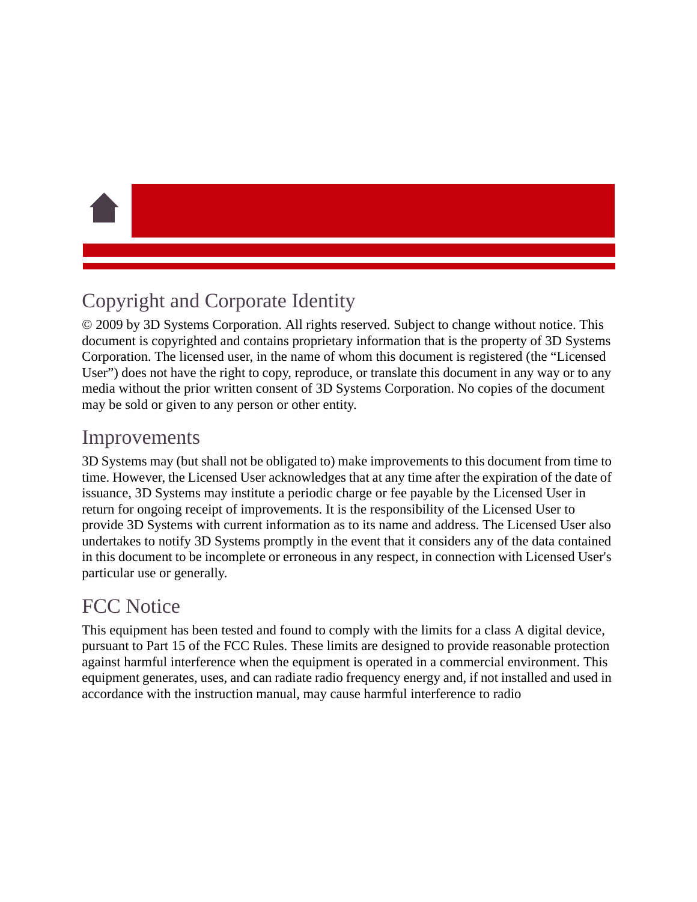# Copyright and Corporate Identity

© 2009 by 3D Systems Corporation. All rights reserved. Subject to change without notice. This document is copyrighted and contains proprietary information that is the property of 3D Systems Corporation. The licensed user, in the name of whom this document is registered (the "Licensed User") does not have the right to copy, reproduce, or translate this document in any way or to any media without the prior written consent of 3D Systems Corporation. No copies of the document may be sold or given to any person or other entity.

## Improvements

3D Systems may (but shall not be obligated to) make improvements to this document from time to time. However, the Licensed User acknowledges that at any time after the expiration of the date of issuance, 3D Systems may institute a periodic charge or fee payable by the Licensed User in return for ongoing receipt of improvements. It is the responsibility of the Licensed User to provide 3D Systems with current information as to its name and address. The Licensed User also undertakes to notify 3D Systems promptly in the event that it considers any of the data contained in this document to be incomplete or erroneous in any respect, in connection with Licensed User's particular use or generally.

# FCC Notice

This equipment has been tested and found to comply with the limits for a class A digital device, pursuant to Part 15 of the FCC Rules. These limits are designed to provide reasonable protection against harmful interference when the equipment is operated in a commercial environment. This equipment generates, uses, and can radiate radio frequency energy and, if not installed and used in accordance with the instruction manual, may cause harmful interference to radio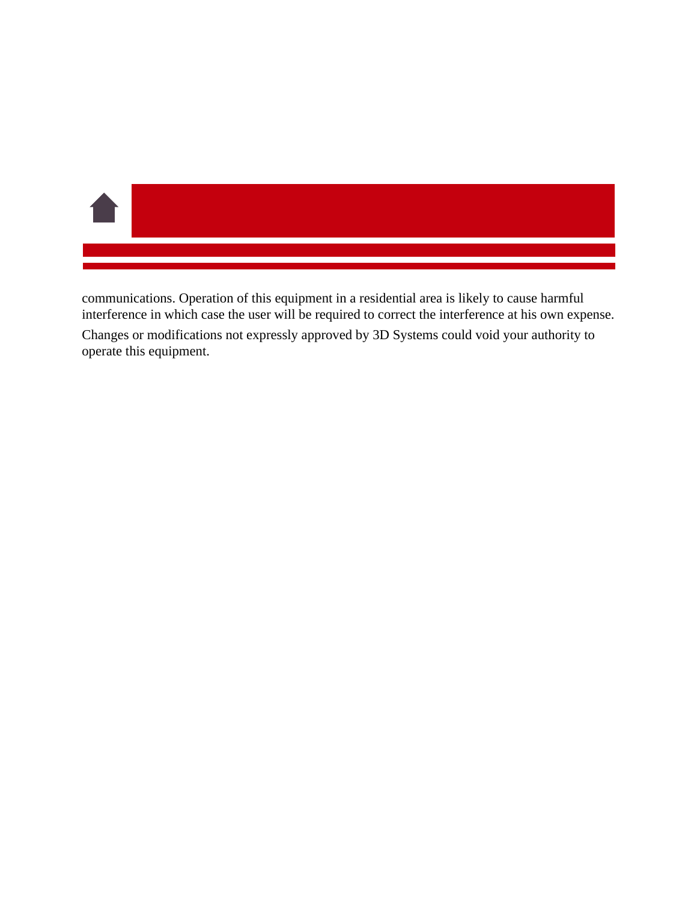

communications. Operation of this equipment in a residential area is likely to cause harmful interference in which case the user will be required to correct the interference at his own expense.

Changes or modifications not expressly approved by 3D Systems could void your authority to operate this equipment.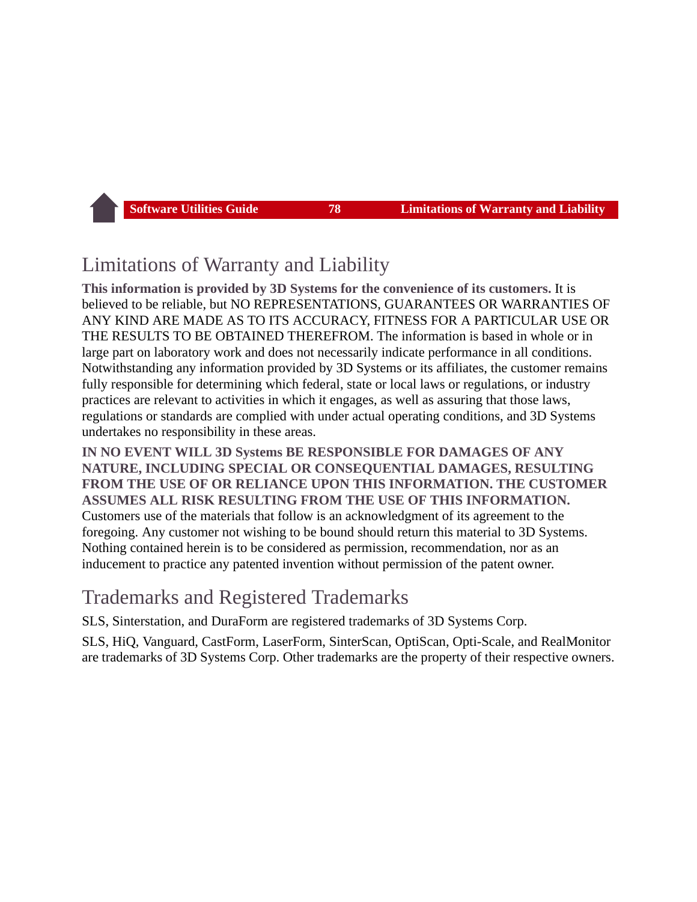## Limitations of Warranty and Liability

**This information is provided by 3D Systems for the convenience of its customers.** It is believed to be reliable, but NO REPRESENTATIONS, GUARANTEES OR WARRANTIES OF ANY KIND ARE MADE AS TO ITS ACCURACY, FITNESS FOR A PARTICULAR USE OR THE RESULTS TO BE OBTAINED THEREFROM. The information is based in whole or in large part on laboratory work and does not necessarily indicate performance in all conditions. Notwithstanding any information provided by 3D Systems or its affiliates, the customer remains fully responsible for determining which federal, state or local laws or regulations, or industry practices are relevant to activities in which it engages, as well as assuring that those laws, regulations or standards are complied with under actual operating conditions, and 3D Systems undertakes no responsibility in these areas.

**IN NO EVENT WILL 3D Systems BE RESPONSIBLE FOR DAMAGES OF ANY NATURE, INCLUDING SPECIAL OR CONSEQUENTIAL DAMAGES, RESULTING FROM THE USE OF OR RELIANCE UPON THIS INFORMATION. THE CUSTOMER ASSUMES ALL RISK RESULTING FROM THE USE OF THIS INFORMATION.** Customers use of the materials that follow is an acknowledgment of its agreement to the foregoing. Any customer not wishing to be bound should return this material to 3D Systems. Nothing contained herein is to be considered as permission, recommendation, nor as an inducement to practice any patented invention without permission of the patent owner.

## Trademarks and Registered Trademarks

SLS, Sinterstation, and DuraForm are registered trademarks of 3D Systems Corp.

SLS, HiQ, Vanguard, CastForm, LaserForm, SinterScan, OptiScan, Opti-Scale, and RealMonitor are trademarks of 3D Systems Corp. Other trademarks are the property of their respective owners.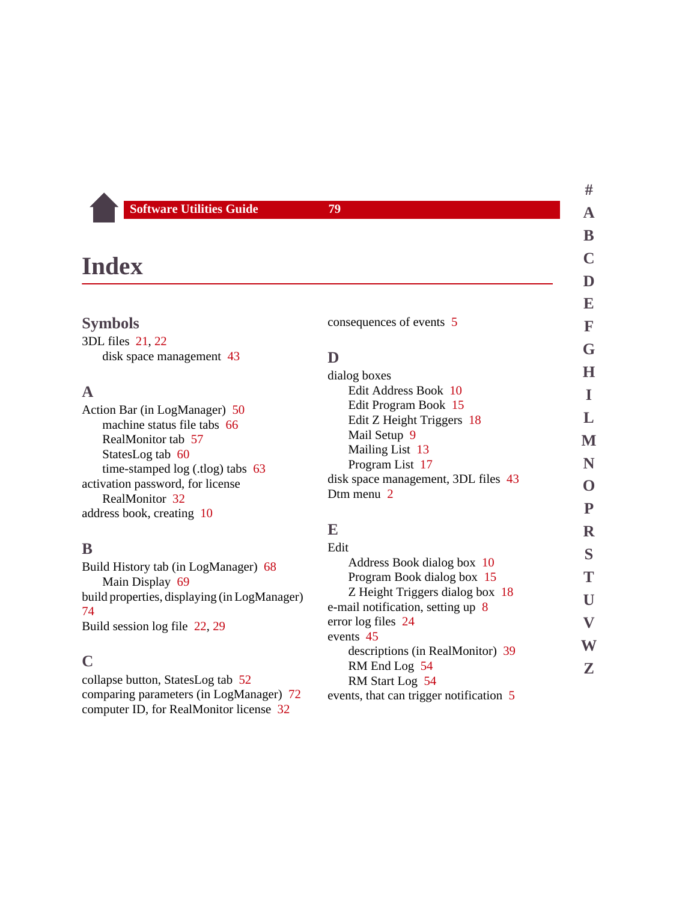| ınde |  |
|------|--|
|------|--|

<span id="page-79-4"></span><span id="page-79-1"></span><span id="page-79-0"></span>

|                                                              |                                                            | E                         |
|--------------------------------------------------------------|------------------------------------------------------------|---------------------------|
| <b>Symbols</b>                                               | consequences of events 5                                   | F                         |
| 3DL files 21, 22                                             |                                                            | G                         |
| disk space management 43                                     | D                                                          |                           |
|                                                              | dialog boxes                                               | $\bf H$                   |
| $\mathbf A$                                                  | Edit Address Book 10                                       | I                         |
| Action Bar (in LogManager) 50<br>machine status file tabs 66 | Edit Program Book 15<br>Edit Z Height Triggers 18          | L                         |
| RealMonitor tab 57                                           | Mail Setup 9                                               | $\mathbf M$               |
| StatesLog tab 60                                             | Mailing List 13                                            |                           |
| time-stamped log (.tlog) tabs 63                             | Program List 17                                            | N                         |
| activation password, for license                             | disk space management, 3DL files 43<br>Dtm menu 2          | O                         |
| RealMonitor 32                                               |                                                            | ${\bf P}$                 |
| address book, creating 10                                    | E                                                          |                           |
|                                                              |                                                            | $\mathbf R$               |
| B                                                            | Edit                                                       | S                         |
| Build History tab (in LogManager) 68                         | Address Book dialog box 10<br>Program Book dialog box 15   | T                         |
| Main Display 69                                              | Z Height Triggers dialog box 18                            |                           |
| build properties, displaying (in LogManager)<br>74           | e-mail notification, setting up 8                          | U                         |
| Build session log file 22, 29                                | error log files 24                                         | $\boldsymbol{\mathrm{V}}$ |
|                                                              | events 45                                                  | W                         |
| $\mathbf C$                                                  | descriptions (in RealMonitor) 39                           |                           |
| collapse button, StatesLog tab 52                            | RM End Log 54                                              | Z                         |
| comparing parameters (in LogManager) 72                      | RM Start Log 54<br>events, that can trigger notification 5 |                           |

<span id="page-79-5"></span><span id="page-79-3"></span><span id="page-79-2"></span>comparing parameters (in LogManager) [72](#page-72-0) computer ID, for RealMonitor license [32](#page-32-1)

**[#](#page-79-0) [A](#page-79-1)**

**[B](#page-79-2) [C](#page-79-3) [D](#page-79-4)**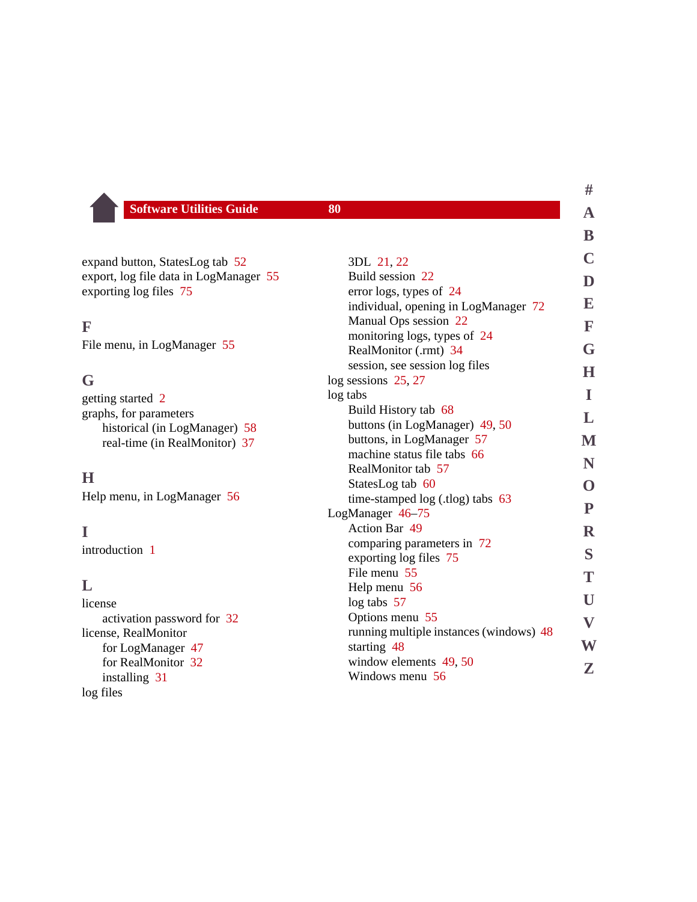| <b>Software Utilities Guide</b> | 80 |
|---------------------------------|----|
|---------------------------------|----|

| expand button, StatesLog tab 52        |  |
|----------------------------------------|--|
| export, log file data in LogManager 55 |  |
| exporting log files 75                 |  |

#### <span id="page-80-0"></span>**F**

File menu, in LogManager [55](#page-55-1)

## <span id="page-80-1"></span>**G**

| getting started 2             |  |
|-------------------------------|--|
| graphs, for parameters        |  |
| historical (in LogManager) 58 |  |
| real-time (in RealMonitor) 37 |  |

## <span id="page-80-2"></span>**H**

Help menu, in LogManager [56](#page-56-0)

#### <span id="page-80-3"></span>**I**

introduction [1](#page-1-0)

### <span id="page-80-4"></span>**L**

license activation password for [32](#page-32-0) license, RealMonitor for LogManager [47](#page-47-0) for RealMonitor [32](#page-32-2) installing [31](#page-31-0) log files

|                                                            | ש                         |
|------------------------------------------------------------|---------------------------|
| 3DL 21, 22                                                 | C                         |
| Build session 22                                           | D                         |
| error logs, types of 24                                    |                           |
| individual, opening in LogManager 72                       | ${\bf E}$                 |
| Manual Ops session 22                                      | $\mathbf F$               |
| monitoring logs, types of 24                               |                           |
| RealMonitor (.rmt) 34                                      | G                         |
| session, see session log files                             | H                         |
| log sessions 25, 27                                        |                           |
| log tabs                                                   | L                         |
| Build History tab 68                                       | L                         |
| buttons (in LogManager) 49, 50                             |                           |
| buttons, in LogManager 57                                  | M                         |
| machine status file tabs 66                                | N                         |
| RealMonitor tab 57                                         |                           |
| StatesLog tab 60                                           | O                         |
| time-stamped log (.tlog) tabs 63                           | ${\bf P}$                 |
| LogManager 46-75                                           |                           |
| <b>Action Bar 49</b>                                       | $\mathbf R$               |
| comparing parameters in 72                                 | $\mathbf S$               |
| exporting log files 75                                     |                           |
| File menu 55                                               | T                         |
| Help menu 56                                               | U                         |
| $log tabs$ 57                                              |                           |
| Options menu 55<br>running multiple instances (windows) 48 | $\boldsymbol{\mathrm{V}}$ |
| starting 48                                                | $\overline{\textbf{W}}$   |
| window elements 49, 50                                     |                           |
| Windows menu 56                                            | Z                         |
|                                                            |                           |

## **[#](#page-79-0) [A](#page-79-1)**

**[B](#page-79-2)**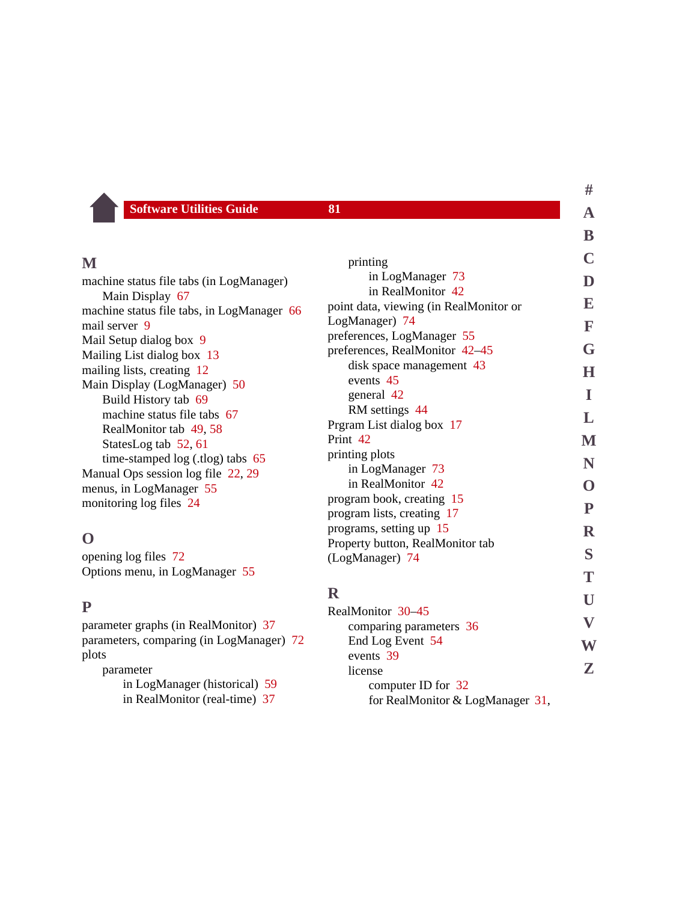<span id="page-81-3"></span>license

computer ID for [32](#page-32-1)

for RealMonitor & LogManager [31,](#page-31-1)

## <span id="page-81-0"></span>**M**

machine status file tabs (in LogManager) Main Display [67](#page-67-0) machine status file tabs, in LogManager [66](#page-66-1) mail server [9](#page-9-1) Mail Setup dialog box [9](#page-9-0) Mailing List dialog box [13](#page-13-0) mailing lists, creating [12](#page-12-0) Main Display (LogManager) [50](#page-50-3) Build History tab [69](#page-69-0) machine status file tabs [67](#page-67-0) RealMonitor tab [49,](#page-49-3) [58](#page-58-1) StatesLog tab [52,](#page-52-2) [61](#page-61-0) time-stamped log (.tlog) tabs [65](#page-65-0) Manual Ops session log file [22](#page-22-2), [29](#page-29-1) menus, in LogManager [55](#page-55-3) monitoring log files [24](#page-24-1)

### <span id="page-81-1"></span>**O**

opening log files [72](#page-72-1) Options menu, in LogManager [55](#page-55-2)

#### <span id="page-81-2"></span>**P**

parameter graphs (in RealMonitor) [37](#page-37-1) parameters, comparing (in LogManager) [72](#page-72-0) plots

parameter in LogManager (historical) [59](#page-59-1) in RealMonitor (real-time) [37](#page-37-2)

|                                        | ${\bf B}$                 |
|----------------------------------------|---------------------------|
| printing                               | C                         |
| in LogManager 73                       |                           |
| in RealMonitor 42                      | D                         |
| point data, viewing (in RealMonitor or | E                         |
| LogManager) 74                         | F                         |
| preferences, LogManager 55             |                           |
| preferences, RealMonitor 42-45         | G                         |
| disk space management 43               | Н                         |
| events 45                              |                           |
| general 42                             | L                         |
| RM settings 44                         | L                         |
| Prgram List dialog box 17              |                           |
| Print 42                               | M                         |
| printing plots                         | N                         |
| in LogManager 73                       |                           |
| in RealMonitor 42                      | O                         |
| program book, creating 15              | $\mathbf{P}$              |
| program lists, creating 17             |                           |
| programs, setting up 15                | $\mathbf R$               |
| Property button, RealMonitor tab       | S                         |
| (LogManager) 74                        |                           |
|                                        | T                         |
| $\mathbf R$                            | U                         |
| RealMonitor 30–45                      |                           |
| comparing parameters 36                | $\boldsymbol{\mathrm{V}}$ |
| End Log Event 54                       | W                         |
| events 39                              |                           |

**[#](#page-79-0) [A](#page-79-1)**

**[Z](#page-83-3)**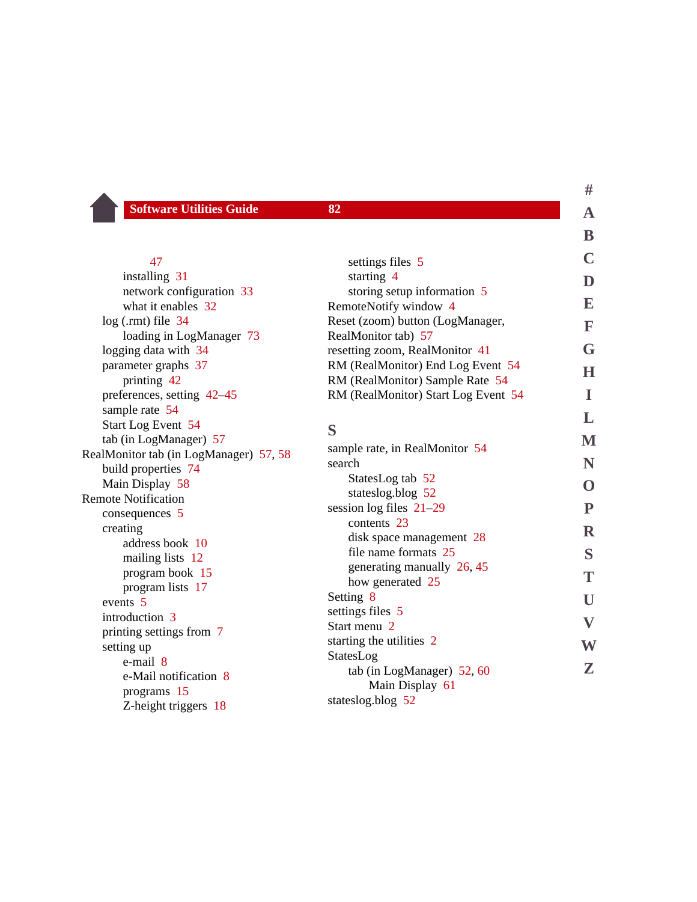#### [47](#page-47-0)

installing [31](#page-31-2) network configuration [33](#page-33-0) what it enables [32](#page-32-2). log (.rmt) file [34](#page-34-0) loading in LogManager [73](#page-73-1) logging data with [34](#page-34-1) parameter graphs [37](#page-37-1) printing [42](#page-42-0) preferences, setting [42](#page-42-3)[–45](#page-45-3) sample rate [54](#page-54-2) Start Log Event [54](#page-54-1) tab (in LogManager) [57](#page-57-3) RealMonitor tab (in LogManager) [57,](#page-57-4) [58](#page-58-1) build properties [74](#page-74-0) Main Display [58](#page-58-1) Remote Notification consequences [5](#page-5-0) creating address book [10](#page-10-0) mailing lists [12](#page-12-0) program book [15](#page-15-1) program lists [17](#page-17-1) events [5](#page-5-0) introduction [3](#page-3-0) printing settings from [7](#page-7-0) setting up e-mail [8](#page-8-1) e-Mail notification [8](#page-8-0) programs [15](#page-15-2) Z-height triggers [18](#page-18-1)

<span id="page-82-0"></span>

|                                                | D                       |
|------------------------------------------------|-------------------------|
| settings files 5                               | C                       |
| starting 4                                     | $\mathbf D$             |
| storing setup information 5                    |                         |
| RemoteNotify window 4                          | E                       |
| Reset (zoom) button (LogManager,               | F                       |
| RealMonitor tab) 57                            | G                       |
| resetting zoom, RealMonitor 41                 |                         |
| RM (RealMonitor) End Log Event 54              | H                       |
| RM (RealMonitor) Sample Rate 54                |                         |
| RM (RealMonitor) Start Log Event 54            | I                       |
|                                                | $\mathbf{L}$            |
| S                                              | M                       |
| sample rate, in RealMonitor 54                 |                         |
| search                                         | N                       |
| StatesLog tab 52                               | $\mathbf{O}$            |
| stateslog.blog 52                              |                         |
| session log files $21-29$                      | $\mathbf{P}$            |
| contents 23                                    | $\mathbf R$             |
| disk space management 28                       |                         |
| file name formats 25                           | S                       |
| generating manually 26, 45                     | T                       |
| how generated 25                               |                         |
| Setting 8<br>settings files 5                  | U                       |
| Start menu 2                                   | $\overline{\mathbf{V}}$ |
|                                                |                         |
| starting the utilities 2                       | W                       |
| StatesLog                                      | Z                       |
| tab (in LogManager) $52,60$<br>Main Display 61 |                         |
| stateslog.blog 52                              |                         |
|                                                |                         |

**[#](#page-79-0) [A](#page-79-1)**

**[B](#page-79-2)**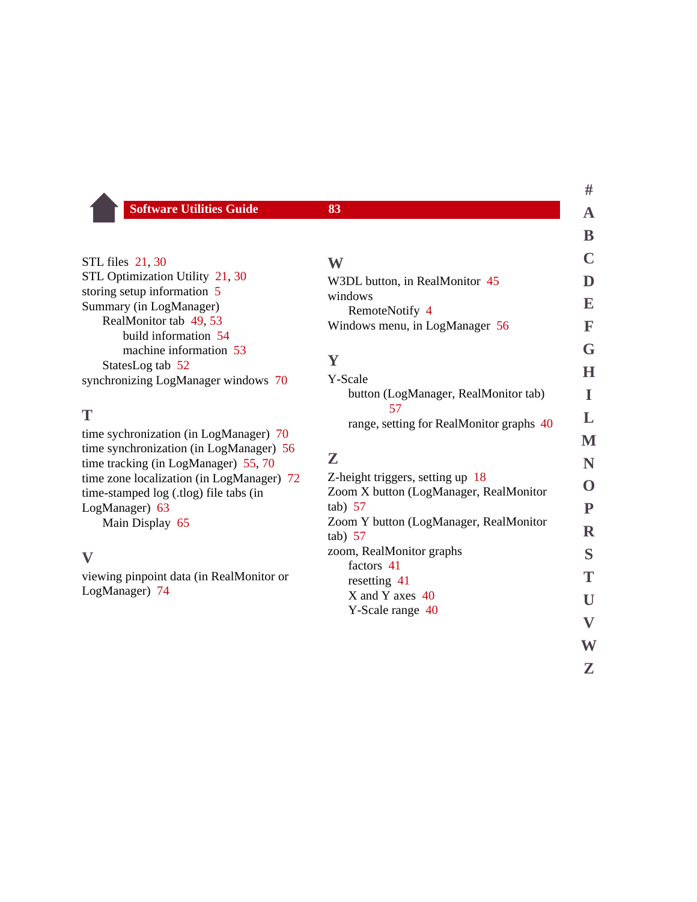STL files [21,](#page-21-3) [30](#page-30-1) STL Optimization Utility [21](#page-21-3), [30](#page-30-1) storing setup information [5](#page-5-1) Summary (in LogManager) RealMonitor tab [49,](#page-49-4) [53](#page-53-0) build information [54](#page-54-3) machine information [53](#page-53-1) StatesLog tab [52](#page-52-6) synchronizing LogManager windows [70](#page-70-0)

### <span id="page-83-0"></span>**T**

time sychronization (in LogManager) [70](#page-70-0) time synchronization (in LogManager) [56](#page-56-2) time tracking (in LogManager) [55,](#page-55-4) [70](#page-70-1) time zone localization (in LogManager) [72](#page-72-2) time-stamped log (.tlog) file tabs (in LogManager) [63](#page-63-1) Main Display [65](#page-65-0)

#### <span id="page-83-1"></span>**V**

viewing pinpoint data (in RealMonitor or LogManager) [74](#page-74-1)

<span id="page-83-3"></span><span id="page-83-2"></span>

|                                                     | B            |
|-----------------------------------------------------|--------------|
| W                                                   |              |
| W3DL button, in RealMonitor 45                      | D            |
| windows                                             | E            |
| RemoteNotify 4<br>Windows menu, in LogManager 56    | F            |
|                                                     | G            |
| Y                                                   |              |
| Y-Scale                                             | Н            |
| button (LogManager, RealMonitor tab)                | L            |
| 57<br>range, setting for RealMonitor graphs 40      | L            |
|                                                     | M            |
| Z                                                   | N            |
| Z-height triggers, setting up 18                    |              |
| Zoom X button (LogManager, RealMonitor              |              |
| $tab)$ 57<br>Zoom Y button (LogManager, RealMonitor | P            |
| $tab)$ 57                                           | $\mathbf R$  |
| zoom, RealMonitor graphs                            | S            |
| factors 41<br>resetting 41                          | Т            |
| X and Y axes 40                                     | U            |
| Y-Scale range 40                                    |              |
|                                                     | $\mathbf{V}$ |
|                                                     | W            |

**[#](#page-79-0) [A](#page-79-1)**

**[Z](#page-83-3)**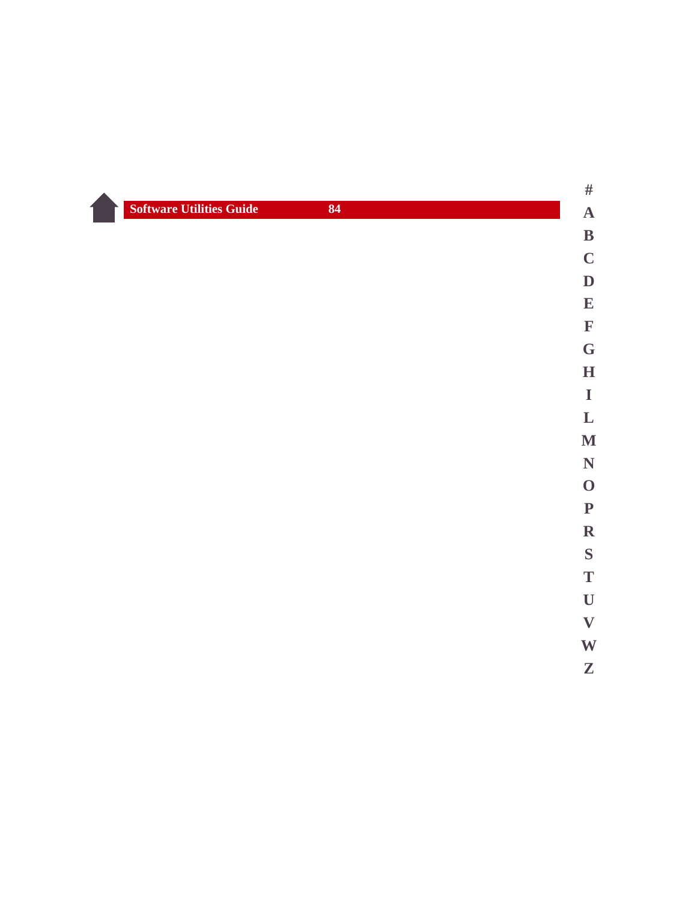| <b>Software Utilities Guide</b> | 84 |
|---------------------------------|----|
|---------------------------------|----|



## **[A](#page-79-1) [B](#page-79-2) [C](#page-79-3) [D](#page-79-4)**

- **[E](#page-79-5) [F](#page-80-0)**
- **[G](#page-80-1) [H](#page-80-2)**
- **[I](#page-80-3)**
- **[L](#page-80-4)**
- **[M](#page-81-0) [N](#page-81-1)**
- **[O](#page-81-1) [P](#page-81-2)**
- **[R](#page-81-3) [S](#page-82-0)**
- **[T](#page-83-0) [U](#page-83-1)**
- **[V](#page-83-1)**
- **[W](#page-83-2) [Z](#page-83-3)**